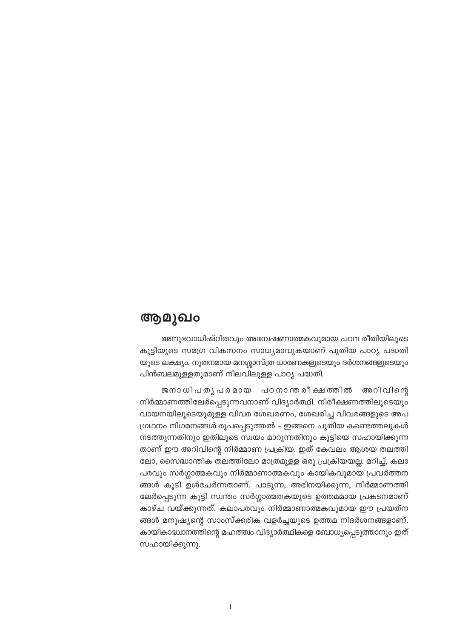# ആമുഖം

അനുഭവാധിഷ്ഠിതവും അന്വേഷണാത്മകവുമായ പഠന രീതിയിലൂടെ കുട്ടിയുടെ സമഗ്ര വികസനം സാധ്യമാവുകയാണ് പുതിയ പാഠ്യ പദ്ധതി യുടെ ലക്ഷ്യം. നൂതനമായ മനശ്ശാസ്ത്ര ധാരണകളുടെയും ദർശനങ്ങളുടെയും പിൻബലമുള്ളതുമാണ് നിലവിലുള്ള പാഠ്യ പദ്ധതി.

ജനാധിപതൃപരമായ പഠനാന്തരീക്ഷത്തിൽ അറിവിന്റെ നിർമ്മാണത്തിലേർപ്പെടുന്നവനാണ് വിദ്യാർത്ഥി. നിരീക്ഷണത്തിലൂടെയും വായനയിലൂടെയുമുള്ള വിവര ശേഖരണം, ശേഖരിച്ച വിവരങ്ങളുടെ അപ ഗ്രഥനം നിഗമനങ്ങൾ രൂപപ്പെടുത്തൽ – ഇങ്ങനെ പുതിയ കണ്ടെത്തലുകൾ നടത്തുന്നതിനും ഇതിലൂടെ സ്വയം മാറുന്നതിനും കുട്ടിയെ സഹായിക്കുന്ന താണ് ഈ അറിവിന്റെ നിർമ്മാണ പ്രക്രിയ. ഇത് കേവലം ആശയ തലത്തി ലോ, സൈദ്ധാന്തിക തലത്തിലോ മാത്രമുള്ള ഒരു പ്രക്രിയയല്ല. മറിച്ച്, കലാ പരവും സർഗ്ഗാത്മകവും നിർമ്മാണാത്മകവും കായികവുമായ പ്രവർത്തന ങ്ങൾ കൂടി ഉൾചേർന്നതാണ്. പാടുന്ന, അഭിനയിക്കുന്ന, നിർമ്മാണത്തി ലേർപ്പെടുന്ന കുട്ടി സ്വന്തം സർഗ്ഗാത്മതകയുടെ ഉത്തമമായ പ്രകടനമാണ് കാഴ്ച വയ്ക്കുന്നത്. കലാപരവും നിർമ്മാണാത്മകവുമായ ഈ പ്രയത്ന ങ്ങൾ മനുഷ്യന്റെ സാംസ്ക്കരിക വളർച്ചയുടെ ഉത്തമ നിദർശനങ്ങളാണ്. കായികാദ്ധ്വാനത്തിന്റെ മഹത്ത്വം വിദ്യാർത്ഥികളെ ബോധ്യപ്പെടുത്താനും ഇത് സഹായിക്കുന്നു.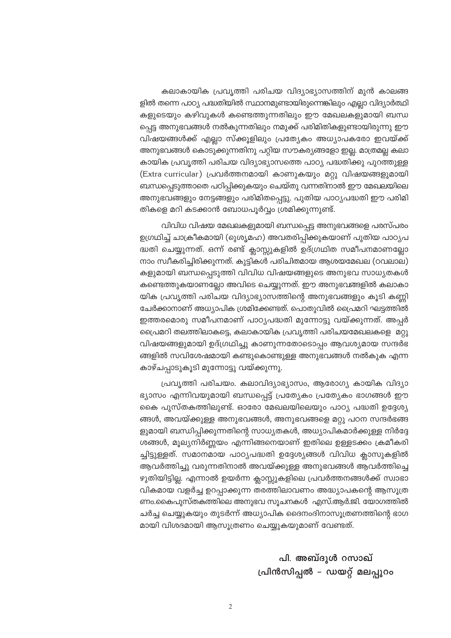കലാകായിക പ്രവൃത്തി പരിചയ വിദ്യാഭ്യാസത്തിന് മുൻ കാലങ്ങ ളിൽ തന്നെ പാഠ്യ പദ്ധതിയിൽ സ്ഥാനമുണ്ടായിരുന്നെങ്കിലും എല്ലാ വിദ്യാർത്ഥി കളുടെയും കഴിവുകൾ കണ്ടെത്തുന്നതിലും ഈ മേഖലകളുമായി ബന്ധ പ്പെട്ട അനുഭവങ്ങൾ നൽകുന്നതിലും നമുക്ക് പരിമിതികളുണ്ടായിരുന്നു ഈ വിഷയങ്ങൾക്ക് എല്ലാ സ്ക്കൂളിലും പ്രത്യേകം അധ്യാപകരോ ഇവയ്ക്ക് അനുഭവങ്ങൾ കൊടുക്കുന്നതിനു പറ്റിയ സൗകര്യങ്ങളോ ഇല്ല. മാത്രമല്ല കലാ കായിക പ്രവൃത്തി പരിചയ വിദ്യാഭ്യാസത്തെ പാഠ്യ പദ്ധതിക്കു പുറത്തുള്ള (Extra curricular) പ്രവർത്തനമായി കാണുകയും മറ്റു വിഷയങ്ങളുമായി ബന്ധപ്പെടുത്താതെ പഠിപ്പിക്കുകയും ചെയ്തു വന്നതിനാൽ ഈ മേഖലയിലെ അനുഭവങ്ങളും നേട്ടങ്ങളും പരിമിതപ്പെട്ടു. പുതിയ പാഠൃപദ്ധതി ഈ പരിമി തികളെ മറി കടക്കാൻ ബോധപൂർവ്വം ശ്രമിക്കുന്നുണ്ട്.

വിവിധ വിഷയ മേഖലകളുമായി ബന്ധപ്പെട്ട അനുഭവങ്ങളെ പരസ്പരം ഉഗ്രഥിച്ച് ചാക്രീകമായി (റുശൃമഹ) അവതരിപ്പിക്കുകയാണ് പുതിയ പാഠൃപ ദ്ധതി ചെയ്യുന്നത്. ഒന്ന് രണ്ട് ക്ലാസ്സുകളിൽ ഉദ്ഗ്രഥിത സമീപനമാണല്ലോ നാം സ്വീകരിച്ചിരിക്കുന്നത്. കുട്ടികൾ പരിചിതമായ ആശയമേഖല (ഠവലാല) കളുമായി ബന്ധപ്പെടുത്തി വിവിധ വിഷയങ്ങളുടെ അനുഭവ സാധ്യതകൾ കണ്ടെത്തുകയാണല്ലോ അവിടെ ചെയ്യുന്നത്. ഈ അനുഭവങ്ങളിൽ കലാകാ യിക പ്രവൃത്തി പരിചയ വിദ്യാഭ്യാസത്തിന്റെ അനുഭവങ്ങളും കൂടി കണ്ണി ചേർക്കാനാണ് അധ്യാപിക ശ്രമിക്കേണ്ടത്. പൊതുവിൽ പ്രൈമറി ഘട്ടത്തിൽ ഇത്തരമൊരു സമീപനമാണ് പാഠൃപദ്ധതി മുന്നോട്ടു വയ്ക്കുന്നത്. അപ്പർ പ്രൈമറി തലത്തിലാകട്ടെ, കലാകായിക പ്രവൃത്തി പരിചയമേഖലകളെ മറ്റു വിഷയങ്ങളുമായി ഉദ്ഗ്രഥിച്ചു കാണുന്നതോടൊപ്പം ആവശ്യമായ സന്ദർഭ ങ്ങളിൽ സവിശേഷമായി കണ്ടുകൊണ്ടുള്ള അനുഭവങ്ങൾ നൽകുക എന്ന കാഴ്ചപ്പാടുകൂടി മുന്നോട്ടു വയ്ക്കുന്നു.

പ്രവൃത്തി പരിചയം. കലാവിദ്യാഭ്യാസം, ആരോഗ്യ കായിക വിദ്യാ ഭ്യാസം എന്നിവയുമായി ബന്ധപ്പെട്ട് പ്രത്യേകം പ്രത്യേകം ഭാഗങ്ങൾ ഈ കൈ പുസ്തകത്തിലുണ്ട്. ഓരോ മേഖലയിലെയും പാഠ്യ പദ്ധതി ഉദ്ദേശ്യ ങ്ങൾ, അവയ്ക്കുള്ള അനുഭവങ്ങൾ, അനുഭവങ്ങളെ മറ്റു പഠന സന്ദർഭങ്ങ ളുമായി ബന്ധിപ്പിക്കുന്നതിന്റെ സാധ്യതകൾ, അധ്യാപികമാർക്കുള്ള നിർദ്ദേ ശങ്ങൾ, മൂല്യനിർണ്ണയം എന്നിങ്ങനെയാണ് ഇതിലെ ഉള്ളടക്കം ക്രമീകരി ച്ചിട്ടുള്ളത്. സമാനമായ പാഠ്യപദ്ധതി ഉദ്ദേശ്യങ്ങൾ വിവിധ ക്ലാസുകളിൽ ആവർത്തിച്ചു വരുന്നതിനാൽ അവയ്ക്കുള്ള അനുഭവങ്ങൾ ആവർത്തിച്ചെ ഴുതിയിട്ടില്ല. എന്നാൽ ഉയർന്ന ക്ലാസ്സുകളിലെ പ്രവർത്തനങ്ങൾക്ക് സ്വാഭാ വികമായ വളർച്ച ഉറപ്പാക്കുന്ന തരത്തിലാവണം അദ്ധ്യാപകന്റെ ആസൂത്ര ണം.കൈപുസ്തകത്തിലെ അനുഭവ സൂചനകൾ എസ്.ആർ.ജി. യോഗത്തിൽ ചർച്ച ചെയ്യുകയും തുടർന്ന് അധ്യാപിക ദൈനംദിനാസൂത്രണത്തിന്റെ ഭാഗ മായി വിശദമായി ആസൂത്രണം ചെയ്യുകയുമാണ് വേണ്ടത്.

> പി. അബ്ദൂൾ റസാഖ് {പിൻസിപ്പൽ – ഡയറ്റ് മലപ്പുറം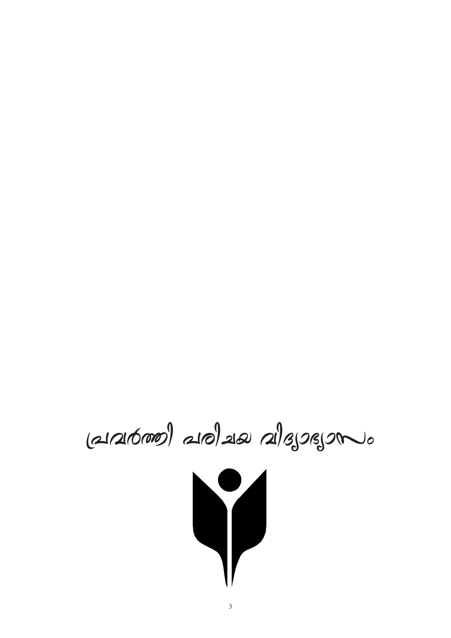$(21/216000)$   $210$   $218$   $218$   $550$ 

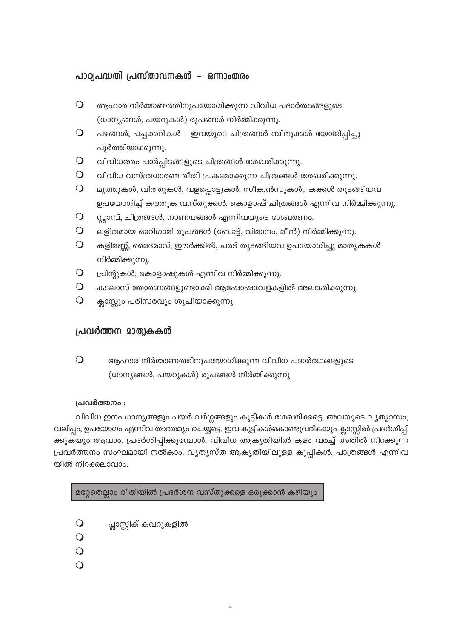# പാഠ്വപദ്ധതി പ്രസ്താവനകൾ – ഒന്നാംതരം

- $\bigcirc$ ആഹാര നിർമ്മാണത്തിനുപയോഗിക്കുന്ന വിവിധ പദാർത്ഥങ്ങളുടെ (ധാന്യങ്ങൾ, പയറുകൾ) രൂപങ്ങൾ നിർമ്മിക്കുന്നു.
- $\bigcirc$ പഴങ്ങൾ, പച്ചക്കറികൾ - ഇവയുടെ ചിത്രങ്ങൾ ബിന്ദുക്കൾ യോജിപ്പിച്ചു പൂർത്തിയാക്കുന്നു.
- $\bigcirc$ വിവിധതരം പാർപ്പിടങ്ങളുടെ ചിത്രങ്ങൾ ശേഖരിക്കുന്നു.
- $\bigcirc$ വിവിധ വസ്ത്രധാരണ രീതി പ്രകടമാക്കുന്ന ചിത്രങ്ങൾ ശേഖരിക്കുന്നു.
- $\bigcirc$ മുത്തുകൾ, വിത്തുകൾ, വളപ്പൊട്ടുകൾ, സീക്വൻസുകൾ,. കക്കൾ തുടങ്ങിയവ ഉപയോഗിച്ച് കൗതുക വസ്തുക്കൾ, കൊളാഷ് ചിത്രങ്ങൾ എന്നിവ നിർമ്മിക്കുന്നു.
- $\bigcirc$ സ്റ്റാമ്പ്, ചിത്രങ്ങൾ, നാണയങ്ങൾ എന്നിവയുടെ ശേഖരണം.
- $\bigcirc$ ലളിതമായ ഓറിഗാമി രൂപങ്ങൾ (ബോട്ട്, വിമാനം, മീൻ) നിർമ്മിക്കുന്നു.
- $\bigcirc$ കളിമണ്ണ്, മൈദമാവ്, ഈർക്കിൽ, ചരട് തുടങ്ങിയവ ഉപയോഗിച്ചു മാതൃകകൾ നിർമ്മിക്കുന്നു.
- $\bigcirc$ പ്രിന്റുകൾ, കൊളാഷുകൾ എന്നിവ നിർമ്മിക്കുന്നു.
- $\Omega$ കടലാസ് തോരണങ്ങളുണ്ടാക്കി ആഷോഷവേളകളിൽ അലങ്കരിക്കുന്നു.
- $\bigcirc$ ക്ലാസ്സും പരിസരവും ശുചിയാക്കുന്നു.

# പ്രവർത്തന മാത്വകകൾ

 $\bigcirc$ ആഹാര നിർമ്മാണത്തിനുപയോഗിക്കുന്ന വിവിധ പദാർത്ഥങ്ങളുടെ (ധാന്യങ്ങൾ, പയറുകൾ) രൂപങ്ങൾ നിർമ്മിക്കുന്നു.

## പ്രവർത്തനം :

വിവിധ ഇനം ധാന്യങ്ങളും പയർ വർഗ്ഗങ്ങളും കുട്ടികൾ ശേഖരിക്കട്ടെ. അവയുടെ വ്യത്യാസം, വലിപ്പം, ഉപയോഗം എന്നിവ താരതമ്യം ചെയ്യട്ടെ. ഇവ കുട്ടികൾകൊണ്ടുവരികയും ക്ലാസ്സിൽ പ്രദർശിപ്പി ക്കുകയും ആവാം. പ്രദർശിപ്പിക്കുമ്പോൾ, വിവിധ ആകൃതിയിൽ കളം വരച്ച് അതിൽ നിറക്കുന്ന പ്രവർത്തനം സംഘമായി നൽകാം. വ്യത്യസ്ത ആകൃതിയിലുള്ള കുപ്പികൾ, പാത്രങ്ങൾ എന്നിവ യിൽ നിറക്കലാവാം.

മറ്റേതെല്ലാം രീതിയിൽ പ്രദർശന വസ്തുക്കളെ ഒരുക്കാൻ കഴിയും

- $\bigcirc$ പ്ലാസ്റ്റിക് കവറുകളിൽ
- $\overline{O}$
- $\overline{O}$
- $\Omega$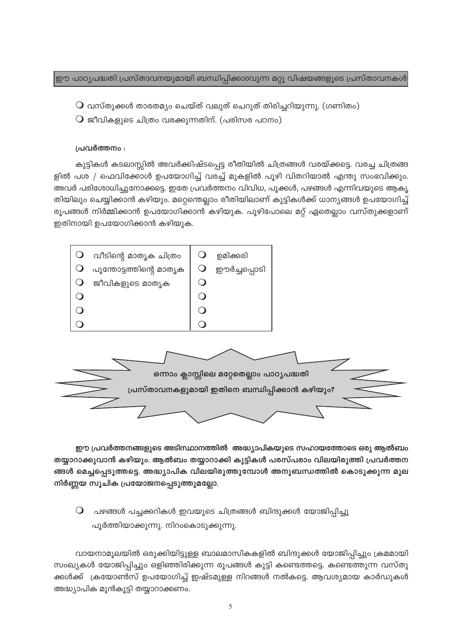ഈ പാഠ്യപദ്ധതി പ്രസ്താവനയുമായി ബന്ധിപ്പിക്കാ0വുന്ന മറ്റു വിഷയങ്ങളുടെ പ്രസ്താവനകൾ

- $\mathsf O$  വസ്തുക്കൾ താരതമ്യം ചെയ്ത് വലുത് ചെറുത് തിരിച്ചറിയുന്നു. (ഗണിതം)
- $\overline{Q}$  ജീവികളുടെ ചിത്രം വരക്കുന്നതിന്. (പരിസര പഠനം)

### പ്രവർത്തനം :

കുട്ടികൾ കടലാസ്സിൽ അവർക്കിഷ്ടപ്പെട്ട രീതിയിൽ ചിത്രങ്ങൾ വരയ്ക്കട്ടെ. വരച്ച ചിത്രങ്ങ ളിൽ പശ / ഫെവിക്കോൾ ഉപയോഗിച്ച് വരച്ച് മുകളിൽ പൂഴി വിതറിയാൽ എന്തു സംഭവിക്കും. അവർ പരിശോധിച്ചുനോക്കട്ടെ. ഇതേ പ്രവർത്തനം വിവിധ, പൂക്കൾ, പഴങ്ങൾ എന്നിവയുടെ ആകൃ തിയിലും ചെയ്യിക്കാൻ കഴിയും. മറ്റെന്തെല്ലാം രീതിയിലാണ് കുട്ടികൾക്ക് ധാന്യങ്ങൾ ഉപയോഗിച്ച് രൂപങ്ങൾ നിർമ്മിക്കാൻ ഉപയോഗിക്കാൻ കഴിയുക. പൂഴിപോലെ മറ്റ് ഏതെല്ലാം വസ്തുക്കളാണ് ഇതിനായി ഉപയോഗിക്കാൻ കഴിയുക.



ഈ പ്രവർത്തനങ്ങളുടെ അടിസ്ഥാനത്തിൽ അദ്ധ്യാപികയുടെ സഹായത്തോടെ ഒരു ആൽബം തയ്യാറാക്കുവാൻ കഴിയും. ആൽബം തയ്യാറാക്കി കുട്ടികൾ പരസ്പരാം വിലയിരുത്തി പ്രവർത്തന ങ്ങൾ മെച്ചപ്പെടുത്തട്ടെ. അദ്ധ്യാപിക വിലയിരുത്തുമ്പോൾ അനുബന്ധത്തിൽ കൊടുക്കുന്ന മൂല നിർണ്ണയ സൂചിക പ്രയോജനപ്പെടുത്തുമല്ലോ.

 $\bigcirc$  പഴങ്ങൾ പച്ചക്കറികൾ ഇവയുടെ ചിത്രങ്ങൾ ബിന്ദുക്കൾ യോജിപ്പിച്ചു പൂർത്തിയാക്കുന്നു. നിറംകൊടുക്കുന്നു.

വായനാമൂലയിൽ ഒരുക്കിയിട്ടുള്ള ബാലമാസികകളിൽ ബിന്ദുക്കൾ യോജിപ്പിച്ചും ക്രമമായി സംഖ്യകൾ യോജിപ്പിച്ചും ഒളിഞ്ഞിരിക്കുന്ന രൂപങ്ങൾ കുട്ടി കണ്ടെത്തട്ടെ. കണ്ടെത്തുന്ന വസ്തു ക്കൾക്ക് ക്രയോൺസ് ഉപയോഗിച്ച് ഇഷ്ടമുള്ള നിറങ്ങൾ നൽകട്ടെ. ആവശ്യമായ കാർഡുകൾ അദ്ധ്യാപിക മുൻകൂട്ടി തയ്യാറാക്കണം.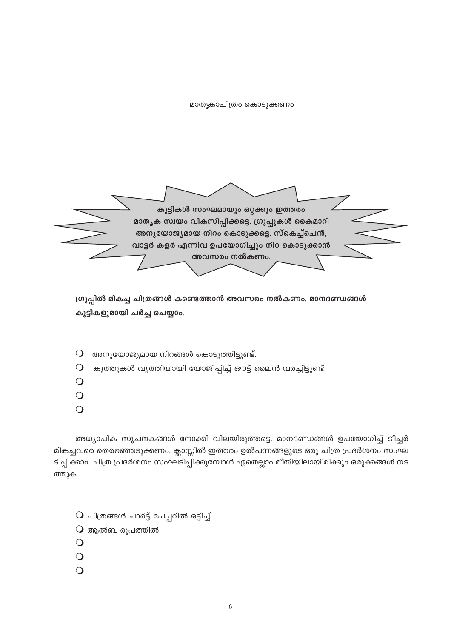മാതൃകാചിത്രം കൊടുക്കണം



ഗ്രൂപ്പിൽ മികച്ച ചിത്രങ്ങൾ കണ്ടെത്താൻ അവസരം നൽകണം. മാനദണ്ഡങ്ങൾ കുട്ടികളുമായി ചർച്ച ചെയ്യാം.

- അനുയോജ്യമായ നിറങ്ങൾ കൊടുത്തിട്ടുണ്ട്.  $\bigcirc$
- കുത്തുകൾ വൃത്തിയായി യോജിപ്പിച്ച് ഔട്ട് ലൈൻ വരച്ചിട്ടുണ്ട്.  $\bigcirc$
- $\bigcirc$
- $\bigcirc$
- $\bigcirc$

അധ്യാപിക സൂചനകങ്ങൾ നോക്കി വിലയിരുത്തട്ടെ. മാനദണ്ഡങ്ങൾ ഉപയോഗിച്ച് ടീച്ചർ മികച്ചവരെ തെരഞ്ഞെടുക്കണം. ക്ലാസ്സിൽ ഇത്തരം ഉൽപന്നങ്ങളുടെ ഒരു ചിത്ര പ്രദർശനം സംഘ ടിപ്പിക്കാം. ചിത്ര പ്രദർശനം സംഘടിപ്പിക്കുമ്പോൾ ഏതെല്ലാം രീതിയിലായിരിക്കും ഒരുക്കങ്ങൾ നട ത്തുക.

- $O$  ചിത്രങ്ങൾ ചാർട്ട് പേപ്പറിൽ ഒട്ടിച്ച്
- $O$  ആൽബ രൂപത്തിൽ
- $\bigcirc$
- $\bigcirc$
- $\bigcirc$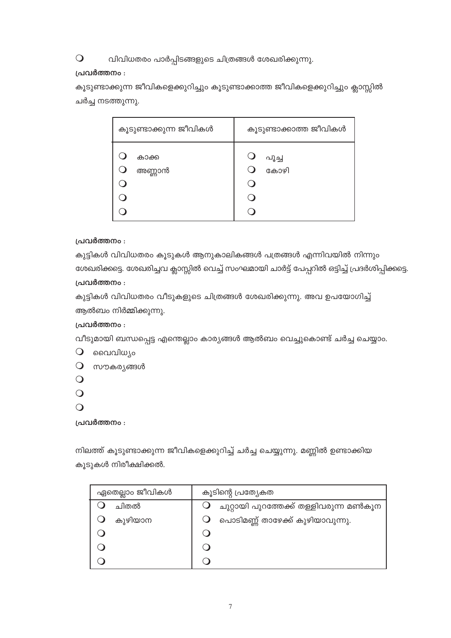#### വിവിധതരം പാർപ്പിടങ്ങളുടെ ചിത്രങ്ങൾ ശേഖരിക്കുന്നു.  $\bigcirc$

# പ്രവർത്തനം :

കൂടുണ്ടാക്കുന്ന ജീവികളെക്കുറിച്ചും കൂടുണ്ടാക്കാത്ത ജീവികളെക്കുറിച്ചും ക്ലാസ്സിൽ ചർച്ച നടത്തുന്നു.

| കൂടുണ്ടാക്കുന്ന ജീവികൾ | കൂടുണ്ടാക്കാത്ത ജീവികൾ |  |  |
|------------------------|------------------------|--|--|
| കാക്ക<br>അണ്ണാൻ        | പൂച്ച<br>കോഴി          |  |  |

# പ്രവർത്തനം :

കുട്ടികൾ വിവിധതരം കൂടുകൾ ആനുകാലികങ്ങൾ പത്രങ്ങൾ എന്നിവയിൽ നിന്നും ശേഖരിക്കട്ടെ. ശേഖരിച്ചവ ക്ലാസ്സിൽ വെച്ച് സംഘമായി ചാർട്ട് പേപ്പറിൽ ഒട്ടിച്ച് പ്രദർശിപ്പിക്കട്ടെ. പ്രവർത്തനം :

കുട്ടികൾ വിവിധതരം വീടുകളുടെ ചിത്രങ്ങൾ ശേഖരിക്കുന്നു. അവ ഉപയോഗിച്ച് ആൽബം നിർമ്മിക്കുന്നു.

# പ്രവർത്തനം :

വീടുമായി ബന്ധപ്പെട്ട എന്തെല്ലാം കാര്യങ്ങൾ ആൽബം വെച്ചുകൊണ്ട് ചർച്ച ചെയ്യാം.

- $\overline{Q}$  വൈവിധ്യം
- $O$  സൗകര്യങ്ങൾ
- $\overline{O}$
- $\Omega$
- $\bigcirc$

പ്രവർത്തനം :

നിലത്ത് കൂടുണ്ടാക്കുന്ന ജീവികളെക്കുറിച്ച് ചർച്ച ചെയ്യുന്നു. മണ്ണിൽ ഉണ്ടാക്കിയ കൂടുകൾ നിരീക്ഷിക്കൽ.

| ഏതെല്ലാം ജീവികൾ | കൂടിന്റെ പ്രത്യേകത                     |  |  |  |
|-----------------|----------------------------------------|--|--|--|
| ചിതൽ            | ചുറ്റായി പുറത്തേക്ക് തള്ളിവരുന്ന മൺകൂന |  |  |  |
| കുഴിയാന         | പൊടിമണ്ണ് താഴേക്ക് കുഴിയാവുന്നു.       |  |  |  |
|                 |                                        |  |  |  |
|                 |                                        |  |  |  |
|                 |                                        |  |  |  |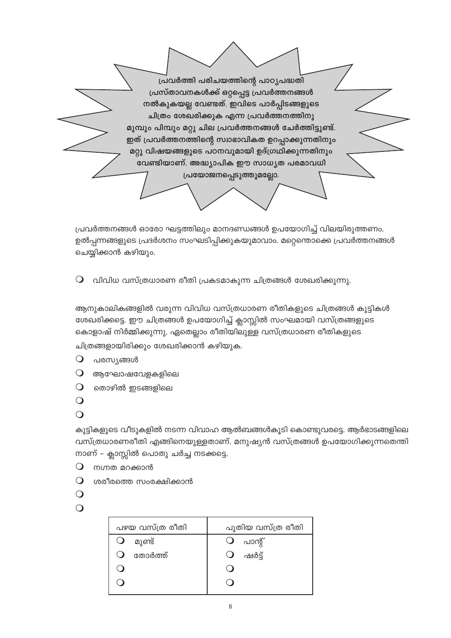പ്രവർത്തി പരിചയത്തിന്റെ പാഠൃപദ്ധതി പ്രസ്താവനകൾക്ക് ഒറ്റപ്പെട്ട പ്രവർത്തനങ്ങൾ നൽകുകയല്ല വേണ്ടത്. ഇവിടെ പാർപ്പിടങ്ങളുടെ ചിത്രം ശേഖരിക്കുക എന്ന പ്രവർത്തനത്തിനു മുമ്പും പിമ്പും മറ്റു ചില പ്രവർത്തനങ്ങൾ ചേർത്തിട്ടുണ്ട്. ഇത് പ്രവർത്തനത്തിന്റെ സ്വാഭാവികത ഉറപ്പാക്കുന്നതിനും മറ്റു വിഷയങ്ങളുടെ പഠനവുമായി ഉദ്ഗ്രഥിക്കുന്നതിനും വേണ്ടിയാണ്. അദ്ധ്യാപിക ഈ സാധ്യത പരമാവധി പ്രയോജനപ്പെടുത്തുമല്ലോ.

പ്രവർത്തനങ്ങൾ ഓരോ ഘട്ടത്തിലും മാനദണ്ഡങ്ങൾ ഉപയോഗിച്ച് വിലയിരുത്തണം. ഉൽപ്പന്നങ്ങളുടെ പ്രദർശനം സംഘടിപ്പിക്കുകയുമാവാം. മറ്റെന്തൊക്കെ പ്രവർത്തനങ്ങൾ ചെയ്യിക്കാൻ കഴിയും.

വിവിധ വസ്ത്രധാരണ രീതി പ്രകടമാകുന്ന ചിത്രങ്ങൾ ശേഖരിക്കുന്നു.  $\bigcirc$ 

ആനുകാലികങ്ങളിൽ വരുന്ന വിവിധ വസ്ത്രധാരണ രീതികളുടെ ചിത്രങ്ങൾ കുട്ടികൾ ശേഖരിക്കട്ടെ. ഈ ചിത്രങ്ങൾ ഉപയോഗിച്ച് ക്ലാസ്സിൽ സംഘമായി വസ്ത്രങ്ങളുടെ കൊളാഷ് നിർമ്മിക്കുന്നു. ഏതെല്ലാം രീതിയിലുള്ള വസ്ത്രധാരണ രീതികളുടെ ചിത്രങ്ങളായിരിക്കും ശേഖരിക്കാൻ കഴിയുക.

- $\bigcirc$ പരസ്യങ്ങൾ
- $\bigcirc$ ആഘോഷവേളകളിലെ
- $\Omega$ തൊഴിൽ ഇടങ്ങളിലെ
- $\bigcirc$
- $\Omega$

കുട്ടികളുടെ വീടുകളിൽ നടന്ന വിവാഹ ആൽബങ്ങൾകൂടി കൊണ്ടുവരട്ടെ. ആർഭാടങ്ങളിലെ വസ്ത്രധാരണരീതി എങ്ങിനെയുള്ളതാണ്. മനുഷ്യൻ വസ്ത്രങ്ങൾ ഉപയോഗിക്കുന്നതെന്തി നാണ് – ക്ലാസ്സിൽ പൊതു ചർച്ച നടക്കട്ടെ.

- $\bigcirc$ നഗ്നത മറക്കാൻ
- $\Omega$ ശരീരത്തെ സംരക്ഷിക്കാൻ
- $\bigcirc$

```
\Omega
```

| പഴയ വസ്ത്ര രീതി           | പുതിയ വസ്ത്ര രീതി |  |  |
|---------------------------|-------------------|--|--|
| മുണ്ട്                    | പാന്റ്<br>$\cup$  |  |  |
| തോർത്ത്<br>$\blacksquare$ | ഷർട്ട്<br>$\cup$  |  |  |
|                           |                   |  |  |
|                           |                   |  |  |
|                           |                   |  |  |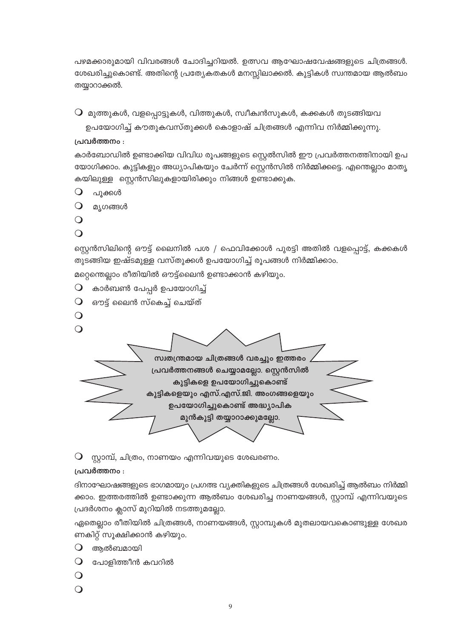പഴമക്കാരുമായി വിവരങ്ങൾ ചോദിച്ചറിയൽ. ഉത്സവ ആഘോഷവേഷങ്ങളുടെ ചിത്രങ്ങൾ. ശേഖരിച്ചുകൊണ്ട്. അതിന്റെ പ്രത്യേകതകൾ മനസ്സിലാക്കൽ. കുട്ടികൾ സ്വന്തമായ ആൽബം തയ്യാറാക്കൽ.

 $\mathsf O$  മുത്തുകൾ, വളപ്പൊട്ടുകൾ, വിത്തുകൾ, സ്ഥീക്വൻസുകൾ, കക്കകൾ തുടങ്ങിയവ

ഉപയോഗിച്ച് കൗതുകവസ്തുക്കൾ കൊളാഷ് ചിത്രങ്ങൾ എന്നിവ നിർമ്മിക്കുന്നു.

# പ്രവർത്തനം :

കാർബോഡിൽ ഉണ്ടാക്കിയ വിവിധ രൂപങ്ങളുടെ സ്റ്റെൽസിൽ ഈ പ്രവർത്തനത്തിനായി ഉപ യോഗിക്കാം. കുട്ടികളും അധ്യാപികയും ചേർന്ന് സ്റ്റെൻസിൽ നിർമ്മിക്കട്ടെ. എന്തെല്ലാം മാതൃ കയിലുള്ള സ്റ്റെൻസിലുകളായിരിക്കും നിങ്ങൾ ഉണ്ടാക്കുക.

- $\bigcirc$ പൂക്കൾ
- $\overline{O}$ മ്യഗങ്ങൾ
- $\overline{O}$
- $\Omega$

സ്റ്റെൻസിലിന്റെ ഔട്ട് ലൈനിൽ പശ / ഫെവിക്കോൾ പുരട്ടി അതിൽ വളപ്പൊട്ട്, കക്കകൾ തുടങ്ങിയ ഇഷ്ടമുള്ള വസ്തുക്കൾ ഉപയോഗിച്ച് രൂപങ്ങൾ നിർമ്മിക്കാം.

മറ്റെന്തെല്ലാം രീതിയിൽ ഔട്ട്ലൈൻ ഉണ്ടാക്കാൻ കഴിയും.

- കാർബൺ പേപ്പർ ഉപയോഗിച്ച്  $\mathbf{O}$
- $\Omega$ ഔട്ട് ലൈൻ സ്കെച്ച് ചെയ്ത്
- $\mathbf O$
- $\Omega$ സ്വതന്ത്രമായ ചിത്രങ്ങൾ വരച്ചും ഇത്തരം പ്രവർത്തനങ്ങൾ ചെയ്യാമല്ലോ. സ്റ്റെൻസിൽ കുട്ടികളെ ഉപയോഗിച്ചുകൊണ്ട് കുട്ടികളെയും എസ്.എസ്.ജി. അംഗങ്ങളെയും ഉപയോഗിച്ചുകൊണ്ട് അദ്ധ്യാപിക മുൻകൂട്ടി തയ്യാറാക്കുമല്ലോ.
- $\mathsf O$  സ്റ്റാമ്പ്, ചിത്രം, നാണയം എന്നിവയുടെ ശേഖരണം.

# പ്രവർത്തനം :

ദിനാഘോഷങ്ങളുടെ ഭാഗമായും പ്രഗത്ഭ വ്യക്തികളുടെ ചിത്രങ്ങൾ ശേഖരിച്ച് ആൽബം നിർമ്മി ക്കാം. ഇത്തരത്തിൽ ഉണ്ടാക്കുന്ന ആൽബം ശേഖരിച്ച നാണയങ്ങൾ, സ്റ്റാമ്പ് എന്നിവയുട<mark>െ</mark> പ്രദർശനം ക്ലാസ് മുറിയിൽ നടത്തുമല്ലോ.

ഏതെല്ലാം രീതിയിൽ ചിത്രങ്ങൾ, നാണയങ്ങൾ, സ്റ്റാമ്പുകൾ മുതലായവകൊണ്ടുള്ള ശേഖര ണകിറ്റ് സൂക്ഷിക്കാൻ കഴിയും.

- $\bigcirc$ അൽബമായി
- $\bullet$ പോളിത്തീൻ കവറിൽ
- $\overline{O}$
- $\Omega$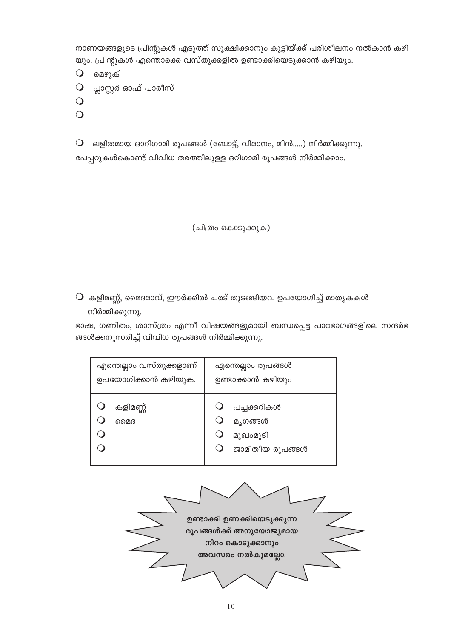നാണയങ്ങളുടെ പ്രിന്റുകൾ എടുത്ത് സൂക്ഷിക്കാനും കുട്ടിയ്ക്ക് പരിശീലനം നൽകാൻ കഴി യും. പ്രിന്റുകൾ എന്തൊക്കെ വസ്തുക്കളിൽ ഉണ്ടാക്കിയെടുക്കാൻ കഴിയും.

മെഴുക്  $\bigcirc$ 

- പ്ലാസ്റ്റർ ഓഫ് പാരീസ്  $\bigcirc$
- $\bigcirc$
- $\Omega$

 $\bigcirc$ ലളിതമായ ഓറിഗാമി രൂപങ്ങൾ (ബോട്ട്, വിമാനം, മീൻ.....) നിർമ്മിക്കുന്നു. പേപ്പറുകൾകൊണ്ട് വിവിധ തരത്തിലുള്ള ഒറിഗാമി രൂപങ്ങൾ നിർമ്മിക്കാം.

(ചിത്രം കൊടുക്കുക)

 $\mathsf O$  കളിമണ്ണ്, മൈദമാവ്, ഈർക്കിൽ ചരട് തുടങ്ങിയവ ഉപയോഗിച്ച് മാതൃകകൾ നിർമ്മിക്കുന്നു.

ഭാഷ, ഗണിതം, ശാസ്ത്രം എന്നീ വിഷയങ്ങളുമായി ബന്ധപ്പെട്ട പാഠഭാഗങ്ങളിലെ സന്ദർഭ ങ്ങൾക്കനുസരിച്ച് വിവിധ രൂപങ്ങൾ നിർമ്മിക്കുന്നു.

| എന്തെല്ലാം വസ്തുക്കളാണ് | എന്തെല്ലാം രൂപങ്ങൾ                                    |  |  |
|-------------------------|-------------------------------------------------------|--|--|
| ഉപയോഗിക്കാൻ കഴിയുക.     | ഉണ്ടാക്കാൻ കഴിയും                                     |  |  |
| കളിമണ്ണ്<br>മൈദ         | പച്ചക്കറികൾ<br>മൃഗങ്ങൾ<br>മുഖംമൂടി<br>ജാമിതീയ രൂപങ്ങൾ |  |  |

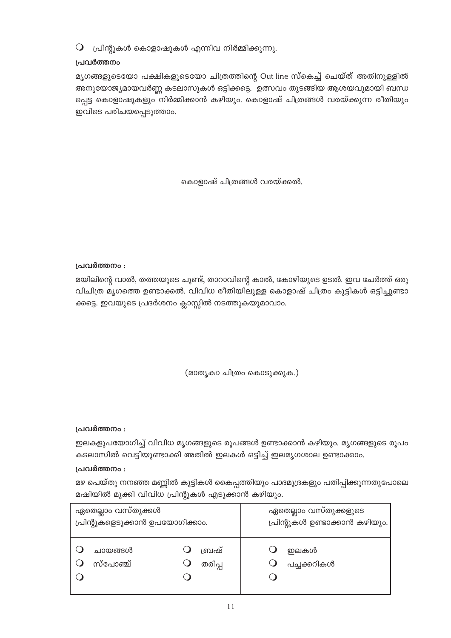$\mathsf O$  പ്രിന്റുകൾ കൊളാഷുകൾ എന്നിവ നിർമ്മിക്കുന്നു.

# പ്രവർത്തനം

മൃഗങ്ങളുടെയോ പക്ഷികളുടെയോ ചിത്രത്തിന്റെ Out line സ്കെച്ച് ചെയ്ത് അതിനുള്ളിൽ അനുയോജ്യമായവർണ്ണ കടലാസുകൾ ഒട്ടിക്കട്ടെ. ഉത്സവം തുടങ്ങിയ ആശയവുമായി ബന്ധ പ്പെട്ട കൊളാഷുകളും നിർമ്മിക്കാൻ കഴിയും. കൊളാഷ് ചിത്രങ്ങൾ വരയ്ക്കുന്ന രീതിയും ഇവിടെ പരിചയപ്പെടുത്താം.

കൊളാഷ് ചിത്രങ്ങൾ വരയ്ക്കൽ.

# പ്രവർത്തനം :

മയിലിന്റെ വാൽ, തത്തയുടെ ചുണ്ട്, താറാവിന്റെ കാൽ, കോഴിയുടെ ഉടൽ. ഇവ ചേർത്ത് ഒരു വിചിത്ര മൃഗത്തെ ഉണ്ടാക്കൽ. വിവിധ രീതിയിലുള്ള കൊളാഷ് ചിത്രം കുട്ടികൾ ഒട്ടിച്ചുണ്ടാ ക്കട്ടെ. ഇവയുടെ പ്രദർശനം ക്ലാസ്സിൽ നടത്തുകയുമാവാം.

(മാതൃകാ ചിത്രം കൊടുക്കുക.)

# പ്രവർത്തനം :

ഇലകളുപയോഗിച്ച് വിവിധ മൃഗങ്ങളുടെ രൂപങ്ങൾ ഉണ്ടാക്കാൻ കഴിയും. മൃഗങ്ങളുടെ രൂപം കടലാസിൽ വെട്ടിയുണ്ടാക്കി അതിൽ ഇലകൾ ഒട്ടിച്ച് ഇലമൃഗശാല ഉണ്ടാക്കാം.

# പ്രവർത്തനം :

മഴ പെയ്തു നനഞ്ഞ മണ്ണിൽ കുട്ടികൾ കൈപ്പത്തിയും പാദമുദ്രകളും പതിപ്പിക്കുന്നതുപോലെ മഷിയിൽ മുക്കി വിവിധ പ്രിന്റുകൾ എടുക്കാൻ കഴിയും.

| ഏതെല്ലാം വസ്തുക്കൾ              |        | ഏതെല്ലാം വസ്തുക്കളുടെ         |  |
|---------------------------------|--------|-------------------------------|--|
| പ്രിന്റുകളെടുക്കാൻ ഉപയോഗിക്കാം. |        | പ്രിന്റുകൾ ഉണ്ടാക്കാൻ കഴിയും. |  |
| ചായങ്ങൾ                         | ബ്രഷ്  | ഇലകൾ                          |  |
| സ്പോഞ്ച്                        | തരിപ്പ | പച്ചക്കറികൾ                   |  |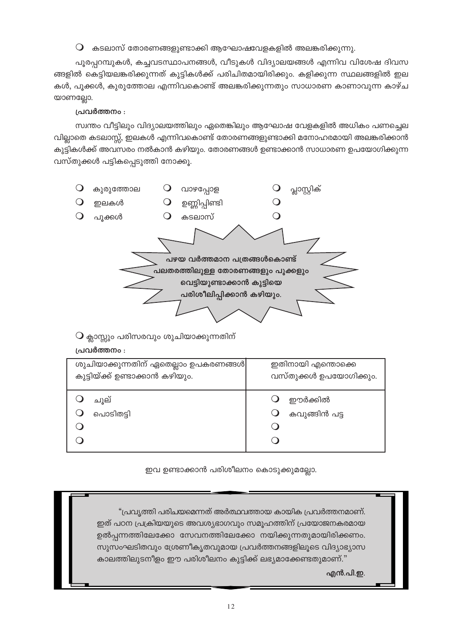$\, \mathsf{O} \,$  കടലാസ് തോരണങ്ങളുണ്ടാക്കി ആഘോഷവേളകളിൽ അലങ്കരിക്കുന്നു.

പുരപ്പറമ്പുകൾ, കച്ചവടസ്ഥാപനങ്ങൾ, വീടുകൾ വിദ്യാലയങ്ങൾ എന്നിവ വിശേഷ ദിവസ ങ്ങളിൽ കെട്ടിയലങ്കരിക്കുന്നത് കുട്ടികൾക്ക് പരിചിതമായിരിക്കും. കളിക്കുന്ന സ്ഥലങ്ങളിൽ ഇല കൾ, പൂക്കൾ, കുരുത്തോല എന്നിവകൊണ്ട് അലങ്കരിക്കുന്നതും സാധാരണ കാണാവുന്ന കാഴ്ച യാണല്ലോ.

# പ്രവർത്തനം :

സ്വന്തം വീട്ടിലും വിദ്യാലയത്തിലും ഏതെങ്കിലും ആഘോഷ വേളകളിൽ അധികം പണച്ചെല വില്ലാതെ കടലാസ്സ്, ഇലകൾ എന്നിവകൊണ്ട് തോരണങ്ങളുണ്ടാക്കി മനോഹരമായി അലങ്കരിക്കാൻ കുട്ടികൾക്ക് അവസരം നൽകാൻ കഴിയും. തോരണങ്ങൾ ഉണ്ടാക്കാൻ സാധാരണ ഉപയോഗിക്കുന്ന വസ്തുക്കൾ പട്ടികപ്പെടുത്തി നോക്കു.



 $\bigcirc$  ക്ലാസ്സും പരിസരവും ശുചിയാക്കുന്നതിന്

# പ്രവർത്തനം :

| ശുചിയാക്കുന്നതിന് ഏതെല്ലാം ഉപകരണങ്ങൾ | ഇതിനായി എന്തൊക്കെ      |  |  |
|--------------------------------------|------------------------|--|--|
| കുട്ടിയ്ക്ക് ഉണ്ടാക്കാൻ കഴിയും.      | വസ്തുക്കൾ ഉപയോഗിക്കും. |  |  |
| ചൂല്                                 | ഈർക്കിൽ                |  |  |
| പൊടിതട്ടി                            | കവുങ്ങിൻ പട്ട          |  |  |

ഇവ ഉണ്ടാക്കാൻ പരിശീലനം കൊടുക്കുമല്ലോ.

"പ്രവ്യത്തി പരിചയമെന്നത് അർത്ഥവത്തായ കായിക പ്രവർത്തനമാണ്. ഇത് പഠന പ്രക്രിയയുടെ അവശ്യഭാഗവും സമൂഹത്തിന് പ്രയോജനകരമായ ഉൽപന്നത്തിലേക്കോ സേവനത്തിലേക്കോ നയിക്കുന്നതുമായിരിക്കണം. സുസംഘടിതവും ശ്രേണീകൃതവുമായ പ്രവർത്തനങ്ങളിലൂടെ വിദ്യാഭ്യാസ കാലത്തിലുടനീളം ഈ പരിശീലനം കുട്ടിക്ക് ലഭ്യമാക്കേണ്ടതുമാണ്."

എൻ.പി.ഇ.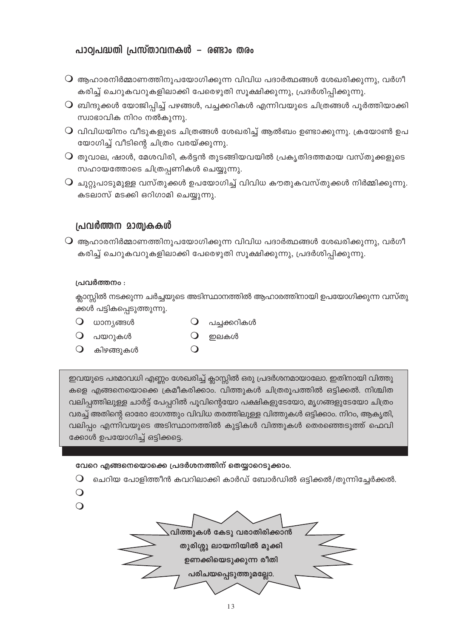# പാഠ്വപദ്ധതി പ്രസ്താവനകൾ – രണ്ടാം തരം

- $\, \mathsf{O} \,$  ആഹാരനിർമ്മാണത്തിനുപയോഗിക്കുന്ന വിവിധ പദാർത്ഥങ്ങൾ ശേഖരിക്കുന്നു, വർഗീ കരിച്ച് ചെറുകവറുകളിലാക്കി പേരെഴുതി സൂക്ഷിക്കുന്നു, പ്രദർശിപ്പിക്കുന്നു.
- $\mathsf O$  ബിന്ദുക്കൾ യോജിപ്പിച്ച് പഴങ്ങൾ, പച്ചക്കറികൾ എന്നിവയുടെ ചിത്രങ്ങൾ പൂർത്തിയാക്കി സ്വാഭാവിക നിറം നൽകുന്നു.
- $\operatorname{O}$  വിവിധയിനം വീടുകളുടെ ചിത്രങ്ങൾ ശേഖരിച്ച് ആൽബം ഉണ്ടാക്കുന്നു. ക്രയോൺ ഉപ യോഗിച്ച് വീടിന്റെ ചിത്രം വരയ്ക്കുന്നു.
- $\overline{\mathsf{Q}}$  തുവാല, ഷാൾ, മേശവിരി, കർട്ടൻ തുടങ്ങിയവയിൽ പ്രകൃതിദത്തമായ വസ്തുക്കളുടെ സഹായത്തോടെ ചിത്രപ്പണികൾ ചെയ്യുന്നു.
- $\overline{Q}$  ചുറ്റുപാടുമുള്ള വസ്തുക്കൾ ഉപയോഗിച്ച് വിവിധ കൗതുകവസ്തുക്കൾ നിർമ്മിക്കുന്നു. കടലാസ് മടക്കി ഒറിഗാമി ചെയ്യുന്നു.

# പ്രവർത്തന മാത്വകകൾ

 $\overline{\textbf{Q}}$  ആഹാരനിർമ്മാണത്തിനുപയോഗിക്കുന്ന വിവിധ പദാർത്ഥങ്ങൾ ശേഖരിക്കുന്നു, വർഗീ കരിച്ച് ചെറുകവറുകളിലാക്കി പേരെഴുതി സൂക്ഷിക്കുന്നു, പ്രദർശിപ്പിക്കുന്നു.

### പ്രവർത്തനം :

ക്ലാസ്സിൽ നടക്കുന്ന ചർച്ചയുടെ അടിസ്ഥാനത്തിൽ ആഹാരത്തിനായി ഉപയോഗിക്കുന്ന വസ്തു ക്കൾ പട്ടികപ്പെടുത്തുന്നു.

- $O$  ധാന്യങ്ങൾ
- $\Omega$ പച്ചക്കറികൾ
- $O$  പയറുകൾ
- കിഴങ്ങുകൾ  $\bigcirc$
- $\bigcirc$ ഇലകൾ

ഇവയുടെ പരമാവധി എണ്ണം ശേഖരിച്ച് ക്ലാസ്സിൽ ഒരു പ്രദർശനമായാലോ. ഇതിനായി വിത്തു കളെ എങ്ങനെയൊക്കെ ക്രമീകരിക്കാം. വിത്തുകൾ ചിത്രരൂപത്തിൽ ഒട്ടിക്കൽ. നിശ്ചിത വലിപ്പത്തിലുള്ള ചാർട്ട് പേപ്പറിൽ പൂവിന്റെയോ പക്ഷികളുടേയോ, മൃഗങ്ങളുടേയോ ചിത്രം വരച്ച് അതിന്റെ ഓരോ ഭാഗത്തും വിവിധ തരത്തിലുള്ള വിത്തുകൾ ഒട്ടിക്കാം. നിറം, ആകൃതി, വലിപ്പം എന്നിവയുടെ അടിസ്ഥാനത്തിൽ കുട്ടികൾ വിത്തുകൾ തെരഞ്ഞെടുത്ത് ഫെവി ക്കോൾ ഉപയോഗിച്ച് ഒട്ടിക്കട്ടെ.

## വേറെ എങ്ങനെയൊക്കെ പ്രദർശനത്തിന് തെയ്യാറെടുക്കാം.

- ചെറിയ പോളിത്തീൻ കവറിലാക്കി കാർഡ് ബോർഡിൽ ഒട്ടിക്കൽ/തൂന്നിച്ചേർക്കൽ.  $\bigcirc$
- $\bigcirc$
- $\Omega$

.<br>വിത്തുകൾ കേടു വരാതിരിക്കാൻ തുരിശ്ശു ലായനിയിൽ മുക്കി ഉണക്കിയെടുക്കുന്ന രീതി പരിചയപ്പെടുത്തുമല്ലോ.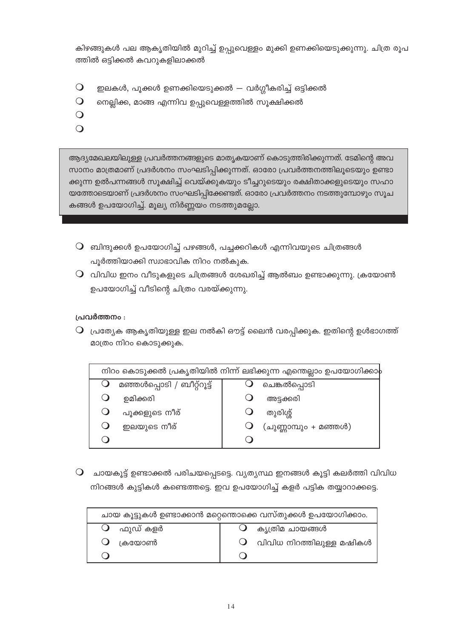കിഴങ്ങുകൾ പല ആകൃതിയിൽ മുറിച്ച് ഉപ്പുവെള്ളം മുക്കി ഉണക്കിയെടുക്കുന്നു. ചിത്ര രൂപ ത്തിൽ ഒട്ടിക്കൽ കവറുകളിലാക്കൽ

- ഇലകൾ, പൂക്കൾ ഉണക്കിയെടുക്കൽ വർഗ്ഗീകരിച്ച് ഒട്ടിക്കൽ  $\bigcirc$
- $\overline{O}$ നെല്ലിക്ക, മാങ്ങ എന്നിവ ഉപ്പുവെള്ളത്തിൽ സൂക്ഷിക്കൽ
- $\Omega$
- $\overline{O}$

ആദ്യമേഖലയിലുള്ള പ്രവർത്തനങ്ങളുടെ മാതൃകയാണ് കൊടുത്തിരിക്കുന്നത്. ടേമിന്റെ അവ സാനം മാത്രമാണ് പ്രദർശനം സംഘടിപ്പിക്കുന്നത്. ഓരോ പ്രവർത്തനത്തിലൂടെയും ഉണ്ടാ ക്കുന്ന ഉൽപന്നങ്ങൾ സൂക്ഷിച്ച് വെയ്ക്കുകയും ടീച്ചറുടെയും രക്ഷിതാക്കളുടെയും സഹാ യത്തോടെയാണ് പ്രദർശനം സംഘടിപ്പിക്കേണ്ടത്. ഓരോ പ്രവർത്തനം നടത്തുമ്പോഴും സൂച കങ്ങൾ ഉപയോഗിച്ച്. മൂല്യ നിർണ്ണയം നടത്തുമല്ലോ.

- $\mathsf O$  ബിന്ദുക്കൾ ഉപയോഗിച്ച് പഴങ്ങൾ, പച്ചക്കറികൾ എന്നിവയുടെ ചിത്രങ്ങൾ പൂർത്തിയാക്കി സ്വാഭാവിക നിറം നൽകൂക.
- $\mathsf O$  വിവിധ ഇനം വീടുകളുടെ ചിത്രങ്ങൾ ശേഖരിച്ച് ആൽബം ഉണ്ടാക്കുന്നു. ക്രയോൺ ഉപയോഗിച്ച് വീടിന്റെ ചിത്രം വരയ്ക്കുന്നു.

പ്രവർത്തനം :

 $\mathsf O$  പ്രത്യേക ആകൃതിയുള്ള ഇല നൽകി ഔട്ട് ലൈൻ വരപ്പിക്കുക. ഇതിന്റെ ഉൾഭാഗത്ത് മാത്രം നിറം കൊടുക്കുക.

| നിറം കൊടുക്കൽ പ്രകൃതിയിൽ നിന്ന് ലഭിക്കുന്ന എന്തെല്ലാം ഉപയോഗിക്കാ $\flat$ |                            |  |                       |  |
|--------------------------------------------------------------------------|----------------------------|--|-----------------------|--|
|                                                                          | മഞ്ഞൾപ്പൊടി / ബീറ്റ്റൂട്ട് |  | ചെങ്കൽപ്പൊടി          |  |
|                                                                          | ഉമിക്കരി                   |  | അട്ടക്കരി             |  |
|                                                                          | പൂക്കളുടെ നീര്             |  | തുരിശ്ശ്              |  |
|                                                                          | ഇലയുടെ നീര്                |  | (ചുണ്ണാമ്പും + മഞ്ഞൾ) |  |
|                                                                          |                            |  |                       |  |

 $\mathbf O$  ചായകൂട്ട് ഉണ്ടാക്കൽ പരിചയപ്പെടട്ടെ. വ്യത്യസ്ഥ ഇനങ്ങൾ കൂട്ടി കലർത്തി വിവിധ നിറങ്ങൾ കുട്ടികൾ കണ്ടെത്തട്ടെ. ഇവ ഉപയോഗിച്ച് കളർ പട്ടിക തയ്യാറാക്കട്ടെ.

| ചായ കൂട്ടുകൾ ഉണ്ടാക്കാൻ മറ്റെന്തൊക്കെ വസ്തുക്കൾ ഉപയോഗിക്കാം. |                                     |  |  |
|--------------------------------------------------------------|-------------------------------------|--|--|
| $\mathbf 0$ ഫുഡ് കളർ                                         | കൃത്രിമ ചായങ്ങൾ                     |  |  |
| $\bigcup$ ക്രയോൺ                                             | $\bigcirc$ വിവിധ നിറത്തിലുള്ള മഷികൾ |  |  |
|                                                              |                                     |  |  |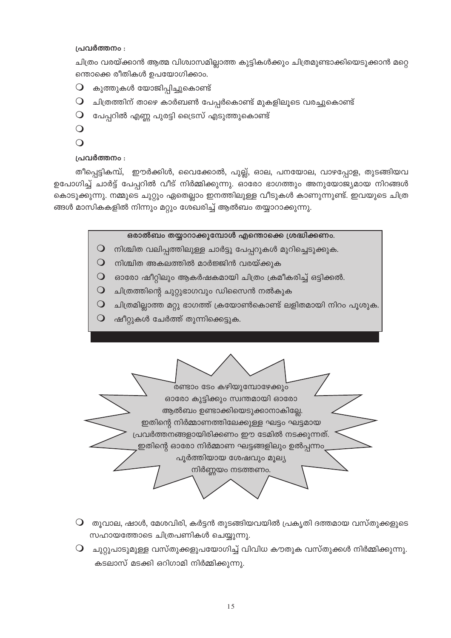### പ്രവർത്തനം :

ചിത്രം വരയ്ക്കാൻ ആത്മ വിശ്വാസമില്ലാത്ത കുട്ടികൾക്കും ചിത്രമുണ്ടാക്കിയെടുക്കാൻ മറ്റെ ന്തൊക്കെ രീതികൾ ഉപയോഗിക്കാം.

- കുത്തുകൾ യോജിപ്പിച്ചുകൊണ്ട്  $\bigcirc$
- $\mathsf O$  ചിത്രത്തിന് താഴെ കാർബൺ പേപ്പർകൊണ്ട് മുകളിലൂടെ വരച്ചുകൊണ്ട്
- $\mathsf O$  പേപ്പറിൽ എണ്ണ പുരട്ടി ട്രൈസ് എടുത്തുകൊണ്ട്
- $\overline{O}$
- $\bigcirc$

# പ്രവർത്തനം :

തീപ്പെട്ടികമ്പ്, ഈർക്കിൾ, വൈക്കോൽ, പുല്ല്, ഓല, പനയോല, വാഴപ്പോള, തുടങ്ങിയവ ഉപോഗിച്ച് ചാർട്ട് പേപ്പറിൽ വീട് നിർമ്മിക്കുന്നു. ഓരോ ഭാഗത്തും അനുയോജ്യമായ നിറങ്ങൾ കൊടുക്കുന്നു. നമ്മുടെ ചുറ്റും ഏതെല്ലാം ഇനത്തിലുള്ള വീടുകൾ കാണുന്നുണ്ട്. ഇവയുടെ ചിത്ര ങ്ങൾ മാസികകളിൽ നിന്നും മറ്റും ശേഖരിച്ച് ആൽബം തയ്യാറാക്കുന്നു.

## ഒരാൽബം തയ്യാറാക്കുമ്പോൾ എന്തൊക്കെ ശ്രദ്ധിക്കണം.

- $\mathsf O$  നിശ്ചിത വലിപ്പത്തിലുള്ള ചാർട്ടു പേപ്പറുകൾ മുറിച്ചെടുക്കുക.
- $\mathsf O$  നിശ്ചിത അകലത്തിൽ മാർജ്ജിൻ വരയ്ക്കുക
- $\mathsf O$  ഓരോ ഷീറ്റിലും ആകർഷകമായി ചിത്രം ക്രമീകരിച്ച് ഒട്ടിക്കൽ.
- $\mathsf O$  ചിത്രത്തിന്റെ ചുറ്റുഭാഗവും ഡിസൈൻ നൽകുക
- $\mathsf O$  ചിത്രമില്ലാത്ത മറ്റു ഭാഗത്ത് ക്രയോൺകൊണ്ട് ലളിതമായി നിറം പൂശുക.
- $\bigcirc$ ഷീറ്റുകൾ ചേർത്ത് തുന്നിക്കെട്ടുക.

ഓരോ കുട്ടിക്കും സ്വന്തമായി ഓരോ ആൽബം ഉണ്ടാക്കിയെടുക്കാനാകില്ലേ. ഇതിന്റെ നിർമ്മാണത്തിലേക്കുള്ള ഘട്ടം ഘട്ടമായ പ്രവർത്തനങ്ങളായിരിക്കണം ഈ ടേമിൽ നടക്കുന്നത്.

.<br>രണ്ടാം ടേം കഴിയുമ്പോഴേക്കും

ഇതിന്റെ ഓരോ നിർമ്മാണ ഘട്ടങ്ങളിലും ഉൽപ്പന്നം

പൂർത്തിയായ ശേഷവും മൂല്യ നിർണ്ണയം നടത്തണം.

- $\bigcirc$  തൂവാല, ഷാൾ, മേശവിരി, കർട്ടൻ തുടങ്ങിയവയിൽ പ്രകൃതി ദത്തമായ വസ്തുക്കളുടെ സഹായത്തോടെ ചിത്രപണികൾ ചെയ്യുന്നു.
- $\mathsf Q$  ചുറ്റുപാടുമുള്ള വസ്തുക്കളുപയോഗിച്ച് വിവിധ കൗതുക വസ്തുക്കൾ നിർമ്മിക്കുന്നു. കടലാസ് മടക്കി ഒറിഗാമി നിർമ്മിക്കുന്നു.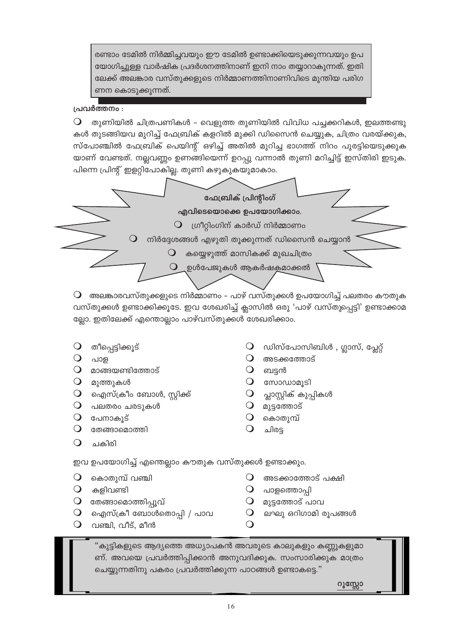രണ്ടാം ടേമിൽ നിർമ്മിച്ചവയും ഈ ടേമിൽ ഉണ്ടാക്കിയെടുക്കുന്നവയും ഉപ യോഗിച്ചുള്ള വാർഷിക പ്രദർശനത്തിനാണ് ഇനി നാം തയ്യാറാകുന്നത്. ഇതി ലേക്ക് അലങ്കാര വസ്തുക്കളുടെ നിർമ്മാണത്തിനാണിവിടെ മുന്തിയ പരിഗ ണന കൊടുക്കുന്നത്.

## പ്രവർത്തനം :

തുണിയിൽ ചിത്രപണികൾ – വെളുത്ത തുണിയിൽ വിവിധ പച്ചക്കറികൾ, ഇലത്തണ്ടു  $\bigcirc$ കൾ തുടങ്ങിയവ മുറിച്ച് ഫേബ്രിക് കളറിൽ മുക്കി ഡിസൈൻ ചെയ്യുക, ചിത്രം വരയ്ക്കുക, സ്പോഞ്ചിൽ ഫേബ്രിക് പെയിന്റ് ഒഴിച്ച് അതിൽ മുറിച്ച ഭാഗത്ത് നിറം പുരട്ടിയെടുക്കുക യാണ് വേണ്ടത്. നല്ലവണ്ണം ഉണങ്ങിയെന്ന് ഉറപ്പു വന്നാൽ തുണി മറിച്ചിട്ട് ഇസ്തിരി ഇടുക. പിന്നെ പ്രിന്റ് ഇളറ്റിപോകില്ല. തുണി കഴുകുകയുമാകാം.



 $\mathsf O$  അലങ്കാരവസ്തുക്കളുടെ നിർമ്മാണം – പാഴ് വസ്തുക്കൾ ഉപയോഗിച്ച് പലതരം കൗതുക വസ്തുക്കൾ ഉണ്ടാക്കിക്കൂടേ. ഇവ ശേഖരിച്ച് ക്ലാസിൽ ഒരു 'പാഴ് വസ്തുപ്പെട്ടി' ഉണ്ടാക്കാമ ല്ലോ. ഇതിലേക്ക് എന്തൊല്ലാം പാഴ്വസ്തുക്കൾ ശേഖരിക്കാം.

- തീപ്പെട്ടിക്കൂട്
- $\Omega$ പാള
- $\mathsf{Q}$  മാങ്ങയണ്ടിത്തോട്
- $O$  മുത്തുകൾ
- $\mathsf O$  ഐസ്ക്രീം ബോൾ, സ്റ്റിക്ക്
- $\bigcirc$  പലതരം ചരടുകൾ
- $\bigcirc$  പേനാകുട്
- $\Omega$ തേങ്ങാമൊത്തി
- $\Omega$ ചകിരി
- ഡിസ്പോസിബിൾ , ഗ്ലാസ്, പ്ലേറ്റ്
- $\mathbf O$  അടക്കത്തോട്
- $\bigcirc$ ബട്ടൻ
- $\mathbf 0$  compound  $\mathbf 0$
- $\bigcirc$ പ്ലാസ്റ്റിക് കുപ്പികൾ
- $\bigcirc$ മുട്ടത്തോട്
- $\Omega$ കൊതുമ്പ്
- $\Omega$ ചിരട

ഇവ ഉപയോഗിച്ച് എന്തെല്ലാം കൗതുക വസ്തുക്കൾ ഉണ്ടാക്കും.

- $\Omega$ കൊതുമ്പ് വഞ്ചി
- $\Omega$ കളിവണ്ടി
- $\mathsf O$  തേങ്ങാമൊത്തിപ്പൂവ്
- $\bigcirc$  ഐസ്ക്രീ ബോൾതൊപ്പി / പാവ
- $\bullet$ വഞ്ചി, വീട്, മീൻ
- $\Omega$ അടക്കാത്തോട് പക്ഷി
- പാളത്തൊപി
- $\Omega$  മുട്ടത്തോട് പാവ
- ലഘു ഒറിഗാമി രൂപങ്ങൾ  $\Omega$

"കുട്ടികളുടെ ആദ്യത്തെ അധ്യാപകൻ അവരുടെ കാലുകളും കണ്ണുകളുമാ ണ്. അവയെ പ്രവർത്തിപ്പിക്കാൻ അനുവദിക്കുക. സംസാരിക്കുക മാത്രം ചെയ്യുന്നതിനു പകരം പ്രവർത്തിക്കുന്ന പാഠങ്ങൾ ഉണ്ടാകട്ടെ."

 $\Omega$ 

ဂၢၘဏ္ဏေ၁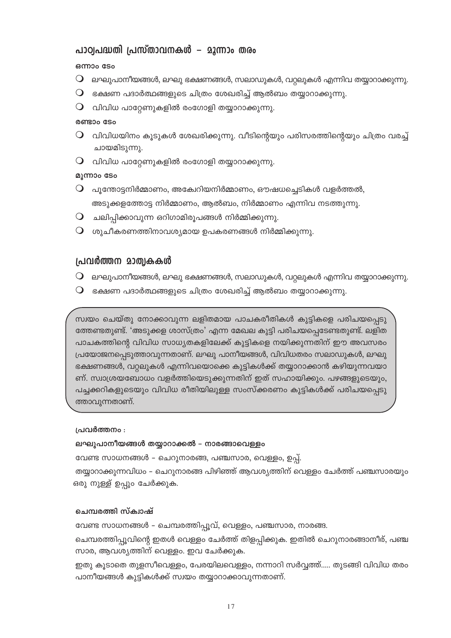# പാഠ്വപദ്ധതി പ്രസ്താവനകൾ – മൂന്നാം തരം

### ഒന്നാം ടേം

- $\mathsf O$  ലഘുപാനീയങ്ങൾ, ലഘു ഭക്ഷണങ്ങൾ, സലാഡുകൾ, വറ്റലുകൾ എന്നിവ തയ്യാറാക്കുന്നു.
- $\mathsf O$  ഭക്ഷണ പദാർത്ഥങ്ങളുടെ ചിത്രം ശേഖരിച്ച് ആൽബം തയ്യാറാക്കുന്നു.
- $\mathsf O$  വിവിധ പാറ്റേണുകളിൽ രംഗോളി തയ്യാറാക്കുന്നു.

### രണ്ടാം ടേം

- $\operatorname{\mathsf{Q}}$  വിവിധയിനം കൂടുകൾ ശേഖരിക്കുന്നു. വീടിന്റെയും പരിസരത്തിന്റെയും ചിത്രം വരച്ച് ചായമിടുന്നു.
- $\mathsf O$  വിവിധ പാറ്റേണുകളിൽ രംഗോളി തയ്യാറാക്കുന്നു.

### മൂന്നാം ടേം

- $\, \mathsf{O} \,$  പൂന്തോട്ടനിർമ്മാണം, അക്വേറിയനിർമ്മാണം, ഔഷധച്ചെടികൾ വളർത്തൽ, അടുക്കളത്തോട്ട നിർമ്മാണം, ആൽബം, നിർമ്മാണം എന്നിവ നടത്തുന്നു.
- $\mathsf O$  ചലിപ്പിക്കാവുന്ന ഒറിഗാമിരൂപങ്ങൾ നിർമ്മിക്കുന്നു.
- $\mathsf O$  ശുചീകരണത്തിനാവശ്യമായ ഉപകരണങ്ങൾ നിർമ്മിക്കുന്നു.

## പ്രവർത്തന മാത്വകകൾ

- $\bigcirc$  ലഘുപാനീയങ്ങൾ, ലഘു ഭക്ഷണങ്ങൾ, സലാഡുകൾ, വറ്റലുകൾ എന്നിവ തയ്യാറാക്കുന്നു.
- $\mathsf O$  ഭക്ഷണ പദാർത്ഥങ്ങളുടെ ചിത്രം ശേഖരിച്ച് ആൽബം തയ്യാറാക്കുന്നു.

സ്വയം ചെയ്തു നോക്കാവുന്ന ലളിതമായ പാചകരീതികൾ കുട്ടികളെ പരിചയപ്പെടു ത്തേണ്ടതുണ്ട്. 'അടുക്കള ശാസ്ത്രം' എന്ന മേഖല കുട്ടി പരിചയപ്പെടേണ്ടതുണ്ട്. ലളിത പാചകത്തിന്റെ വിവിധ സാധ്യതകളിലേക്ക് കുട്ടികളെ നയിക്കുന്നതിന് ഈ അവസരം പ്രയോജനപ്പെടുത്താവുന്നതാണ്. ലഘു പാനീയങ്ങൾ, വിവിധതരം സലാഡുകൾ, ലഘു ഭക്ഷണങ്ങൾ, വറ്റലുകൾ എന്നിവയൊക്കെ കുട്ടികൾക്ക് തയ്യാറാക്കാൻ കഴിയുന്നവയാ ണ്. സ്വാശ്രയബോധം വളർത്തിയെടുക്കുന്നതിന് ഇത് സഹായിക്കും. പഴങ്ങളുടെയും, പച്ചക്കറികളുടെയും വിവിധ രീതിയിലുള്ള സംസ്ക്കരണം കുട്ടികൾക്ക് പരിചയപ്പെടു ത്താവുന്നതാണ്.

### പ്രവർത്തനം :

ലഘുപാനീയങ്ങൾ തയ്യാറാക്കൽ – നാരങ്ങാവെള്ളം

വേണ്ട സാധനങ്ങൾ – ചെറുനാരങ്ങ, പഞ്ചസാര, വെള്ളം, ഉപ്പ്. തയ്യാറാക്കുന്നവിധം – ചെറുനാരങ്ങ പിഴിഞ്ഞ് ആവശ്യത്തിന് വെള്ളം ചേർത്ത് പഞ്ചസാരയും ഒരു നുള്ള് ഉപ്പും ചേർക്കുക.

### ചെന്ദ്വരത്തി സ്ക്വാഷ്

വേണ്ട സാധനങ്ങൾ – ചെമ്പരത്തിപ്പൂവ്, വെള്ളം, പഞ്ചസാര, നാരങ്ങ.

ചെമ്പരത്തിപ്പൂവിന്റെ ഇതൾ വെള്ളം ചേർത്ത് തിളപ്പിക്കുക. ഇതിൽ ചെറുനാരങ്ങാനീര്, പഞ്ച സാര, ആവശ്യത്തിന് വെള്ളം. ഇവ ചേർക്കുക.

ഇതു കൂടാതെ തുളസീവെള്ളം, പേരയിലവെള്ളം, നന്നാറി സർവ്വത്ത്..... തുടങ്ങി വിവിധ തരം പാനീയങ്ങൾ കുട്ടികൾക്ക് സ്വയം തയ്യാറാക്കാവുന്നതാണ്.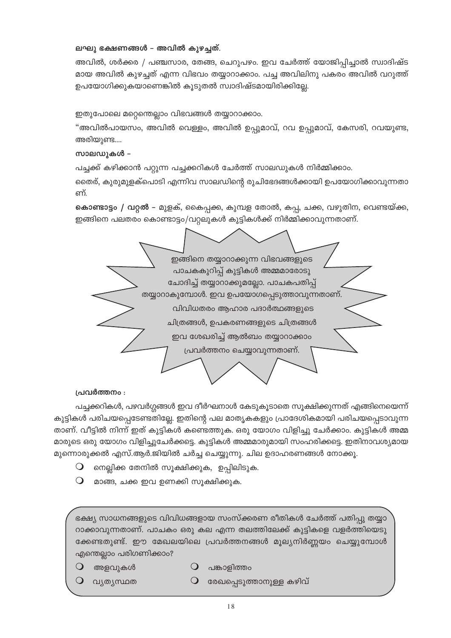### ലഘു ഭക്ഷണങ്ങൾ – അവിൽ കുഴച്ചത്.

അവിൽ, ശർക്കര / പഞ്ചസാര, തേങ്ങ, ചെറുപഴം. ഇവ ചേർത്ത് യോജിപ്പിച്ചാൽ സ്വാദിഷ്ട മായ അവിൽ കുഴച്ചത് എന്ന വിഭവം തയ്യാറാക്കാം. പച്ച അവിലിനു പകരം അവിൽ വറുത്ത് ഉപയോഗിക്കുകയാണെങ്കിൽ കൂടുതൽ സ്വാദിഷ്ടമായിരിക്കില്ലേ.

ഇതുപോലെ മറ്റെന്തെല്ലാം വിഭവങ്ങൾ തയ്യാറാക്കാം.

"അവിൽപായസം, അവിൽ വെള്ളം, അവിൽ ഉപ്പുമാവ്, റവ ഉപ്പുമാവ്, കേസരി, റവയുണ്ട, അരിയുണ്ട....

### സാലഡുകൾ –

പച്ചക്ക് കഴിക്കാൻ പറ്റുന്ന പച്ചക്കറികൾ ചേർത്ത് സാലഡുകൾ നിർമ്മിക്കാം.

തൈര്, കുരുമുളക്പൊടി എന്നിവ സാലഡിന്റെ രുചിഭേദങ്ങൾക്കായി ഉപയോഗിക്കാവുന്നതാ ണ്.

**കൊണ്ടാട്ടം / വറ്റൽ** – മുളക്, കൈപ്പക്ക, കുമ്പള തോൽ, കപ്പ, ചക്ക, വഴുതിന, വെണ്ടയ്ക്ക, ഇങ്ങിനെ പലതരം കൊണ്ടാട്ടം/വറ്റലുകൾ കുട്ടികൾക്ക് നിർമ്മിക്കാവുന്നതാണ്.



### പ്രവർത്തനം :

പച്ചക്കറികൾ, പഴവർഗ്ഗങ്ങൾ ഇവ ദീർഘനാൾ കേടുകൂടാതെ സൂക്ഷിക്കുന്നത് എങ്ങിനെയെന്ന് കുട്ടികൾ പരിചയപ്പെടേണ്ടതില്ലേ. ഇതിന്റെ പല മാതൃകകളും പ്രാദേശികമായി പരിചയപ്പെടാവുന്ന താണ്. വീട്ടിൽ നിന്ന് ഇത് കുട്ടികൾ കണ്ടെത്തുക. ഒരു യോഗം വിളിച്ചു ചേർക്കാം. കുട്ടികൾ അമ്മ മാരുടെ ഒരു യോഗം വിളിച്ചുചേർക്കട്ടെ. കുട്ടികൾ അമ്മമാരുമായി സംഹരിക്കട്ടെ. ഇതിനാവശ്യമായ മുന്നൊരുക്കൽ എസ്.ആർ.ജിയിൽ ചർച്ച ചെയ്യുന്നു. ചില ഉദാഹരണങ്ങൾ നോക്കൂ.

- നെല്ലിക്ക തേനിൽ സൂക്ഷിക്കുക, ഉപ്പിലിടുക.  $\bigcirc$
- $\bigcirc$ മാങ്ങ, ചക്ക ഇവ ഉണക്കി സൂക്ഷിക്കുക.

ഭക്ഷ്യ സാധനങ്ങളുടെ വിവിധങ്ങളായ സംസ്ക്കരണ രീതികൾ ചേർത്ത് പതിപ്പു തയ്യാ റാക്കാവുന്നതാണ്. പാചകം ഒരു കല എന്ന തലത്തിലേക്ക് കുട്ടികളെ വളർത്തിയെടു ക്കേണ്ടതുണ്ട്. ഈ മേഖലയിലെ പ്രവർത്തനങ്ങൾ മൂല്യനിർണ്ണയം ചെയ്യുമ്പോൾ എന്തെല്ലാം പരിഗണിക്കാം?

- $\bigcirc$ അളവുകൾ
- $\bigcirc$ പങ്കാളിത്തം
- വ്യത്യസ്ഥത
- $\bigcirc$ രേഖപ്പെടുത്താനുള്ള കഴിവ്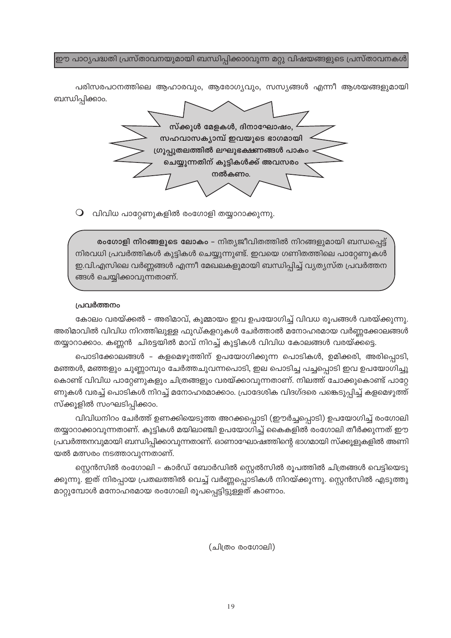ഈ പാഠൃപദ്ധതി പ്രസ്താവനയുമായി ബന്ധിപ്പിക്കാ0വുന്ന മറ്റു വിഷയങ്ങളുടെ പ്രസ്താവനകൾ

പരിസരപഠനത്തിലെ ആഹാരവും, ആരോഗ്യവും, സസ്യങ്ങൾ എന്നീ ആശയങ്ങളുമായി ബന്ധിപ്പിക്കാം.



 $\mathsf O$  വിവിധ പാറ്റേണുകളിൽ രംഗോളി തയ്യാറാക്കുന്നു.

രംഗോളി നിറങ്ങളുടെ ലോകം – നിത്യജീവിതത്തിൽ നിറങ്ങളുമായി ബന്ധപ്പെട്ട് നിരവധി പ്രവർത്തികൾ കുട്ടികൾ ചെയ്യുന്നുണ്ട്. ഇവയെ ഗണിതത്തിലെ പാറ്റേണുകൾ ഇ.വി.എസിലെ വർണ്ണങ്ങൾ എന്നീ മേഖലകളുമായി ബന്ധിപ്പിച്ച് വ്യത്യസ്ത പ്രവർത്തന ങ്ങൾ ചെയ്യിക്കാവുന്നതാണ്.

#### പ്രവർത്തനം

കോലം വരയ്ക്കൽ – അരിമാവ്, കുമ്മായം ഇവ ഉപയോഗിച്ച് വിവധ രൂപങ്ങൾ വരയ്ക്കുന്നു. അരിമാവിൽ വിവിധ നിറത്തിലുള്ള ഫുഡ്കളറുകൾ ചേർത്താൽ മനോഹരമായ വർണ്ണക്കോലങ്ങൾ തയ്യാറാക്കാം. കണ്ണൻ ചിരട്ടയിൽ മാവ് നിറച്ച് കുട്ടികൾ വിവിധ കോലങ്ങൾ വരയ്ക്കട്ടെ.

പൊടിക്കോലങ്ങൾ – കളമെഴുത്തിന് ഉപയോഗിക്കുന്ന പൊടികൾ, ഉമിക്കരി, അരിപ്പൊടി, മഞ്ഞൾ, മഞ്ഞളും ചുണ്ണാമ്പും ചേർത്തചുവന്നപൊടി, ഇല പൊടിച്ച പച്ചപ്പൊടി ഇവ ഉപയോഗിച്ചു കൊണ്ട് വിവിധ പാറ്റേണുകളും ചിത്രങ്ങളും വരയ്ക്കാവുന്നതാണ്. നിലത്ത് ചോക്കുകൊണ്ട് പാറ്റേ ണുകൾ വരച്ച് പൊടികൾ നിറച്ച് മനോഹരമാക്കാം. പ്രാദേശിക വിദഗ്ദരെ പങ്കെടുപ്പിച്ച് കളമെഴുത്ത് സ്ക്കൂളിൽ സംഘടിപ്പിക്കാം.

വിവിധനിറം ചേർത്ത് ഉണക്കിയെടുത്ത അറക്കപ്പൊടി (ഈർച്ചപ്പൊടി) ഉപയോഗിച്ച് രംഗോലി തയ്യാറാക്കാവുന്നതാണ്. കുട്ടികൾ മയിലാഞ്ചി ഉപയോഗിച്ച് കൈകളിൽ രംഗോലി തീർക്കുന്നത് ഈ പ്രവർത്തനവുമായി ബന്ധിപ്പിക്കാവുന്നതാണ്. ഓണാഘോഷത്തിന്റെ ഭാഗമായി സ്ക്കൂളുകളിൽ അണി യൽ മത്സരം നടത്താവുന്നതാണ്.

സ്റ്റെൻസിൽ രംഗോലി – കാർഡ് ബോർഡിൽ സ്റ്റെൽസിൽ രൂപത്തിൽ ചിത്രങ്ങൾ വെട്ടിയെടു ക്കുന്നു. ഇത് നിരപ്പായ പ്രതലത്തിൽ വെച്ച് വർണ്ണപ്പൊടികൾ നിറയ്ക്കുന്നു. സ്റ്റെൻസിൽ എടുത്തു മാറ്റുമ്പോൾ മനോഹരമായ രംഗോലി രൂപപ്പെട്ടിട്ടുള്ളത് കാണാം.

(ചിത്രം രംഗോലി)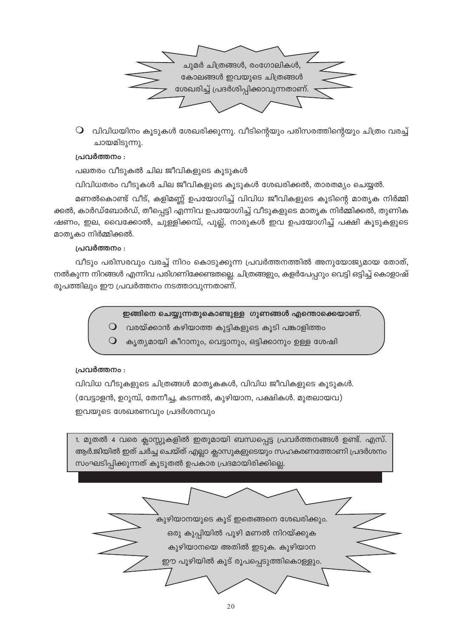

 $\mathsf O$  വിവിധയിനം കൂടുകൾ ശേഖരിക്കുന്നു. വീടിന്റെയും പരിസരത്തിന്റെയും ചിത്രം വരച്ച് ചായമിടുന്നു.

### പ്രവർത്തനം :

പലതരം വീടുകൽ ചില ജീവികളുടെ കൂടുകൾ

വിവിധതരം വീടുകൾ ചില ജീവികളുടെ കൂടുകൾ ശേഖരിക്കൽ, താരതമ്യം ചെയ്യൽ.

മണൽകൊണ്ട് വീട്, കളിമണ്ണ് ഉപയോഗിച്ച് വിവിധ ജീവികളുടെ കൂടിന്റെ മാതൃക നിർമ്മി ക്കൽ, കാർഡ്ബോർഡ്, തീപ്പെട്ടി എന്നിവ ഉപയോഗിച്ച് വീടുകളുടെ മാതൃക നിർമ്മിക്കൽ, തുണിക ഷണം, ഇല, വൈക്കോൽ, ചുള്ളിക്കമ്പ്, പുല്ല്, നാരുകൾ ഇവ ഉപയോഗിച്ച് പക്ഷി കൂടുകളുടെ മാതൃകാ നിർമ്മിക്കൽ.

#### പ്രവർത്തനം :

വീടും പരിസരവും വരച്ച് നിറം കൊടുക്കുന്ന പ്രവർത്തനത്തിൽ അനുയോജ്യമായ തോത്, നൽകുന്ന നിറങ്ങൾ എന്നിവ പരിഗണിക്കേണ്ടതല്ലെ. ചിത്രങ്ങളും, കളർപേപ്പറും വെട്ടി ഒട്ടിച്ച് കൊളാഷ് രൂപത്തിലും ഈ പ്രവർത്തനം നടത്താവുന്നതാണ്.

ഇങ്ങിനെ ചെയ്യുന്നതുകൊണ്ടുള്ള ഗുണങ്ങൾ എന്തൊക്കെയാണ്.

- വരയ്ക്കാൻ കഴിയാത്ത കുട്ടികളുടെ കൂടി പങ്കാളിത്തം  $\bigcirc$
- കൃത്യമായി കീറാനും, വെട്ടാനും, ഒട്ടിക്കാനും ഉള്ള ശേഷി  $\bigcirc$

### പ്രവർത്തനം :

വിവിധ വീടുകളുടെ ചിത്രങ്ങൾ മാതൃകകൾ, വിവിധ ജീവികളുടെ കൂടുകൾ. (വേട്ടാളൻ, ഉറുമ്പ്, തേനീച്ച, കടന്നൽ, കുഴിയാന, പക്ഷികൾ. മുതലായവ) ഇവയുടെ ശേഖരണവും പ്രദർശനവും

1. മുതൽ 4 വരെ ക്ലാസ്സുകളിൽ ഇതുമായി ബന്ധപ്പെട്ട പ്രവർത്തനങ്ങൾ ഉണ്ട്. എസ്. ആർ.ജിയിൽ ഇത് ചർച്ച ചെയ്ത് എല്ലാ ക്ലാസുകളുടെയും സഹകരണത്തോണി പ്രദർശനം സംഘടിപ്പിക്കുന്നത് കൂടുതൽ ഉപകാര പ്രദമായിരിക്കില്ലെ.

> \_<br>കുഴിയാനയുടെ കൂട് ഇതെങ്ങനെ ശേഖരിക്കും. ഒരു കുപ്പിയിൽ പൂഴി മണൽ നിറയ്ക്കുക കുഴിയാനയെ അതിൽ ഇടുക. കുഴിയാന ഈ പൂഴിയിൽ കൂട് രൂപപ്പെടുത്തികൊള്ളും.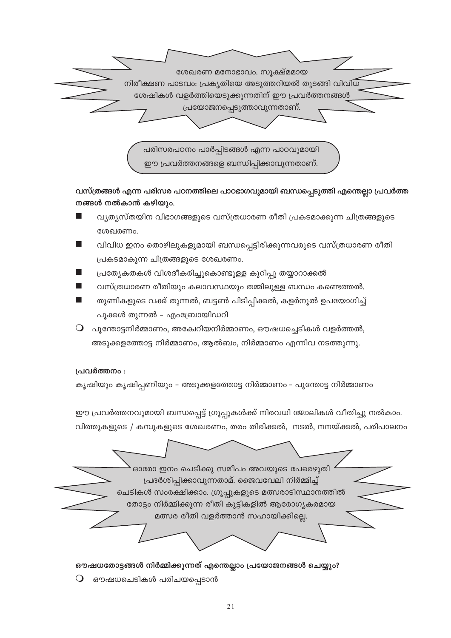

വസ്ത്രങ്ങൾ എന്ന പരിസര പഠനത്തിലെ പാഠഭാഗവുമായി ബന്ധപ്പെടുത്തി എന്തെല്ലാ പ്രവർത്ത നങ്ങൾ നൽകാൻ കഴിയും.

- വ്യത്യസ്തയിന വിഭാഗങ്ങളുടെ വസ്ത്രധാരണ രീതി പ്രകടമാക്കുന്ന ചിത്രങ്ങളുടെ ശേഖരണം.
- വിവിധ ഇനം തൊഴിലുകളുമായി ബന്ധപ്പെട്ടിരിക്കുന്നവരുടെ വസ്ത്രധാരണ രീതി പ്രകടമാകുന്ന ചിത്രങ്ങളുടെ ശേഖരണം.
- പ്രത്യേകതകൾ വിശദീകരിച്ചുകൊണ്ടുള്ള കുറിപ്പു തയ്യാറാക്കൽ
- വസ്ത്രധാരണ രീതിയും കലാവസ്ഥയും തമ്മിലുള്ള ബന്ധം കണ്ടെത്തൽ.
- തുണികളുടെ വക്ക് തുന്നൽ, ബട്ടൺ പിടിപ്പിക്കൽ, കളർനൂൽ ഉപയോഗിച്ച് പൂക്കൾ തുന്നൽ – എംബ്രോയിഡറി
- $\, \mathsf{O} \,$  പൂന്തോട്ടനിർമ്മാണം, അക്വേറിയനിർമ്മാണം, ഔഷധച്ചെടികൾ വളർത്തൽ, അടുക്കളത്തോട്ട നിർമ്മാണം, ആൽബം, നിർമ്മാണം എന്നിവ നടത്തുന്നു.

## പ്രവർത്തനം :

 $\bigcirc$ 

കൃഷിയും കൃഷിപ്പണിയും - അടുക്കളത്തോട്ട നിർമ്മാണം - പൂന്തോട്ട നിർമ്മാണം

ഈ പ്രവർത്തനവുമായി ബന്ധപ്പെട്ട് ഗ്രൂപ്പുകൾക്ക് നിരവധി ജോലികൾ വീതിച്ചു നൽകാം.

വിത്തുകളുടെ / കമ്പുകളുടെ ശേഖരണം, തരം തിരിക്കൽ, നടൽ, നനയ്ക്കൽ, പരിപാലനം

ഓരോ ഇനം ചെടിക്കു സമീപം അവയുടെ പേരെഴുതി പ്രദർശിപ്പിക്കാവുന്നതാമ്. ജൈവവേലി നിർമ്മിച്ച് ചെടികൾ സംരക്ഷിക്കാം. ഗ്രൂപ്പുകളുടെ മത്സരാടിസ്ഥാനത്തിൽ തോട്ടം നിർമ്മിക്കുന്ന രീതി കുട്ടികളിൽ ആരോഗ്യകരമായ മത്സര രീതി വളർത്താൻ സഹായിക്കില്ലെ.

ഔഷധതോട്ടങ്ങൾ നിർമ്മിക്കുന്നത് എന്തെല്ലാം പ്രയോജനങ്ങൾ ചെയ്യും? ഔഷധചെടികൾ പരിചയപ്പെടാൻ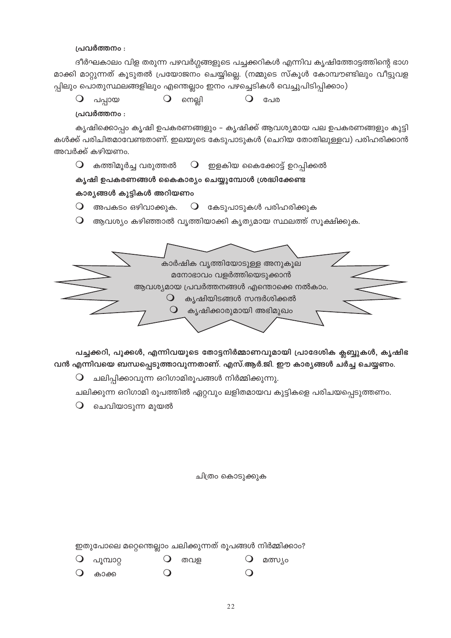പ്രവർത്തനം :

ദീർഘകാലം വിള തരുന്ന പഴവർഗ്ഗങ്ങളുടെ പച്ചക്കറികൾ എന്നിവ കൃഷിത്തോട്ടത്തിന്റെ ഭാഗ മാക്കി മാറ്റുന്നത് കൂടുതൽ പ്രയോജനം ചെയ്യില്ലെ. (നമ്മുടെ സ്കൂൾ കോമ്പൗണ്ടിലും വീട്ടുവള പ്പിലും പൊതുസ്ഥലങ്ങളിലും എന്തെല്ലാം ഇനം പഴച്ചെടികൾ വെച്ചുപിടിപ്പിക്കാം)

|  | പപ്പായ                                             | നെല്ലി |                                                                                                              | പേര                                                                        |  |
|--|----------------------------------------------------|--------|--------------------------------------------------------------------------------------------------------------|----------------------------------------------------------------------------|--|
|  | പ്രവർത്തനം :                                       |        |                                                                                                              |                                                                            |  |
|  |                                                    |        |                                                                                                              | കൃഷിക്കൊപ്പം കൃഷി ഉപകരണങ്ങളും – കൃഷിക്ക് ആവശ്യമായ പല ഉപകരണങ്ങളും കുട്ടി    |  |
|  | അവർക്ക് കഴിയണം.                                    |        |                                                                                                              | കൾക്ക് പരിചിതമാവേണ്ടതാണ്. ഇലയുടെ കേടുപാടുകൾ (ചെറിയ തോതിലുള്ളവ) പരിഹരിക്കാൻ |  |
|  |                                                    |        |                                                                                                              | കത്തിമൂർച്ച വരുത്തൽ $\;\;\;\;$ O ഈളകിയ കൈക്കോട്ട് ഉറപ്പിക്കൽ               |  |
|  | കൃഷി ഉപകരണങ്ങൾ കൈകാര്യം ചെയ്യുമ്പോൾ ശ്രദ്ധിക്കേണ്ട |        |                                                                                                              |                                                                            |  |
|  | കാര്യങ്ങൾ കുട്ടികൾ അറിയണം                          |        |                                                                                                              |                                                                            |  |
|  | അപകടം ഒഴിവാക്കുക.                                  |        |                                                                                                              | $\bigcup$ കേടുപാടുകൾ പരിഹരിക്കുക                                           |  |
|  |                                                    |        |                                                                                                              | ആവശ്യം കഴിഞ്ഞാൽ വൃത്തിയാക്കി കൃത്യമായ സ്ഥലത്ത് സൂക്ഷിക്കുക.                |  |
|  |                                                    |        | കാർഷിക വൃത്തിയോടുള്ള അനുകൂല<br>മനോഭാവം വളർത്തിയെടുക്കാൻ<br>കൃഷിയിടങ്ങൾ സന്ദർശിക്കൽ<br>കൃഷിക്കാരുമായി അഭിമുഖം | ആവശ്യമായ പ്രവർത്തനങ്ങൾ എന്തൊക്കെ നൽകാം.                                    |  |

വൻ എന്നിവയെ ബന്ധപ്പെടുത്താവുന്നതാണ്. എസ്.ആർ.ജി. ഈ കാര്യങ്ങൾ ചർച്ച ചെയ്യണം.

╰

പച്ചക്കറി, പൂക്കൾ, എന്നിവയുടെ തോട്ടനിർമ്മാണവുമായി പ്രാദേശിക ക്ലബ്ബുകൾ, കൃഷിഭ

ചലിക്കുന്ന ഒറിഗാമി രൂപത്തിൽ ഏറ്റവും ലളിതമായവ കുട്ടികളെ പരിചയപ്പെടുത്തണം.

 $\mathsf O$  ചലിപ്പിക്കാവുന്ന ഒറിഗാമിരൂപങ്ങൾ നിർമ്മിക്കുന്നു.

 $\mathsf O$  ചെവിയാടുന്ന മുയൽ

ചിത്രം കൊടുക്കുക

ഇതുപോലെ മറ്റെന്തെല്ലാം ചലിക്കുന്നത് രൂപങ്ങൾ നിർമ്മിക്കാം?

 $Q$  പൂമ്പാറ്റ  $\bigcirc$  $\bigcirc$ തവള മത്സ്യം  $\bigcirc$  $\Omega$  $\bigcirc$ കാക്ക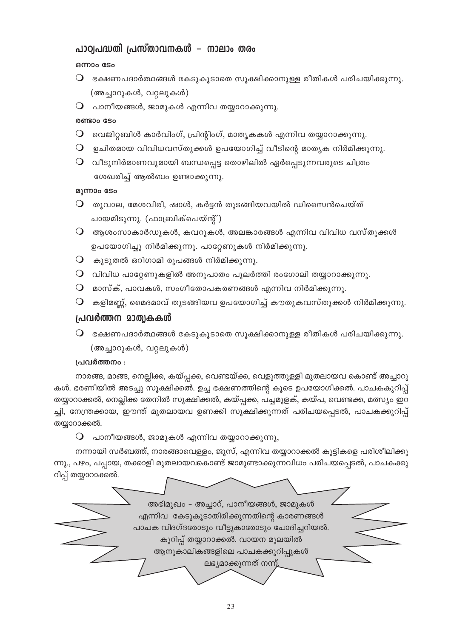# പാഠ്വപദ്ധതി പ്രസ്താവനകൾ – നാലാം തരം

## ഒന്നാം ടേം

- $\mathsf O$  ഭക്ഷണപദാർത്ഥങ്ങൾ കേടുകൂടാതെ സൂക്ഷിക്കാനുള്ള രീതികൾ പരിചയിക്കുന്നു. (അച്ചാറുകൾ, വറ്റലുകൾ)
- $\mathsf O$  പാനീയങ്ങൾ, ജാമുകൾ എന്നിവ തയ്യാറാക്കുന്നു.

## രണ്ടാം ടേം

- $\mathsf O$  വെജിറ്റബിൾ കാർവിംഗ്, പ്രിന്റിംഗ്, മാതൃകകൾ എന്നിവ തയ്യാറാക്കുന്നു.
- $\mathsf O$  ഉചിതമായ വിവിധവസ്തുക്കൾ ഉപയോഗിച്ച് വീടിന്റെ മാതൃക നിർമിക്കുന്നു.
- $\mathsf O$  വീടുനിർമാണവുമായി ബന്ധപ്പെട്ട തൊഴിലിൽ ഏർപ്പെടുന്നവരുടെ ചിത്രം ശേഖരിച്ച് ആൽബം ഉണ്ടാക്കുന്നു.

## മൂന്നാം ടേം

- $\bigcirc$  തൂവാല, മേശവിരി, ഷാൾ, കർട്ടൻ തുടങ്ങിയവയിൽ ഡിസൈൻചെയ്ത് ചായമിടുന്നു. (ഫാബ്രിക്പെയ്ന്റ്)
- $\mathsf O$  ആശംസാകാർഡുകൾ, കവറുകൾ, അലങ്കാരങ്ങൾ എന്നിവ വിവിധ വസ്തുക്കൾ ഉപയോഗിച്ചു നിർമിക്കുന്നു. പാറ്റേണുകൾ നിർമിക്കുന്നു.
- $\mathsf O$  കൂടുതൽ ഒറിഗാമി രൂപങ്ങൾ നിർമിക്കുന്നു.
- $\mathsf O$  വിവിധ പാറ്റേണുകളിൽ അനുപാതം പുലർത്തി രംഗോലി തയ്യാറാക്കുന്നു.
- $\Omega$  മാസ്ക്, പാവകൾ, സംഗീതോപകരണങ്ങൾ എന്നിവ നിർമിക്കുന്നു.
- $\mathsf O$  കളിമണ്ണ്, മൈദമാവ് തുടങ്ങിയവ ഉപയോഗിച്ച് കൗതുകവസ്തുക്കൾ നിർമിക്കുന്നു.

# പ്രവർത്തന മാത്വകകൾ

 $\mathsf O$  ഭക്ഷണപദാർത്ഥങ്ങൾ കേടുകൂടാതെ സൂക്ഷിക്കാനുള്ള രീതികൾ പരിചയിക്കുന്നു. (അച്ചാറുകൾ, വറ്റലുകൾ)

# പ്രവർത്തനം :

നാരങ്ങ, മാങ്ങ, നെല്ലിക്ക, കയ്പ്പക്ക, വെണ്ടയ്ക്ക, വെളുത്തുള്ളി മുതലായവ കൊണ്ട് അച്ചാറു കൾ. ഭരണിയിൽ അടച്ചു സൂക്ഷിക്കൽ. ഉച്ച ഭക്ഷണത്തിന്റെ കൂടെ ഉപയോഗിക്കൽ. പാചകകുറിപ്പ് തയ്യാറാക്കൽ, നെല്ലിക്ക തേനിൽ സൂക്ഷിക്കൽ, കയ്പ്പക്ക, പച്ചമുളക്, കയ്പ, വെണ്ടക്ക, മത്സ്യം ഇറ ച്ചി, നേന്ത്രക്കായ, ഈന്ത് മുതലായവ ഉണക്കി സൂക്ഷിക്കുന്നത് പരിചയപ്പെടൽ, പാചകക്കുറിപ്പ് തയ്യാറാക്കൽ.

 $\mathsf O$  പാനീയങ്ങൾ, ജാമുകൾ എന്നിവ തയ്യാറാക്കുന്നു,

നന്നായി സർബത്ത്, നാരങ്ങാവെള്ളം, ജൂസ്, എന്നിവ തയ്യാറാക്കൽ കുട്ടികളെ പരിശീലിക്കു ന്നു., പഴം, പപ്പായ, തക്കാളി മുതലായവകൊണ്ട് ജാമുണ്ടാക്കുന്നവിധം പരിചയപ്പെടൽ, പാചകക്കു റിപ്പ് തയ്യാറാക്കൽ.

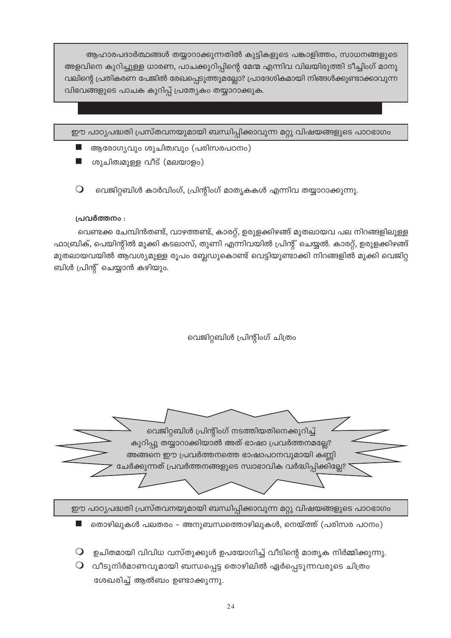ആഹാരപദാർത്ഥങ്ങൾ തയ്യാറാക്കുന്നതിൽ കുട്ടികളുടെ പങ്കാളിത്തം, സാധനങ്ങളുടെ അളവിനെ കുറിച്ചുള്ള ധാരണ, പാചക്കുറിപ്പിന്റെ മേന്മ എന്നിവ വിലയിരുത്തി ടീച്ചിംഗ് മാനു വലിന്റെ പ്രതികരണ പേജിൽ രേഖപ്പെടുത്തുമല്ലോ? പ്രാദേശികമായി നിങ്ങൾക്കുണ്ടാക്കാവുന്ന വിഭവങ്ങളുടെ പാചക കുറിപ്പ് പ്രത്യേകം തയ്യാറാക്കുക.

ഈ പാഠ്യപദ്ധതി പ്രസ്തവനയുമായി ബന്ധിപ്പിക്കാവുന്ന മറ്റു വിഷയങ്ങളുടെ പാഠഭാഗം

- ആരോഗ്യവും ശുചിത്വവും (പരിസരപഠനം)
- ശുചിത്വമുള്ള വീട് (മലയാളം)
- $\Omega$ വെജിറ്റബിൾ കാർവിംഗ്, പ്രിന്റിംഗ് മാതൃകകൾ എന്നിവ തയ്യാറാക്കുന്നു.

## പ്രവർത്തനം :

വെണ്ടക്ക ചേമ്പിൻതണ്ട്, വാഴത്തണ്ട്, കാരറ്റ്, ഉരുളക്കിഴങ്ങ് മുതലായവ പല നിറങ്ങളിലുള്ള ഫാബ്രിക്, പെയിന്റിൽ മുക്കി കടലാസ്, തുണി എന്നിവയിൽ പ്രിന്റ് ചെയ്യൽ. കാരറ്റ്, ഉരുളക്കിഴങ്ങ് മുതലായവയിൽ ആവശ്യമുള്ള രൂപം ബ്ലേഡുകൊണ്ട് വെട്ടിയുണ്ടാക്കി നിറങ്ങളിൽ മുക്കി വെജിറ്റ ബിൾ പ്രിന്റ് ചെയ്യാൻ കഴിയും.

വെജിറ്റബിൾ പ്രിന്റിംഗ് ചിത്രം

വെജിറ്റബിൾ പ്രിന്റിംഗ് നടത്തിയതിനെക്കുറിച്ച് കുറിപ്പു തയ്യാറാക്കിയാൽ അത് ഭാഷാ പ്രവർത്തനമല്ലേ? അങ്ങനെ ഈ പ്രവർത്തനത്തെ ഭാഷാപഠനവുമായി കണ്ണി ചേർക്കുന്നത് പ്രവർത്തനങ്ങളുടെ സ്വാഭാവിക വർദ്ധിപ്പിക്കില്ലേ?

ഈ പാഠ്യപദ്ധതി പ്രസ്തവനയുമായി ബന്ധിപ്പിക്കാവുന്ന മറ്റു വിഷയങ്ങളുടെ പാഠഭാഗം

- തൊഴിലുകൾ പലതരം അനുബന്ധത്തൊഴിലുകൾ, നെയ്ത്ത് (പരിസര പഠനം)
- $\mathsf O$  ഉചിതമായി വിവിധ വസ്തുക്കുൾ ഉപയോഗിച്ച് വീടിന്റെ മാതൃക നിർമ്മിക്കുന്നു.
- $\operatorname{\mathsf{Q}}$  വീടുനിർമാണവുമായി ബന്ധപ്പെട്ട തൊഴിലിൽ ഏർപ്പെടുന്നവരുടെ ചിത്രം ശേഖരിച്ച് ആൽബം ഉണ്ടാക്കുന്നു.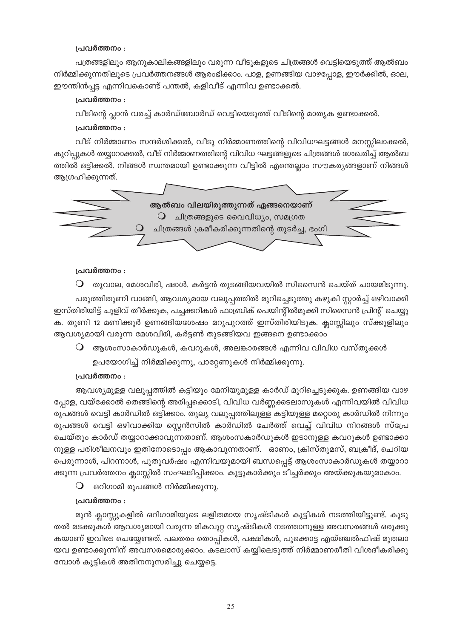### പ്രവർത്തനം :

പത്രങ്ങളിലും ആനുകാലികങ്ങളിലും വരുന്ന വീടുകളുടെ ചിത്രങ്ങൾ വെട്ടിയെടുത്ത് ആൽബം നിർമ്മിക്കുന്നതിലൂടെ പ്രവർത്തനങ്ങൾ ആരംഭിക്കാം. പാള, ഉണങ്ങിയ വാഴപ്പോള, ഈർക്കിൽ, ഓല, ഈന്തിൻപ്പട്ട എന്നിവകൊണ്ട് പന്തൽ, കളിവീട് എന്നിവ ഉണ്ടാക്കൽ.

### പ്രവർത്തനം :

വീടിന്റെ പ്ലാൻ വരച്ച് കാർഡ്ബോർഡ് വെട്ടിയെടുത്ത് വീടിന്റെ മാതൃക ഉണ്ടാക്കൽ.

### പ്രവർത്തനം :

വീട് നിർമ്മാണം സന്ദർശിക്കൽ, വീടു നിർമ്മാണത്തിന്റെ വിവിധഘട്ടങ്ങൾ മനസ്സിലാക്കൽ, കുറിപ്പുകൾ തയ്യാറാക്കൽ, വീട് നിർമ്മാണത്തിന്റെ വിവിധ ഘട്ടങ്ങളുടെ ചിത്രങ്ങൾ ശേഖരിച്ച് ആൽബ ത്തിൽ ഒട്ടിക്കൽ. നിങ്ങൾ സ്വന്തമായി ഉണ്ടാക്കുന്ന വീട്ടിൽ എന്തെല്ലാം സൗകര്യങ്ങളാണ് നിങ്ങൾ ആഗ്രഹിക്കുന്നത്.



### പ്രവർത്തനം :

 $\mathsf O$  തൂവാല, മേശവിരി, ഷാൾ. കർട്ടൻ തുടങ്ങിയവയിൽ സിസൈൻ ചെയ്ത് ചായമിടുന്നു. പരുത്തിതുണി വാങ്ങി, ആവശ്യമായ വലുപ്പത്തിൽ മുറിച്ചെടുത്തു കഴുകി സ്റ്റാർച്ച് ഒഴിവാക്കി ഇസ്തിരിയിട്ട് ചുളിവ് തീർക്കുക, പച്ചക്കറികൾ ഫാബ്രിക് പെയിന്റിൽമുക്കി സിസൈൻ പ്രിന്റ് ചെയ്യു ക. തുണി 12 മണിക്കൂർ ഉണങ്ങിയശേഷം മറുപുറത്ത് ഇസ്തിരിയിടുക. ക്ലാസ്സിലും സ്ക്കൂളിലും ആവശ്യമായി വരുന്ന മേശവിരി, കർട്ടൺ തുടങ്ങിയവ ഇങ്ങനെ ഉണ്ടാക്കാം

 $\mathsf O$  ആശംസാകാർഡുകൾ, കവറുകൾ, അലങ്കാരങ്ങൾ എന്നിവ വിവിധ വസ്തുക്കൾ ഉപയോഗിച്ച് നിർമ്മിക്കുന്നു, പാറ്റേണുകൾ നിർമ്മിക്കുന്നു.

#### പ്രവർത്തനം :

ആവശ്യമുള്ള വലുപ്പത്തിൽ കട്ടിയും മേനിയുമുള്ള കാർഡ് മുറിച്ചെടുക്കുക. ഉണങ്ങിയ വാഴ പ്പോള, വയ്ക്കോൽ തെങ്ങിന്റെ അരിപ്പക്കൊടി, വിവിധ വർണ്ണക്കടലാസുകൾ എന്നിവയിൽ വിവിധ രൂപങ്ങൾ വെട്ടി കാർഡിൽ ഒട്ടിക്കാം. തുല്യ വലുപ്പത്തിലുള്ള കട്ടിയുള്ള മറ്റൊരു കാർഡിൽ നിന്നും രൂപങ്ങൾ വെട്ടി ഒഴിവാക്കിയ സ്റ്റെൻസിൽ കാർഡിൽ ചേർത്ത് വെച്ച് വിവിധ നിറങ്ങൾ സ്പ്രേ ചെയ്തും കാർഡ് തയ്യാറാക്കാവുന്നതാണ്. ആശംസകാർഡുകൾ ഇടാനുള്ള കവറുകൾ ഉണ്ടാക്കാ നുള്ള പരിശീലനവും ഇതിനോടൊപ്പം ആകാവുന്നതാണ്. ഓണം, ക്രിസ്തുമസ്, ബക്രീദ്, ചെറിയ പെരുന്നാൾ, പിറന്നാൾ, പുതുവർഷം എന്നിവയുമായി ബന്ധപ്പെട്ട് ആശംസാകാർഡുകൾ തയ്യാറാ ക്കുന്ന പ്രവർത്തനം ക്ലാസ്സിൽ സംഘടിപ്പിക്കാം. കൂട്ടുകാർക്കും ടീച്ചർക്കും അയ്ക്കുകയുമാകാം.

 $\mathbf O$  ഒറിഗാമി രൂപങ്ങൾ നിർമ്മിക്കുന്നു.

#### പ്രവർത്തനം :

മുൻ ക്ലാസ്സുകളിൽ ഒറിഗാമിയുടെ ലളിതമായ സൃഷ്ടികൾ കുട്ടികൾ നടത്തിയിട്ടുണ്ട്. കൂടു തൽ മടക്കുകൾ ആവശ്യമായി വരുന്ന മികവുറ്റ സൃഷ്ടികൾ നടത്താനുള്ള അവസരങ്ങൾ ഒരുക്കു കയാണ് ഇവിടെ ചെയ്യേണ്ടത്. പലതരം തൊപ്പികൾ, പക്ഷികൾ, പൂക്കൊട്ട എയ്ഞ്ചൽഫിഷ് മുതലാ യവ ഉണ്ടാക്കുന്നിന് അവസരമൊരുക്കാം. കടലാസ് കയ്യിലെടുത്ത് നിർമ്മാണരീതി വിശദീകരിക്കു മ്പോൾ കുട്ടികൾ അതിനനുസരിച്ചു ചെയ്യട്ടെ.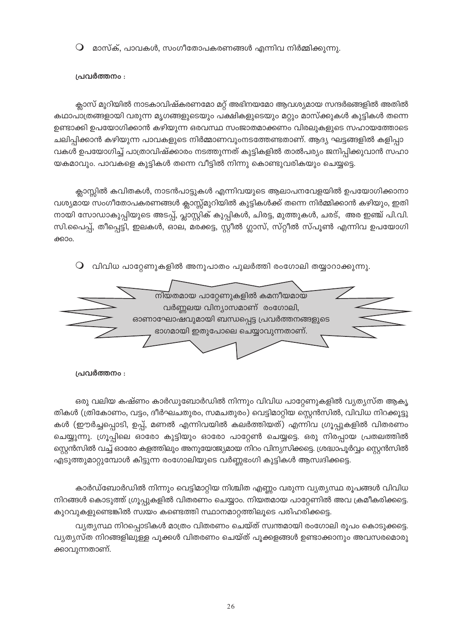മാസ്ക്, പാവകൾ, സംഗീതോപകരണങ്ങൾ എന്നിവ നിർമ്മിക്കുന്നു.  $\bigcirc$ 

## പ്രവർത്തനം :

ക്ലാസ് മുറിയിൽ നാടകാവിഷ്കരണമോ മറ്റ് അഭിനയമോ ആവശ്യമായ സന്ദർഭങ്ങളിൽ അതിൽ കഥാപാത്രങ്ങളായി വരുന്ന മൃഗങ്ങളുടെയും പക്ഷികളുടെയും മറ്റും മാസ്ക്കുകൾ കുട്ടികൾ തന്നെ ഉണ്ടാക്കി ഉപയോഗിക്കാൻ കഴിയുന്ന ഒരവസ്ഥ സംജാതമാക്കണം വിരലുകളുടെ സഹായത്തോടെ ചലിപ്പിക്കാൻ കഴിയുന്ന പാവകളുടെ നിർമ്മാണവുംനടത്തേണ്ടതാണ്. ആദ്യ ഘട്ടങ്ങളിൽ കളിപ്പാ വകൾ ഉപയോഗിച്ച് പാത്രാവിഷ്ക്കാരം നടത്തുന്നത് കുട്ടികളിൽ താൽപര്യം ജനിപ്പിക്കുവാൻ സഹാ യകമാവും. പാവകളെ കുട്ടികൾ തന്നെ വീട്ടിൽ നിന്നു കൊണ്ടുവരികയും ചെയ്യട്ടെ.

ക്ലാസ്സിൽ കവിതകൾ, നാടൻപാട്ടുകൾ എന്നിവയുടെ ആലാപനവേളയിൽ ഉപയോഗിക്കാനാ വശ്യമായ സംഗീതോപകരണങ്ങൾ ക്ലാസ്സ്മുറിയിൽ കുട്ടികൾക്ക് തന്നെ നിർമ്മിക്കാൻ കഴിയും, ഇതി നായി സോഡാകുപ്പിയുടെ അടപ്പ്, പ്ലാസ്റ്റിക് കുപ്പികൾ, ചിരട്ട, മുത്തുകൾ, ചരട്, അര ഇഞ്ച് പി.വി. സി.പൈപ്പ്, തീപ്പെട്ടി, ഇലകൾ, ഓല, മരക്കട്ട, സ്റ്റീൽ ഗ്ലാസ്, സ്റ്റീൽ സ്പൂൺ എന്നിവ ഉപയോഗി ക്കാറ.

 $\mathsf O$  വിവിധ പാറ്റേണുകളിൽ അനുപാതം പുലർത്തി രംഗോലി തയ്യാറാക്കുന്നു.



പ്രവർത്തനം :

ഒരു വലിയ കഷ്ണം കാർഡുബോർഡിൽ നിന്നും വിവിധ പാറ്റേണുകളിൽ വ്യത്യസ്ത ആകൃ തികൾ (ത്രികോണം, വട്ടം, ദീർഘചതുരം, സമചതുരം) വെട്ടിമാറ്റിയ സ്റ്റെൻസിൽ, വിവിധ നിറക്കൂട്ടു കൾ (ഈർച്ചപ്പൊടി, ഉപ്പ്, മണൽ എന്നിവയിൽ കലർത്തിയത്) എന്നിവ ഗ്രൂപ്പുകളിൽ വിതരണം ചെയ്യുന്നു. ഗ്രൂപ്പിലെ ഓരോ കുട്ടിയും ഓരോ പാറ്റേൺ ചെയ്യട്ടെ. ഒരു നിരപ്പായ പ്രതലത്തിൽ സ്റ്റെൻസിൽ വച്ച് ഓരോ കളത്തിലും അനുയോജ്യമായ നിറം വിന്യസിക്കട്ടെ. ശ്രദ്ധാപൂർവ്വം സ്റ്റെൻസിൽ എടുത്തുമാറ്റുമ്പോൾ കിട്ടുന്ന രംഗോലിയുടെ വർണ്ണഭംഗി കുട്ടികൾ ആസ്വദിക്കട്ടെ.

കാർഡ്ബോർഡിൽ നിന്നും വെട്ടിമാറ്റിയ നിശ്ചിത എണ്ണം വരുന്ന വ്യത്യസ്ഥ രൂപങ്ങൾ വിവിധ നിറങ്ങൾ കൊടുത്ത് ഗ്രൂപ്പുകളിൽ വിതരണം ചെയ്യാം. നിയതമായ പാറ്റേണിൽ അവ ക്രമീകരിക്കട്ടെ. കുറവുകളുണ്ടെങ്കിൽ സ്വയം കണ്ടെത്തി സ്ഥാനമാറ്റത്തിലൂടെ പരിഹരിക്കട്ടെ.

വ്യത്യസ്ഥ നിറപ്പൊടികൾ മാത്രം വിതരണം ചെയ്ത് സ്വന്തമായി രംഗോലി രൂപം കൊടുക്കട്ടെ. വ്യത്യസ്ത നിറങ്ങളിലുള്ള പൂക്കൾ വിതരണം ചെയ്ത് പൂക്കളങ്ങൾ ഉണ്ടാക്കാനും അവസരമൊരു ക്കാവുന്നതാണ്.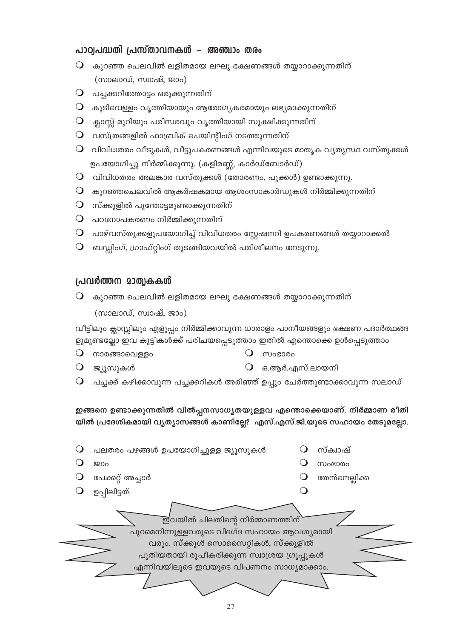# പാഠ്വപദ്ധതി പ്രസ്താവനകൾ – അഞ്ചാം തരം

- $\mathsf O$  കുറഞ്ഞ ചെലവിൽ ലളിതമായ ലഘു ഭക്ഷണങ്ങൾ തയ്യാറാക്കുന്നതിന് (സാലാഡ്, സ്വാഷ്, ജാം)
- $\mathsf O$  പച്ചക്കറിത്തോട്ടം ഒരുക്കുന്നതിന്
- $\bigcirc$  കുടിവെള്ളം വൃത്തിയായും ആരോഗ്യകരമായും ലഭ്യമാക്കുന്നതിന്
- $\mathsf{Q}_{\mathsf{m}}$  ക്ലാസ്സ് മുറിയും പരിസരവും വൃത്തിയായി സൂക്ഷിക്കുന്നതിന്
- $\mathsf O$  വസ്ത്രങ്ങളിൽ ഫാബ്രിക് പെയിന്റിംഗ് നടത്തുന്നതിന്
- $\bigcirc$  വിവിധതരം വീടുകൾ, വീട്ടുപകരണങ്ങൾ എന്നിവയുടെ മാതൃക വ്യത്യസ്ഥ വസ്തുക്കൾ ഉപയോഗിച്ചു നിർമ്മിക്കുന്നു. (കളിമണ്ണ്, കാർഡ്ബോർഡ്)
- $\mathsf O$  വിവിധതരം അലങ്കാര വസ്തുക്കൾ (തോരണം, പൂക്കൾ) ഉണ്ടാക്കുന്നു.
- $\mathsf O$  കുറഞ്ഞചെലവിൽ ആകർഷകമായ ആശംസാകാർഡുകൾ നിർമ്മിക്കുന്നതിന്
- $\mathsf O$  സ്ക്കൂളിൽ പൂന്തോട്ടമുണ്ടാക്കുന്നതിന്
- $\mathsf O$  പഠനോപകരണം നിർമ്മിക്കുന്നതിന്
- $\mathbf O$  പാഴ്വസ്തുക്കളുപയോഗിച്ച് വിവിധതരം സ്റ്റേഷനറി ഉപകരണങ്ങൾ തയ്യാറാക്കൽ
- $\mathsf O$  ബഡ്ഡിംഗ്, ഗ്രാഫ്റ്റിംഗ് തുടങ്ങിയവയിൽ പരിശീലനം നേടുന്നു.

# പ്രവർത്തന മാത്വകകൾ

 $\mathsf O$  കുറഞ്ഞ ചെലവിൽ ലളിതമായ ലഘു ഭക്ഷണങ്ങൾ തയ്യാറാക്കുന്നതിന്

(സാലാഡ്, സ്വാഷ്, ജാം)

വീട്ടിലും ക്ലാസ്സിലും എളുപ്പം നിർമ്മിക്കാവുന്ന ധാരാളം പാനീയങ്ങളും ഭക്ഷണ പദാർത്ഥങ്ങ ളുമുണ്ടല്ലോ ഇവ കുട്ടികൾക്ക് പരിചയപ്പെടുത്താം ഇതിൽ എന്തൊക്കെ ഉൾപ്പെടുത്താം

 $O$  നാരങ്ങാവെള്ളം

O moresoo

 $\mathsf{Q}$  ജ്യൂസുകൾ

- $O$  ഒ.ആർ.എസ്.ലായനി
- $\mathsf O$  പച്ചക്ക് കഴിക്കാവുന്ന പച്ചക്കറികൾ അരിഞ്ഞ് ഉപ്പും ചേർത്തുണ്ടാക്കാവുന്ന സലാഡ്

ഇങ്ങനെ ഉണ്ടാക്കുന്നതിൽ വിൽപ്പനസാധ്യതയുള്ളവ എന്തൊക്കെയാണ്. നിർമ്മാണ രീതി യിൽ പ്രദേശികമായി വ്യത്യാസങ്ങൾ കാണില്ലേ? എസ്.എസ്.ജി.യുടെ സഹായം തേടുമല്ലോ.

| പലതരം പഴങ്ങൾ ഉപയോഗിച്ചുള്ള ജ്യൂസുകൾ                                                                                                                                                                             | സ്ക്വാഷ്      |
|-----------------------------------------------------------------------------------------------------------------------------------------------------------------------------------------------------------------|---------------|
|                                                                                                                                                                                                                 | <b>MOGO00</b> |
| പേക്കറ്റ് അച്ചാർ                                                                                                                                                                                                | തേൻനെല്ലിക്ക  |
| ഉപ്പിലിട്ടത്.                                                                                                                                                                                                   |               |
| ഇവയിൽ ചിലതിന്റെ നിർമ്മാണത്തിന്<br>പുറമെനിന്നുള്ളവരുടെ വിദഗ്ദ സഹായം ആവശ്യമായി<br>വരും. സ്ക്കൂൾ സൊസൈറ്റികൾ, സ്ക്കൂളിൽ<br>പുതിയതായി രൂപീകരിക്കുന്ന സ്വാശ്രയ ഗ്രൂപ്പുകൾ<br>എന്നിവയിലൂടെ ഇവയുടെ വിപണനം സാധ്യമാക്കാം. |               |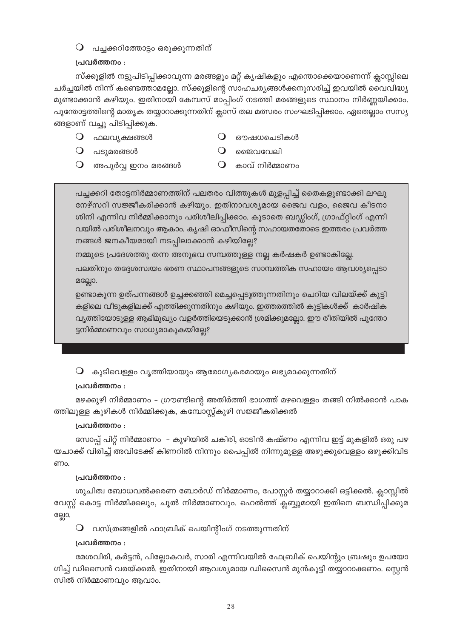# $\mathsf O$  പച്ചക്കറിത്തോട്ടം ഒരുക്കുന്നതിന്

# പ്രവർത്തനം :

സ്ക്കൂളിൽ നട്ടുപിടിപ്പിക്കാവുന്ന മരങ്ങളും മറ്റ് കൃഷികളും എന്തൊക്കെയാണെന്ന് ക്ലാസ്സിലെ ചർച്ചയിൽ നിന്ന് കണ്ടെത്താമല്ലോ. സ്ക്കൂളിന്റെ സാഹചര്യങ്ങൾക്കനുസരിച്ച് ഇവയിൽ വൈവിദ്ധ്യ മുണ്ടാക്കാൻ കഴിയും. ഇതിനായി കേമ്പസ് മാപ്പിംഗ് നടത്തി മരങ്ങളുടെ സ്ഥാനം നിർണ്ണയിക്കാം. പൂന്തോട്ടത്തിന്റെ മാതൃക തയ്യാറാക്കുന്നതിന് ക്ലാസ് തല മത്സരം സംഘടിപ്പിക്കാം. ഏതെല്ലാം സസ്യ ങ്ങളാണ് വച്ചു പിടിപ്പിക്കുക.

- $\bigcirc$  ഫലവ്യക്ഷങ്ങൾ
- $\bigcirc$  ഔഷധചെടികൾ
- $\bigcirc$  പടുമരങ്ങൾ
- $\Omega$  ജൈവവേലി
- $\bigcirc$ അപൂർവ്വ ഇനം മരങ്ങൾ
- $\Omega$  കാവ് നിർമ്മാണം

പച്ചക്കറി തോട്ടനിർമ്മാണത്തിന് പലതരം വിത്തുകൾ മുളപ്പിച്ച് തൈകളുണ്ടാക്കി ലഘു നേഴ്സറി സജ്ജീകരിക്കാൻ കഴിയും. ഇതിനാവശ്യമായ ജൈവ വളം, ജൈവ കീടനാ ശിനി എന്നിവ നിർമ്മിക്കാനും പരിശീലിപ്പിക്കാം. കൂടാതെ ബഡ്ഡിംഗ്, ഗ്രാഫ്റ്റിംഗ് എന്നി വയിൽ പരിശീലനവും ആകാം. കൃഷി ഓഫീസിന്റെ സഹായതതോടെ ഇത്തരം പ്രവർത്ത നങ്ങൾ ജനകീയമായി നടപ്പിലാക്കാൻ കഴിയില്ലേ?

നമ്മുടെ പ്രദേശത്തു തന്ന അനുഭവ സമ്പത്തുള്ള നല്ല കർഷകർ ഉണ്ടാകില്ലേ.

പലതിനും തദ്ദേശസ്വയം ഭരണ സ്ഥാപനങ്ങളുടെ സാമ്പത്തിക സഹായം ആവശ്യപ്പെടാ മല്ലോ.

ഉണ്ടാകുന്ന ഉത്പന്നങ്ങൾ ഉച്ചക്കഞ്ഞി മെച്ചപ്പെടുത്തുന്നതിനും ചെറിയ വിലയ്ക്ക് കുട്ടി കളിലെ വീടുകളിലക്ക് എത്തിക്കുന്നതിനും കഴിയും. ഇത്തരത്തിൽ കുട്ടികൾക്ക് കാർഷിക വൃത്തിയോടുള്ള ആഭിമുഖ്യം വളർത്തിയെടുക്കാൻ ശ്രമിക്കുമല്ലോ. ഈ രീതിയിൽ പൂന്തോ ട്ടനിർമ്മാണവും സാധ്യമാകുകയില്ലേ?

 $\bigcirc$  കുടിവെള്ളം വൃത്തിയായും ആരോഗ്യകരമായും ലഭ്യമാക്കുന്നതിന്

# പ്രവർത്തനം :

മഴക്കുഴി നിർമ്മാണം - ഗ്രൗണ്ടിന്റെ അതിർത്തി ഭാഗത്ത് മഴവെള്ളം തങ്ങി നിൽക്കാൻ പാക ത്തിലുള്ള കുഴികൾ നിർമ്മിക്കുക, കമ്പോസ്റ്റ്കുഴി സജ്ജീകരിക്കൽ

# പ്രവർത്തനം :

സോപ്പ് പിറ്റ് നിർമ്മാണം – കുഴിയിൽ ചകിരി, ഓടിൻ കഷ്ണം എന്നിവ ഇട്ട് മുകളിൽ ഒരു പഴ യചാക്ക് വിരിച്ച് അവിടേക്ക് കിണറിൽ നിന്നും പൈപ്പിൽ നിന്നുമുള്ള അഴുക്കുവെള്ളം ഒഴുക്കിവിട ണം.

# പ്രവർത്തനം :

ശുചിത്വ ബോധവൽക്കരണ ബോർഡ് നിർമ്മാണം, പോസ്റ്റർ തയ്യാറാക്കി ഒട്ടിക്കൽ. ക്ലാസ്സിൽ വേസ്റ്റ് കൊട്ട നിർമ്മിക്കലും, ചൂൽ നിർമ്മാണവും. ഹെൽത്ത് ക്ലബ്ബുമായി ഇതിനെ ബന്ധിപ്പിക്കുമ ല്ലോ.

 $\mathsf O$  വസ്ത്രങ്ങളിൽ ഫാബ്രിക് പെയിന്റിംഗ് നടത്തുന്നതിന്

# പ്രവർത്തനം :

മേശവിരി, കർട്ടൻ, പില്ലോകവർ, സാരി എന്നിവയിൽ ഫേബ്രിക് പെയിന്റും ബ്രഷും ഉപയോ ഗിച്ച് ഡിസൈൻ വരയ്ക്കൽ. ഇതിനായി ആവശ്യമായ ഡിസൈൻ മുൻകൂട്ടി തയ്യാറാക്കണം. സ്റ്റെൻ സിൽ നിർമ്മാണവും ആവാം.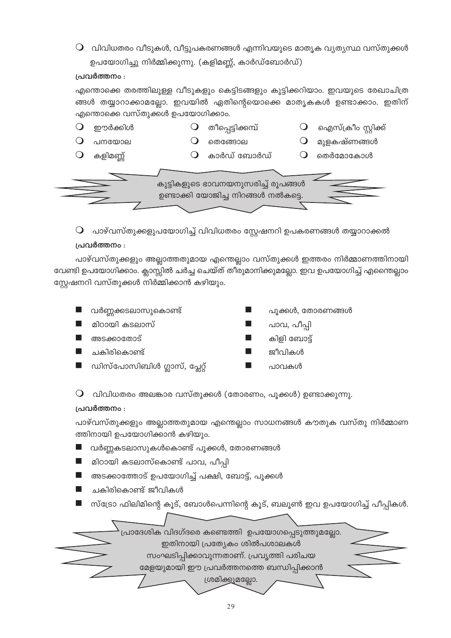$\mathsf O$  വിവിധതരം വീടുകൾ, വീട്ടുപകരണങ്ങൾ എന്നിവയുടെ മാതൃക വ്യത്യസ്ഥ വസ്തുക്കൾ ഉപയോഗിച്ചു നിർമ്മിക്കുന്നു. (കളിമണ്ണ്, കാർഡ്ബോർഡ്)

## പ്രവർത്തനം :

എന്തൊക്കെ തരത്തിലുള്ള വീടുകളും കെട്ടിടങ്ങളും കുട്ടിക്കറിയാം. ഇവയുടെ രേഖാചിത്ര ങ്ങൾ തയ്യാറാക്കാമല്ലോ. ഇവയിൽ ഏതിന്റെയൊക്കെ മാതൃകകൾ ഉണ്ടാക്കാം. ഇതിന് എന്തൊക്കെ വസ്തുക്കൾ ഉപയോഗിക്കാം.



 $\mathsf O$  പാഴ്വസ്തുക്കളുപയോഗിച്ച് വിവിധതരം സ്റ്റേഷനറി ഉപകരണങ്ങൾ തയ്യാറാക്കൽ

## പ്രവർത്തനം :

പാഴ്വസ്തുക്കളും അല്ലാത്തതുമായ എന്തെല്ലാം വസ്തുക്കൾ ഇത്തരം നിർമ്മാണത്തിനായി വേണ്ടി ഉപയോഗിക്കാം. ക്ലാസ്സിൽ ചർച്ച ചെയ്ത് തീരുമാനിക്കുമല്ലോ. ഇവ ഉപയോഗിച്ച് എന്തൈല്ലാം സ്റ്റേഷനറി വസ്തുക്കൾ നിർമ്മിക്കാൻ കഴിയും.

- വർണ്ണക്കടലാസുകൊണ്ട്
- മിഠായി കടലാസ്
- അടക്കാതോട്
- ചകിരികൊണ്ട്
- ഡിസ്പോസിബിൾ ഗ്ലാസ്, പ്ലേറ്റ്
- പുക്കൾ, തോരണങ്ങൾ
- പാവ, പീപ്പി
- കിളി ബോട്ട്
- ജീവികൾ
- പാവകൾ

 $\mathsf O$  വിവിധതരം അലങ്കാര വസ്തുക്കൾ (തോരണം, പൂക്കൾ) ഉണ്ടാക്കുന്നു.

## പ്രവർത്തനം :

പാഴ്വസ്തുക്കളും അല്ലാത്തതുമായ എന്തെല്ലാം സാധനങ്ങൾ കൗതുക വസ്തു നിർമ്മാണ ത്തിനായി ഉപയോഗിക്കാൻ കഴിയും.

- വർണ്ണകടലാസുകൾകൊണ്ട് പൂക്കൾ, തോരണങ്ങൾ
- മിഠായി കടലാസ്കൊണ്ട് പാവ, പീപ്പി
- അടക്കാത്തോട് ഉപയോഗിച്ച് പക്ഷി, ബോട്ട്, പൂക്കൾ
- ചകിരികൊണ്ട് ജീവികൾ
- സ്ട്രോ ഫിലിമിന്റെ കൂട്, ബോൾപെന്നിന്റെ കൂട്, ബലൂൺ ഇവ ഉപയോഗിച്ച് പീപ്പികൾ.

പ്രാദേശിക വിദഗ്ദരെ കണ്ടെത്തി ഉപയോഗപ്പെടുത്തുമല്ലോ<mark>.</mark> ഇതിനായി പ്രത്യേകം ശിൽപശാലകൾ സംഘടിപ്പിക്കാവുന്നതാണ്. പ്രവൃത്തി പരിചയ മേളയുമായി ഈ പ്രവർത്തനത്തെ ബന്ധിപ്പിക്കാൻ ശ്രമിക്കുമല്ലോ.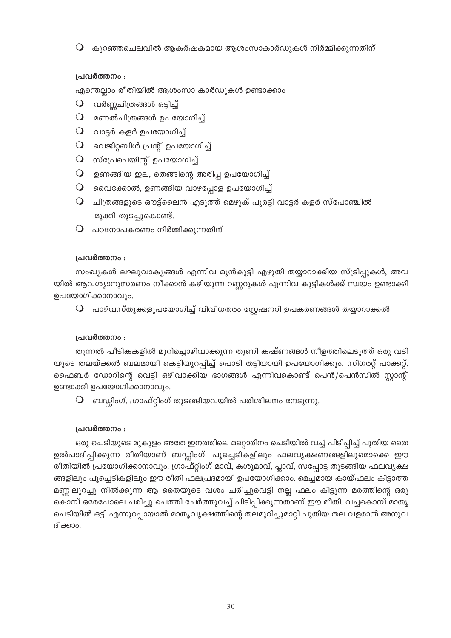$\mathsf O$  കുറഞ്ഞചെലവിൽ ആകർഷകമായ ആശംസാകാർഡുകൾ നിർമ്മിക്കുന്നതിന്

## പ്രവർത്തനം :

എന്തെല്ലാം രീതിയിൽ ആശംസാ കാർഡുകൾ ഉണ്ടാക്കാം

- $\bigcirc$  വർണ്ണചിത്രങ്ങൾ ഒട്ടിച്ച്
- $O$  മണൽചിത്രങ്ങൾ ഉപയോഗിച്ച്
- $O$  വാട്ടർ കളർ ഉപയോഗിച്ച്
- $O$  വെജിറ്റബിൾ പ്രന്റ് ഉപയോഗിച്ച്
- $O$  സ്പ്രേപെയിന്റ് ഉപയോഗിച്ച്
- $\mathsf O$  ഉണങ്ങിയ ഇല, തെങ്ങിന്റെ അരിപ്പ ഉപയോഗിച്ച്
- $\mathsf O$  വൈക്കോൽ, ഉണങ്ങിയ വാഴപ്പോള ഉപയോഗിച്ച്
- $\mathsf O$  ചിത്രങ്ങളുടെ ഔട്ട്ലൈൻ എടുത്ത് മെഴുക് പുരട്ടി വാട്ടർ കളർ സ്പോഞ്ചിൽ മുക്കി തുടച്ചുകൊണ്ട്.
- $\mathsf O$  പഠനോപകരണം നിർമ്മിക്കുന്നതിന്

## പ്രവർത്തനം :

സംഖ്യകൾ ലഘുവാക്യങ്ങൾ എന്നിവ മുൻകൂട്ടി എഴുതി തയ്യാറാക്കിയ സ്ട്രിപ്പുകൾ, അവ യിൽ ആവശ്യാനുസരണം നീക്കാൻ കഴിയുന്ന റണ്ണറുകൾ എന്നിവ കുട്ടികൾക്ക് സ്വയം ഉണ്ടാക്കി ഉപയോഗിക്കാനാവും.

 $\mathsf O$  പാഴ്വസ്തുക്കളുപയോഗിച്ച് വിവിധതരം സ്റ്റേഷനറി ഉപകരണങ്ങൾ തയ്യാറാക്കൽ

## പ്രവർത്തനം :

തുന്നൽ പീടികകളിൽ മുറിച്ചൊഴിവാക്കുന്ന തുണി കഷ്ണങ്ങൾ നീളത്തിലെടുത്ത് ഒരു വടി യുടെ തലയ്ക്കൽ ബലമായി കെട്ടിയുറപ്പിച്ച് പൊടി തട്ടിയായി ഉപയോഗിക്കും. സിഗരറ്റ് പാക്കറ്റ്, ഫൈബർ ഡോറിന്റെ വെട്ടി ഒഴിവാക്കിയ ഭാഗങ്ങൾ എന്നിവകൊണ്ട് പെൻ/പെൻസിൽ സ്റ്റാന്റ് ഉണ്ടാക്കി ഉപയോഗിക്കാനാവും.

 $\mathsf O$  ബഡ്ഡിംഗ്, ഗ്രാഫ്റ്റിംഗ് തുടങ്ങിയവയിൽ പരിശീലനം നേടുന്നു.

## പ്രവർത്തനം :

ഒരു ചെടിയുടെ മുകുളം അതേ ഇനത്തിലെ മറ്റൊരിനം ചെടിയിൽ വച്ച് പിടിപ്പിച്ച് പുതിയ തൈ ഉൽപാദിപ്പിക്കുന്ന രീതിയാണ് ബഡ്ഡിംഗ്. പൂച്ചെടികളിലും ഫലവൃക്ഷണങ്ങളിലുമൊക്കെ ഈ രീതിയിൽ പ്രയോഗിക്കാനാവും. ഗ്രാഫ്റ്റിംഗ് മാവ്, കശുമാവ്, പ്ലാവ്, സപ്പോട്ട തുടങ്ങിയ ഫലവൃക്ഷ ങ്ങളിലും പൂച്ചെടികളിലും ഈ രീതി ഫലപ്രദമായി ഉപയോഗിക്കാം. മെച്ചമായ കായ്ഫലം കിട്ടാത്ത മണ്ണിലുറച്ചു നിൽക്കുന്ന ആ തൈയുടെ വശം ചരിച്ചുവെട്ടി നല്ല ഫലം കിട്ടുന്ന മരത്തിന്റെ ഒരു കൊമ്പ് ഒരേപോലെ ചരിച്ചു ചെത്തി ചേർത്തുവച്ച് പിടിപ്പിക്കുന്നതാണ് ഈ രീതി. വച്ചകൊമ്പ് മാതൃ ചെടിയിൽ ഒട്ടി എന്നുറപ്പായാൽ മാതൃവൃക്ഷത്തിന്റെ തലമുറിച്ചുമാറ്റി പുതിയ തല വളരാൻ അനുവ ദിക്കാം.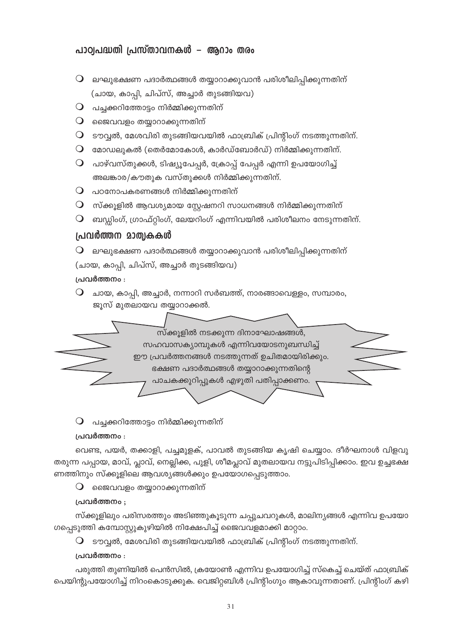# പാഠ്വപദ്ധതി പ്രസ്താവനകൾ – ആറാം തരം

- $\bigcirc$  ലഘുഭക്ഷണ പദാർത്ഥങ്ങൾ തയ്യാറാക്കുവാൻ പരിശീലിപ്പിക്കുന്നതിന് (ചായ, കാപ്പി, ചിപ്സ്, അച്ചാർ തുടങ്ങിയവ)
- $\mathsf Q$  പച്ചക്കറിത്തോട്ടം നിർമ്മിക്കുന്നതിന്
- $\mathbf 0$  ജൈവവളം തയ്യാറാക്കുന്നതിന്
- $\mathsf O$  ടൗവ്വൽ, മേശവിരി തുടങ്ങിയവയിൽ ഫാബ്രിക് പ്രിന്റിംഗ് നടത്തുന്നതിന്.
- $\mathsf O$  മോഡലുകൽ (തെർമോകോൾ, കാർഡ്ബോർഡ്) നിർമ്മിക്കുന്നതിന്.
- $\bigcirc$  പാഴ്വസ്തുക്കൾ, ടിഷ്യൂപേപ്പർ, ക്രോപ്പ് പേപ്പർ എന്നി ഉപയോഗിച്ച് അലങ്കാര/കൗതുക വസ്തുക്കൾ നിർമ്മിക്കുന്നതിന്.
- $\mathsf O$  പഠനോപകരണങ്ങൾ നിർമ്മിക്കുന്നതിന്
- $\mathsf O$  സ്ക്കൂളിൽ ആവശ്യമായ സ്റ്റേഷനറി സാധനങ്ങൾ നിർമ്മിക്കുന്നതിന്
- $\mathsf O$  ബഡ്ഡിംഗ്, ഗ്രാഫ്റ്റിംഗ്, ലേയറിംഗ് എന്നിവയിൽ പരിശീലനം നേടുന്നതിന്.

# പ്രവർത്തന മാത്വകകൾ

 $\mathsf O$  ലഘുഭക്ഷണ പദാർത്ഥങ്ങൾ തയ്യാറാക്കുവാൻ പരിശീലിപ്പിക്കുന്നതിന്

(ചായ, കാപ്പി, ചിപ്സ്, അച്ചാർ തുടങ്ങിയവ)

# പ്രവർത്തനം :

 $\mathsf O$  ചായ, കാപ്പി, അച്ചാർ, നന്നാറി സർബത്ത്, നാരങ്ങാവെള്ളം, സമ്പാരം, ജൂസ് മുതലായവ തയ്യാറാക്കൽ.



# $\mathsf O$  പച്ചക്കറിത്തോട്ടം നിർമ്മിക്കുന്നതിന്

# പ്രവർത്തനം :

വെണ്ട, പയർ, തക്കാളി, പച്ചമുളക്, പാവൽ തുടങ്ങിയ കൃഷി ചെയ്യാം. ദീർഘനാൾ വിളവു തരുന്ന പപ്പായ, മാവ്, പ്ലാവ്, നെല്ലിക്ക, പുളി, ശീമപ്ലാവ് മുതലായവ നട്ടുപിടിപ്പിക്കാം. ഇവ ഉച്ചഭക്ഷ ണത്തിനും സ്ക്കൂളിലെ ആവശ്യങ്ങൾക്കും ഉപയോഗപ്പെടുത്താം.

 $\mathbf 0$  ജൈവവളം തയ്യാറാക്കുന്നതിന്

# പ്രവർത്തനം :

സ്ക്കൂളിലും പരിസരത്തും അടിഞ്ഞുകൂടുന്ന ചപ്പുചവറുകൾ, മാലിന്യങ്ങൾ എന്നിവ ഉപയോ ഗപ്പെടുത്തി കമ്പോസ്റ്റുകുഴിയിൽ നിക്ഷേപിച്ച് ജൈവവളമാക്കി മാറ്റാം.

 $\mathsf O$  ടൗവ്വൽ, മേശവിരി തുടങ്ങിയവയിൽ ഫാബ്രിക് പ്രിന്റിംഗ് നടത്തുന്നതിന്.

# പ്രവർത്തനം :

പരുത്തി തുണിയിൽ പെൻസിൽ, ക്രയോൺ എന്നിവ ഉപയോഗിച്ച് സ്കെച്ച് ചെയ്ത് ഫാബ്രിക് പെയിന്റുപയോഗിച്ച് നിറംകൊടുക്കുക. വെജിറ്റബിൾ പ്രിന്റിംഗും ആകാവുന്നതാണ്. പ്രിന്റിംഗ് കഴി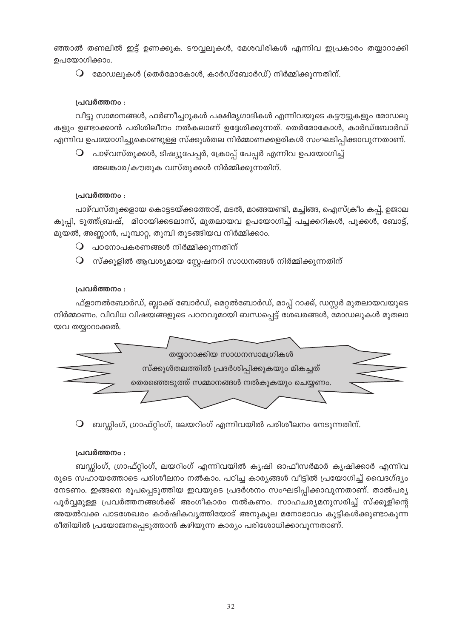ഞ്ഞാൽ തണലിൽ ഇട്ട് ഉണക്കുക. ടൗവ്വലുകൾ, മേശവിരികൾ എന്നിവ ഇപ്രകാരം തയ്യാറാക്കി ഉപയോഗിക്കാം.

 $\, \mathsf{O} \,$  മോഡലുകൾ (തെർമോകോൾ, കാർഡ്ബോർഡ്) നിർമ്മിക്കുന്നതിന്.

## പ്രവർത്തനം :

വീട്ടു സാമാനങ്ങൾ, ഫർണീച്ചറുകൾ പക്ഷിമൃഗാദികൾ എന്നിവയുടെ കട്ടൗട്ടുകളും മോഡലു കളും ഉണ്ടാക്കാൻ പരിശിലീനം നൽകലാണ് ഉദ്ദേശിക്കുന്നത്. തെർമോകോൾ, കാർഡ്ബോർഡ് എന്നിവ ഉപയോഗിച്ചുകൊണ്ടുള്ള സ്ക്കൂൾതല നിർമ്മാണക്കളരികൾ സംഘടിപ്പിക്കാവുന്നതാണ്.

 $\mathsf O$  പാഴ്വസ്തുക്കൾ, ടിഷ്യൂപേപ്പർ, ക്രോപ്പ് പേപ്പർ എന്നിവ ഉപയോഗിച്ച് അലങ്കാര/കൗതുക വസ്തുക്കൾ നിർമ്മിക്കുന്നതിന്.

## പ്രവർത്തനം :

പാഴ്വസ്തുക്കളായ കൊട്ടടയ്ക്കത്തോട്, മടൽ, മാങ്ങയണ്ടി, മച്ചിങ്ങ, ഐസ്ക്രീം കപ്പ്, ഉജാല കുപ്പി, ടൂത്ത്ബ്രഷ്, മിഠായിക്കടലാസ്, മുതലായവ ഉപയോഗിച്ച് പച്ചക്കറികൾ, പൂക്കൾ, ബോട്ട്, മുയൽ, അണ്ണാൻ, പൂമ്പാറ്റ, തുമ്പി തുടങ്ങിയവ നിർമ്മിക്കാം.

- $\mathsf O$  പഠനോപകരണങ്ങൾ നിർമ്മിക്കുന്നതിന്
- $\Omega$  സ്ക്കുളിൽ ആവശ്യമായ സ്രേഷനറി സാധനങ്ങൾ നിർമ്മിക്കുന്നതിന്

## പ്രവർത്തനം :

ഫ്ളാനൽബോർഡ്, ബ്ലാക്ക് ബോർഡ്, മെറ്റൽബോർഡ്, മാപ്പ് റാക്ക്, ഡസ്റ്റർ മുതലായവയുടെ നിർമ്മാണം. വിവിധ വിഷയങ്ങളുടെ പഠനവുമായി ബന്ധപ്പെട്ട് ശേഖരങ്ങൾ, മോഡലുകൾ മുതലാ യവ തയ്യാറാക്കൽ.



 $\mathsf O$  ബഡ്ഡിംഗ്, ഗ്രാഫ്റ്റിംഗ്, ലേയറിംഗ് എന്നിവയിൽ പരിശീലനം നേടുന്നതിന്.

## പ്രവർത്തനം :

ബഡ്ഡിംഗ്, ഗ്രാഫ്റ്റിംഗ്, ലയറിംഗ് എന്നിവയിൽ കൃഷി ഓഫീസർമാർ കൃഷിക്കാർ എന്നിവ രുടെ സഹായത്തോടെ പരിശീലനം നൽകാം. പഠിച്ച കാര്യങ്ങൾ വീട്ടിൽ പ്രയോഗിച്ച് വൈദഗ്ദ്യം നേടണം. ഇങ്ങനെ രൂപപ്പെടുത്തിയ ഇവയുടെ പ്രദർശനം സംഘടിപ്പിക്കാവുന്നതാണ്. താൽപര്യ പൂർവ്വമുള്ള പ്രവർത്തനങ്ങൾക്ക് അംഗീകാരം നൽകണം. സാഹചര്യമനുസരിച്ച് സ്ക്കൂളിന്റെ അയൽവക്ക പാടശേഖരം കാർഷികവൃത്തിയോട് അനുകൂല മനോഭാവം കുട്ടികൾക്കുണ്ടാകുന്ന രീതിയിൽ പ്രയോജനപ്പെടുത്താൻ കഴിയുന്ന കാര്യം പരിശോധിക്കാവുന്നതാണ്.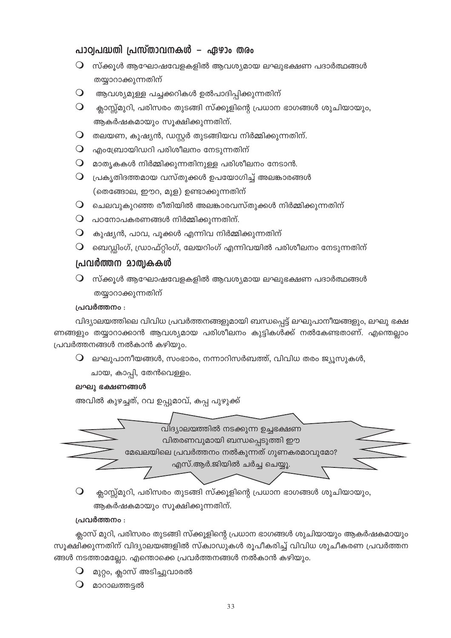# പാഠ്വപദ്ധതി പ്രസ്താവനകൾ – ഏഴാം തരം

- $\, \mathsf{O} \,$  സ്ക്കൂൾ ആഘോഷവേളകളിൽ ആവശ്യമായ ലഘുഭക്ഷണ പദാർത്ഥങ്ങൾ തയ്യാറാക്കുന്നതിന്
- $\bigcirc$  ആവശ്യമുള്ള പച്ചക്കറികൾ ഉൽപാദിപ്പിക്കുന്നതിന്
- $\Omega$ ക്ലാസ്റ്റ്മുറി, പരിസരം തുടങ്ങി സ്ക്കൂളിന്റെ പ്രധാന ഭാഗങ്ങൾ ശുചിയായും, ആകർഷകമായും സൂക്ഷിക്കുന്നതിന്.
- $\bigcirc$  തലയണ, കുഷ്യൻ, ഡസ്റ്റർ തുടങ്ങിയവ നിർമ്മിക്കുന്നതിന്.
- $\bigcirc$  എംബ്രോയിഡറി പരിശീലനം നേടുന്നതിന്
- $\bigcirc$  മാതൃകകൾ നിർമ്മിക്കുന്നതിനുള്ള പരിശീലനം നേടാൻ.
- $\mathsf O$  പ്രകൃതിദത്തമായ വസ്തുക്കൾ ഉപയോഗിച്ച് അലങ്കാരങ്ങൾ (തെങ്ങോല, ഈറ, മുള) ഉണ്ടാക്കുന്നതിന്
- $\mathsf O$  ചെലവുകുറഞ്ഞ രീതിയിൽ അലങ്കാരവസ്തുക്കൾ നിർമ്മിക്കുന്നതിന്
- $\mathbf O$  പഠനോപകരണങ്ങൾ നിർമ്മിക്കുന്നതിന്.
- $\bigcirc$  കുഷ്യൻ, പാവ, പൂക്കൾ എന്നിവ നിർമ്മിക്കുന്നതിന്
- $\bigcirc$  ബെഡ്ഡിംഗ്, ഡ്രാഫ്റ്റിംഗ്, ലേയറിംഗ് എന്നിവയിൽ പരിശീലനം നേടുന്നതിന്

# പ്രവർത്തന മാത്വകകൾ

 $\, \mathsf{O} \,$  സ്ക്കുൾ ആഘോഷവേളകളിൽ ആവശ്യമായ ലഘുഭക്ഷണ പദാർത്ഥങ്ങൾ തയ്യാറാക്കുന്നതിന്

### പ്രവർത്തനം :

വിദ്യാലയത്തിലെ വിവിധ പ്രവർത്തനങ്ങളുമായി ബന്ധപ്പെട്ട് ലഘുപാനീയങ്ങളും, ലഘു ഭക്ഷ ണങ്ങളും തയ്യാറാക്കാൻ ആവശ്യമായ പരിശീലനം കുട്ടികൾക്ക് നൽകേണ്ടതാണ്. എന്തെല്ലാം പ്രവർത്തനങ്ങൾ നൽകാൻ കഴിയും.

 $\bigcirc$  ലഘുപാനീയങ്ങൾ, സംഭാരം, നന്നാറിസർബത്ത്, വിവിധ തരം ജ്യൂസുകൾ,

ചായ, കാപ്പി, തേൻവെള്ളം.

### ലഘ) ഭക്ഷണങ്ങൾ

അവിൽ കുഴച്ചത്, റവ ഉപ്പുമാവ്, കപ്പ പുഴുക്ക്



ക്ലാസ്സ്മുറി, പരിസരം തുടങ്ങി സ്ക്കൂളിന്റെ പ്രധാന ഭാഗങ്ങൾ ശുചിയായും,  $\circ$ ആകർഷകമായും സൂക്ഷിക്കുന്നതിന്.

### പ്രവർത്തനം :

ക്ലാസ് മുറി, പരിസരം തുടങ്ങി സ്ക്കൂളിന്റെ പ്രധാന ഭാഗങ്ങൾ ശുചിയായും ആകർഷകമായും സുക്ഷിക്കുന്നതിന് വിദ്യാലയങ്ങളിൽ സ്ക്വാഡുകൾ രൂപീകരിച്ച് വിവിധ ശൂചീകരണ പ്രവർത്തന ങ്ങൾ നടത്താമല്ലോ. എന്തൊക്കെ പ്രവർത്തനങ്ങൾ നൽകാൻ കഴിയും.

 $\bigcirc$  മുറ്റം, ക്ലാസ് അടിച്ചുവാരൽ

 $O$  മാറാലത്തടൽ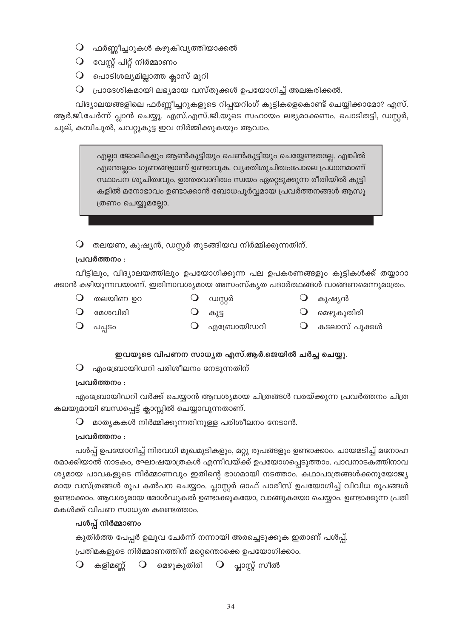- $\bigcirc$  ഫർണ്ണീച്ചറുകൾ കഴുകിവൃത്തിയാക്കൽ
- $\mathbf Q$  വേസ്റ്റ് പിറ്റ് നിർമ്മാണം
- $\bigcirc$  പൊടിശല്യമില്ലാത്ത ക്ലാസ് മുറി
- $\mathsf O$  പ്രാദേശികമായി ലഭ്യമായ വസ്തുക്കൾ ഉപയോഗിച്ച് അലങ്കരിക്കൽ.

വിദ്യാലയങ്ങളിലെ ഫർണ്ണീച്ചറുകളുടെ റിപ്പയറിംഗ് കുട്ടികളെകൊണ്ട് ചെയ്യിക്കാമോ? എസ്. ആർ.ജി.ചേർന്ന് പ്ലാൻ ചെയ്യൂ. എസ്.എസ്.ജി.യുടെ സഹായം ലഭ്യമാക്കണം. പൊടിതട്ടി, ഡസ്റ്റർ, ചൂല്, കമ്പിചൂൽ, ചവറ്റുകുട്ട ഇവ നിർമ്മിക്കുകയും ആവാം.

> എല്ലാ ജോലികളും ആൺകുട്ടിയും പെൺകുട്ടിയും ചെയ്യേണ്ടതല്ലേ. എങ്കിൽ എന്തെല്ലാം ഗുണങ്ങളാണ് ഉണ്ടാവുക. വ്യക്തിശുചിത്വംപോലെ പ്രധാനമാണ് സ്ഥാപന ശുചിത്വവും. ഉത്തരവാദിത്വം സ്വയം ഏറ്റെടുക്കുന്ന രീതിയിൽ കുട്ടി കളിൽ മനോഭാവം ഉണ്ടാക്കാൻ ബോധപൂർവ്വമായ പ്രവർത്തനങ്ങൾ ആസൂ ത്രണം ചെയ്യുമല്ലോ.

തലയണ, കുഷ്യൻ, ഡസ്റ്റർ തുടങ്ങിയവ നിർമ്മിക്കുന്നതിന്.  $\bigcirc$ 

## പ്രവർത്തനം :

വീട്ടിലും, വിദ്യാലയത്തിലും ഉപയോഗിക്കുന്ന പല ഉപകരണങ്ങളും കുട്ടികൾക്ക് തയ്യാറാ ക്കാൻ കഴിയുന്നവയാണ്. ഇതിനാവശ്യമായ അസംസ്കൃത പദാർത്ഥങ്ങൾ വാങ്ങണമെന്നുമാത്രം.

- $\mathbf 0$  തലയിണ ഉറ
- $\mathbf{Q}$  ഡസ്റ്റർ
- $\bigcirc$  കുഷ്യൻ
- $O$  മേശവിരി
- 
- 
- 
- $\Omega$ കുട്ട
- $\Omega$ മെഴുകുതിരി
- $O$   $\omega_{\rm q}$ so
	- $\bigcirc$  എബ്രോയിഡറി
- $\bigcirc$ കടലാസ് പൂക്കൾ

# ഇവയുടെ വിപണന സാധ്യത എസ്.ആർ.ജെയിൽ ചർച്ച ചെയ്യു.

 $\bigcirc$  എംബ്രോയിഡറി പരിശീലനം നേടുന്നതിന്

# പ്രവർത്തനം :

എംബ്രോയിഡറി വർക്ക് ചെയ്യാൻ ആവശ്യമായ ചിത്രങ്ങൾ വരയ്ക്കുന്ന പ്രവർത്തനം ചിത്ര കലയുമായി ബന്ധപ്പെട്ട് ക്ലാസ്സിൽ ചെയ്യാവുന്നതാണ്.

 $\bigcirc$  മാതൃകകൾ നിർമ്മിക്കുന്നതിനുള്ള പരിശീലനം നേടാൻ.

# പ്രവർത്തനം :

പൾപ്പ് ഉപയോഗിച്ച് നിരവധി മുഖമൂടികളും, മറ്റു രൂപങ്ങളും ഉണ്ടാക്കാം. ചായമടിച്ച് മനോഹ രമാക്കിയാൽ നാടകം, ഘോഷയാത്രകൾ എന്നിവയ്ക്ക് ഉപയോഗപ്പെടുത്താം. പാവനാടകത്തിനാവ ശ്യമായ പാവകളുടെ നിർമ്മാണവും ഇതിന്റെ ഭാഗമായി നടത്താം. കഥാപാത്രങ്ങൾക്കനുയോജ്യ മായ വസ്ത്രങ്ങൾ രൂപ കൽപന ചെയ്യാം. പ്ലാസ്റ്റർ ഓഫ് പാരീസ് ഉപയോഗിച്ച് വിവിധ രൂപങ്ങൾ ഉണ്ടാക്കാം. ആവശ്യമായ മോൾഡുകൽ ഉണ്ടാക്കുകയോ, വാങ്ങുകയോ ചെയ്യാം. ഉണ്ടാക്കുന്ന പ്രതി മകൾക്ക് വിപണ സാധ്യത കണ്ടെത്താം.

# പൾപ്പ് നിർമ്മാണം

കുതിർത്ത പേപ്പർ ഉലുവ ചേർന്ന് നന്നായി അരച്ചെടുക്കുക ഇതാണ് പൾപ്പ്. പ്രതിമകളുടെ നിർമ്മാണത്തിന് മറ്റെന്തൊക്കെ ഉപയോഗിക്കാം.

കളിമണ്ണ്  $\bigcirc$  $\bigcirc$ മെഴുകുതിരി  $\mathbf{Q}$  പ്ലാസ്റ്റ് സീൽ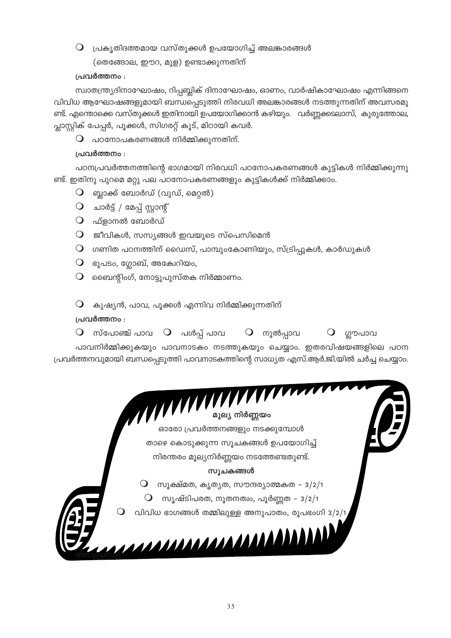$\mathsf O$  പ്രകൃതിദത്തമായ വസ്തുക്കൾ ഉപയോഗിച്ച് അലങ്കാരങ്ങൾ

(തെങ്ങോല, ഈറ, മുള) ഉണ്ടാക്കുന്നതിന്

# പ്രവർത്തനം :

സ്വാതന്ത്ര്യദിനാഘോഷം, റിപ്പബ്ലിക് ദിനാഘോഷം, ഓണം, വാർഷികാഘോഷം എന്നിങ്ങനെ വിവിധ ആഘോഷങ്ങളുമായി ബന്ധപ്പെടുത്തി നിരവധി അലങ്കാരങ്ങൾ നടത്തുന്നതിന് അവസരമു ണ്ട്. എന്തൊക്കെ വസ്തുക്കൾ ഇതിനായി ഉപയോഗിക്കാൻ കഴിയും. വർണ്ണക്കടലാസ്, കുരുത്തോല, പ്ലാസ്റ്റിക് പേപ്പർ, പൂക്കൾ, സിഗരറ്റ് കൂട്, മിഠായി കവർ.

 $\mathbf O$  പഠനോപകരണങ്ങൾ നിർമ്മിക്കുന്നതിന്.

# പ്രവർത്തനം :

പഠനപ്രവർത്തനത്തിന്റെ ഭാഗമായി നിരവധി പഠനോപകരണങ്ങൾ കുട്ടികൾ നിർമ്മിക്കുന്നു ണ്ട്. ഇതിനു പുറമെ മറ്റു പല പഠനോപകരണങ്ങളും കുട്ടികൾക്ക് നിർമ്മിക്കാം.

- $\mathbf O$  ബ്ലാക്ക് ബോർഡ് (വുഡ്, മെറ്റൽ)
- $O$  ചാർട്ട് / മേപ്പ് സ്റ്റാന്റ്
- $\overline{Q}$  ഫ്ളാനൽ ബോർഡ്
- $\bigcirc$  ജീവികൾ, സസ്യങ്ങൾ ഇവയുടെ സ്പെസിമെൻ
- $\mathsf O$  ഗണിത പഠനത്തിന് ഡൈസ്, പാമ്പുംകോണിയും, സ്ട്രിപ്പുകൾ, കാർഡുകൾ
- $\mathbf O$  ഭൂപടം, ഗ്ലോബ്, അകേഥിയം,
- $\mathsf O$  മൈെന്റിംഗ്, നോട്ടുപുസ്തക നിർമ്മാണം.

 $\mathsf O$  കുഷ്യൻ, പാവ, പൂക്കൾ എന്നിവ നിർമ്മിക്കുന്നതിന്

# പ്രവർത്തനം :

 $\mathsf O$  സ്പോഞ്ച് പാവ  $\mathsf O$  പൾപ്പ് പാവ  $\mathsf O$  നൂൽപ്പാവ  $\mathsf{Q}$  ഗ്ലൗപാവ

പാവനിർമ്മിക്കുകയും പാവനാടകം നടത്തുകയും ചെയ്യാം. ഇതരവിഷയങ്ങളിലെ പഠന പ്രവർത്തനവുമായി ബന്ധപ്പെടുത്തി പാവനാടകത്തിന്റെ സാധ്യത എസ്.ആർ.ജി.യിൽ ചർച്ച ചെയ്യാം.

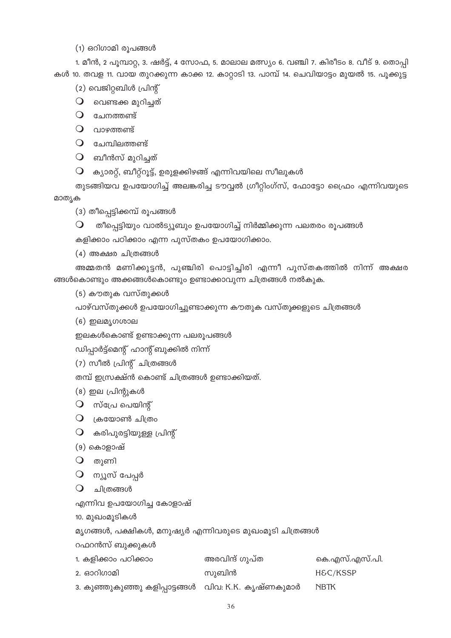(1) ഒറിഗാമി രൂപങ്ങൾ

1. മീൻ, 2 പുമ്പാറ്റ, 3. ഷർട്ട്, 4 സോഫ, 5. മാലാല മത്സ്യം 6. വഞ്ചി 7. കിരീടം 8. വീട് 9. തൊപി കൾ 10. തവള 11. വായ തുറക്കുന്ന കാക്ക 12. കാറ്റാടി 13. പാമ്പ് 14. ചെവിയാട്ടം മുയൽ 15. പൂക്കുട്ട

(2) വെജിറ്റബിൾ പ്രിന്റ്

 $\bigcirc$  വെണ്ടക്ക മുറിച്ചത്

 $O$  ചേനത്തണ്ട്

 $\Omega$  വാഴത്തണ്ട്

 $O$  ചേമ്പിലത്തണ്ട്

 $O$  ബീൻസ് മുറിച്ചത്

 $\mathsf O$  ക്യാരറ്റ്, ബീറ്റ്റൂട്ട്, ഉരുളക്കിഴങ്ങ് എന്നിവയിലെ സീലുകൾ

തുടങ്ങിയവ ഉപയോഗിച്ച് അലങ്കരിച്ച ടൗവ്വൽ ഗ്രീറ്റിംഗ്സ്, ഫോട്ടോ ഫ്രൈം എന്നിവയുടെ മാത്യക

(3) തീപ്പെട്ടിക്കമ്പ് രൂപങ്ങൾ

തീപ്പെട്ടിയും വാൽട്യൂബും ഉപയോഗിച്ച് നിർമ്മിക്കുന്ന പലതരം രൂപങ്ങൾ  $\bigcirc$ 

കളിക്കാം പഠിക്കാം എന്ന പുസ്തകം ഉപയോഗിക്കാം.

(4) അക്ഷര ചിത്രങ്ങൾ

അമ്മതൻ മണിക്കുട്ടൻ, പുഞ്ചിരി പൊട്ടിച്ചിരി എന്നീ പുസ്തകത്തിൽ നിന്ന് അക്ഷര ങ്ങൾകൊണ്ടും അക്കങ്ങൾകൊണ്ടും ഉണ്ടാക്കാവുന്ന ചിത്രങ്ങൾ നൽകുക.

(5) കൗതുക വസ്തുക്കൾ

പാഴ്വസ്തുക്കൾ ഉപയോഗിച്ചുണ്ടാക്കുന്ന കൗതുക വസ്തുക്കളുടെ ചിത്രങ്ങൾ

 $(6)$  ഇലമൃഗശാല

ഇലകൾകൊണ്ട് ഉണ്ടാക്കുന്ന പലരൂപങ്ങൾ

ഡിപ്പാർട്ട്മെന്റ് ഹാന്റ് ബുക്കിൽ നിന്ന്

```
(7) സീൽ പ്രിന്റ് ചിത്രങ്ങൾ
```
തമ്പ് ഇസ്രക്ഷ്ൻ കൊണ്ട് ചിത്രങ്ങൾ ഉണ്ടാക്കിയത്.

(8) ഇല പ്രിന്റുകൾ

 $\bigcirc$  സ്പ്രേ പെയിന്റ്

 $\bigcirc$  ക്രയോൺ ചിത്രം

 $O$  കരിപുരട്ടിയുള്ള പ്രിന്റ്

(9) കൊളാഷ്

 $\bigcirc$  തുണി

 $\bigcirc$  ന്യൂസ് പേപ്പർ

 $O$  ചിത്രങ്ങൾ

എന്നിവ ഉപയോഗിച്ച കോളാഷ്

10. മുഖംമൂടികൾ

മൃഗങ്ങൾ, പക്ഷികൾ, മനുഷ്യർ എന്നിവരുടെ മുഖംമൂടി ചിത്രങ്ങൾ

റഫറൻസ് ബുക്കുകൾ

| 1. കളിക്കാം പഠിക്കാം                                  | അരവിന്ദ് ഗുപ്ത | കെ.എസ്.എസ്.പി. |
|-------------------------------------------------------|----------------|----------------|
| 2. ഓറിഗാമി                                            | സുബിൻ          | H&C/KSSP       |
| ാ. കുഞ്ഞുകുഞ്ഞു കളിപ്പാട്ടങ്ങൾ   വിവ: K.K. കൃഷ്ണകുമാർ |                | <b>NBTK</b>    |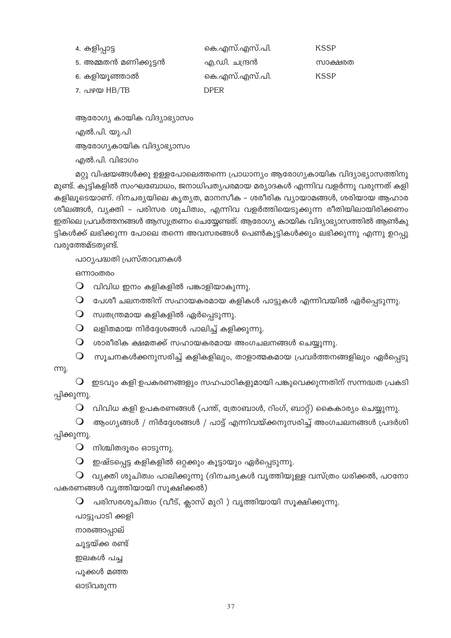| 4. കളിപ്പാട്ട         | കെ.എസ്.എസ്.പി. | <b>KSSP</b> |
|-----------------------|----------------|-------------|
| 5. അമ്മതൻ മണിക്കുട്ടൻ | എ.ഡി. ചന്ദ്രൻ  | സാക്ഷരത     |
| 6. കളിയുഞ്ഞാൽ         | കെ.എസ്.എസ്.പി. | <b>KSSP</b> |
| $7.080$ HB/TB         | DPER           |             |

ആരോഗ്യ കായിക വിദ്യാഭ്യാസം എൽ.പി. യു.പി ആരോഗ്യകായിക വിദ്യാഭ്യാസം എൽ.പി. വിഭാഗം

മറ്റു വിഷയങ്ങൾക്കു ഉള്ളപോലെത്തന്നെ പ്രാധാന്യം ആരോഗ്യകായിക വിദ്യാഭ്യാസത്തിനു മുണ്ട്. കുട്ടികളിൽ സംഘബോധം, ജനാധിപത്യപരമായ മര്യാദകൾ എന്നിവ വളർന്നു വരുന്നത് കളി കളിലൂടെയാണ്. ദിനചര്യയിലെ കൃത്യത, മാനസീക - ശരീരിക വ്യായാമങ്ങൾ, ശരിയായ ആഹാര ശീലങ്ങൾ, വ്യക്തി – പരിസര ശുചിത്വം, എന്നിവ വളർത്തിയെടുക്കുന്ന രീതിയിലായിരിക്കണം ഇതിലെ പ്രവർത്തനങ്ങൾ ആസുത്രണം ചെയ്യേണ്ടത്. ആരോഗ്യ കായിക വിദ്യാഭ്യാസത്തിൽ ആൺകു ട്ടികൾക്ക് ലഭിക്കുന്ന പോലെ തന്നെ അവസരങ്ങൾ പെൺകുട്ടികൾക്കും ലഭിക്കുന്നു എന്നു ഉറപ്പു വരുത്തേമ്ടതുണ്ട്.

പാഠ്യപദ്ധതി പ്രസ്താവനകൾ

ഒന്നാംതരം

 $\bigcirc$ വിവിധ ഇനം കളികളിൽ പങ്കാളിയാകുന്നു.

 $\mathsf O$  പേശീ ചലനത്തിന് സഹായകരമായ കളികൾ പാട്ടുകൾ എന്നിവയിൽ ഏർപ്പെടുന്നു.

 $O$  സ്വതന്ത്രമായ കളികളിൽ ഏർപ്പെടുന്നു.

 $O$  ലളിതമായ നിർദ്ദേശങ്ങൾ പാലിച്ച് കളിക്കുന്നു.

 $\mathsf O$  ശാരീരിക ക്ഷമതക്ക് സഹായകരമായ അംഗചലനങ്ങൾ ചെയ്യുന്നു.

 $\,\mathsf{O}\,$  സൂചനകൾക്കനുസരിച്ച് കളികളിലും, താളാത്മകമായ പ്രവർത്തനങ്ങളിലും ഏർപ്പെടു

m).

 $\mathsf O$  ഇടവും കളി ഉപകരണങ്ങളും സഹപാഠികളുമായി പങ്കുവെക്കുന്നതിന് സന്നദ്ധത പ്രകടി പ്പിക്കുന്നു.

 $\mathsf O$  വിവിധ കളി ഉപകരണങ്ങൾ (പന്ത്, ത്രോബാൾ, റിംഗ്, ബാറ്റ്) കൈകാര്യം ചെയ്യുന്നു.

 $\mathbf O$  ആംഗ്യങ്ങൾ / നിർദ്ദേശങ്ങൾ / പാട്ട് എന്നിവയ്ക്കനുസരിച്ച് അംഗചലനങ്ങൾ പ്രദർശി പ്പിക്കുന്നു.

 $\mathbf 0$  നിശ്ചിതദൂരം ഓടുന്നു.

 $\mathsf O$  ഇഷ്ടപ്പെട്ട കളികളിൽ ഒറ്റക്കും കൂട്ടായും ഏർപ്പെടുന്നു.

 $\mathsf O$  വ്യക്തി ശുചിത്വം പാലിക്കുന്നു (ദിനചര്യകൾ വൃത്തിയുള്ള വസ്ത്രം ധരിക്കൽ, പഠനോ പകരണങ്ങൾ വൃത്തിയായി സൂക്ഷിക്കൽ)

 $\mathsf O$  പരിസരശുചിത്വം (വീട്, ക്ലാസ് മുറി ) വൃത്തിയായി സൂക്ഷിക്കുന്നു.

പാട്ടുപാടി ക്കളി

നാരങ്ങാപ്പാല്

ചുട്ടയ്ക്ക രണ്ട്

ഇലകൾ പച്ച

പൂക്കൾ മഞ്ഞ

ഓടിവരുന്ന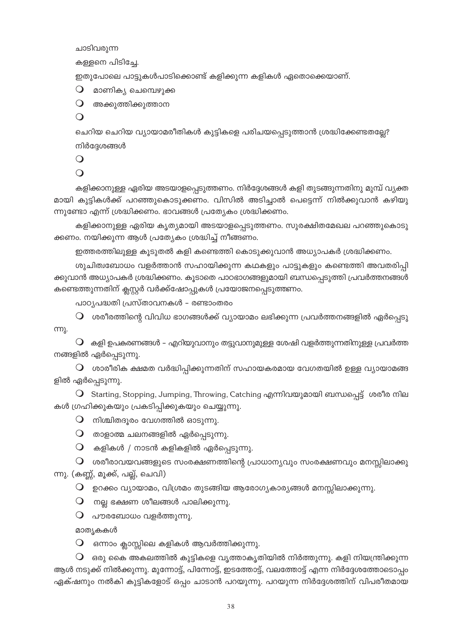ചാടിവരുന്ന

കള്ളനെ പിടിച്ചേ.

ഇതുപോലെ പാട്ടുകൾപാടിക്കൊണ്ട് കളിക്കുന്ന കളികൾ ഏതൊക്കെയാണ്.

 $\bigcirc$  മാണികൃ ചെമ്പെഴുക്ക

 $\mathbf 0$  അക്കുത്തിക്കുത്താന

 $\bigcirc$ 

ചെറിയ ചെറിയ വ്യായാമരീതികൾ കുട്ടികളെ പരിചയപ്പെടുത്താൻ ശ്രദ്ധിക്കേണ്ടതല്ലേ? നിർദ്ദേശങ്ങൾ

 $\bigcirc$ 

 $\Omega$ 

കളിക്കാനുള്ള ഏരിയ അടയാളപ്പെടുത്തണം. നിർദ്ദേശങ്ങൾ കളി തുടങ്ങുന്നതിനു മുമ്പ് വ്യക്ത മായി കുട്ടികൾക്ക് പറഞ്ഞുകൊടുക്കണം. വിസിൽ അടിച്ചാൽ പെട്ടെന്ന് നിൽക്കുവാൻ കഴിയു ന്നുണ്ടോ എന്ന് ശ്രദ്ധിക്കണം. ഭാവങ്ങൾ പ്രത്യേകം ശ്രദ്ധിക്കണം.

കളിക്കാനുള്ള ഏരിയ കൃതൃമായി അടയാളപ്പെടുത്തണം. സുരക്ഷിതമേഖല പറഞ്ഞുകൊടു ക്കണം. നയിക്കുന്ന ആൾ പ്രത്യേകം ശ്രദ്ധിച്ച് നീങ്ങണം.

ഇത്തരത്തിലുള്ള കൂടുതൽ കളി കണ്ടെത്തി കൊടുക്കുവാൻ അധ്യാപകർ ശ്രദ്ധിക്കണം.

ശുചിത്വബോധം വളർത്താൻ സഹായിക്കുന്ന കഥകളും പാട്ടുകളും കണ്ടെത്തി അവതരിപ്പി ക്കുവാൻ അധ്യാപകർ ശ്രദ്ധിക്കണം. കൂടാതെ പാഠഭാഗങ്ങളുമായി ബന്ധപ്പെടുത്തി പ്രവർത്തനങ്ങൾ കണ്ടെത്തുന്നതിന് ക്ലസ്റ്റർ വർക്ക്ഷോപ്പുകൾ പ്രയോജനപ്പെടുത്തണം.

പാഠ്യപദ്ധതി പ്രസ്താവനകൾ – രണ്ടാംതരം

 $\mathsf O$  ശരീരത്തിന്റെ വിവിധ ഭാഗങ്ങൾക്ക് വ്യായാമം ലഭിക്കുന്ന പ്രവർത്തനങ്ങളിൽ ഏർപ്പെടു m.

 $\bigcirc$  കളി ഉപകരണങ്ങൾ – എറിയുവാനും തട്ടുവാനുമുള്ള ശേഷി വളർത്തുന്നതിനുള്ള പ്രവർത്ത നങ്ങളിൽ ഏർപ്പെടുന്നു.

 $\,\mathsf{O}\,$  ശാരീരിക ക്ഷമത വർദ്ധിപ്പിക്കുന്നതിന് സഹായകരമായ വേഗതയിൽ ഉള്ള വ്യായാമങ്ങ ളിൽ ഏർപ്പെടുന്നു.

O Starting, Stopping, Jumping, Throwing, Catching എന്നിവയുമായി ബന്ധപ്പെട്ട് ശരീര നില കൾ ഗ്രഹിക്കുകയും പ്രകടിപ്പിക്കുകയും ചെയ്യുന്നു.

 $\mathbf Q$  നിശ്ചിതദൂരം വേഗത്തിൽ ഓടുന്നു.

 $\mathsf O$  താളാത്മ ചലനങ്ങളിൽ ഏർപ്പെടുന്നു.

 $\mathbf O$  കളികൾ / നാടൻ കളികളിൽ ഏർപ്പെടുന്നു.

 $\, \mathsf{O} \,$  ശരീരാവയവങ്ങളുടെ സംരക്ഷണത്തിന്റെ പ്രാധാന്യവും സംരക്ഷണവും മനസ്സിലാക്കു ന്നു. (കണ്ണ്, മൂക്ക്, പല്ല്, ചെവി)

 $\mathsf O$  ഉറക്കം വ്യായാമം, വിശ്രമം തുടങ്ങിയ ആരോഗ്യകാര്യങ്ങൾ മനസ്സിലാക്കുന്നു.

 $\mathbf O$  നല്ല ഭക്ഷണ ശീലങ്ങൾ പാലിക്കുന്നു.

 $\mathbf 0$  പൗരബോധം വളർത്തുന്നു.

മാത്യകകൾ

 $\bigcirc$  ഒന്നാം ക്ലാസ്സിലെ കളികൾ ആവർത്തിക്കുന്നു.

 $\mathsf O$  ഒരു കൈ അകലത്തിൽ കുട്ടികളെ വൃത്താകൃതിയിൽ നിർത്തുന്നു. കളി നിയന്ത്രിക്കുന്ന ആൾ നടുക്ക് നിൽക്കുന്നു. മുന്നോട്ട്, പിന്നോട്ട്, ഇടത്തോട്ട്, വലത്തോട്ട് എന്ന നിർദ്ദേശത്തോടൊപ്പം ഏക്ഷനും നൽകി കുട്ടികളോട് ഒപ്പം ചാടാൻ പറയുന്നു. പറയുന്ന നിർദ്ദേശത്തിന് വിപരീതമായ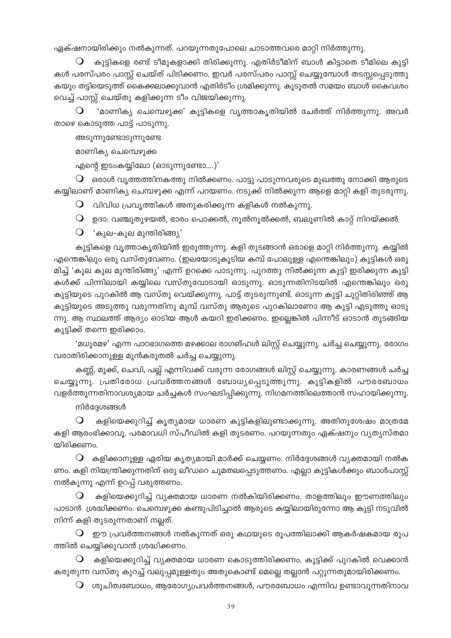ഏക്ഷനായിരിക്കും നൽകുന്നത്. പറയുന്നതുപോലെ ചാടാത്തവരെ മാറ്റി നിർത്തുന്നു.

കുട്ടികളെ രണ്ട് ടീമുകളാക്കി തിരിക്കുന്നു. എതിർടീമിന് ബാൾ കിട്ടാതെ ടീമിലെ കുട്ടി കൾ പരസ്പരം പാസ്റ്റ് ചെയ്ത് പിടിക്കണം. ഇവർ പരസ്പരം പാസ്റ്റ് ചെയ്യുമ്പോൾ തടസ്സപ്പെടുത്തു കയും തട്ടിയെടുത്ത് കൈക്കലാക്കുവാൻ എതിർടീം ശ്രമിക്കുന്നു. കൂടുതൽ സമയം ബാൾ കൈവശം വെച്ച് പാസ്സ് ചെയ്തു കളിക്കുന്ന ടീം വിജയിക്കുന്നു.

'മാണിക്യ ചെമ്പെഴുക്ക' കുട്ടികളെ വൃത്താകൃതിയിൽ ചേർത്ത് നിർത്തുന്നു. അവർ  $\Omega$ താഴെ കൊടുത്ത പാട്ട് പാടുന്നു.

അടുന്നുണ്ടോടുന്നുണ്ടേ

മാണികൃ ചെമ്പെഴുക്ക

എന്റെ ഇടംകയ്യിലോ (ഓടുന്നുണ്ടോ....)'

 $\, \mathsf{O} \,$  ഒരാൾ വൃത്തത്തിനകത്തു നിൽക്കണം. പാട്ടു പാടുന്നവരുടെ മുഖത്തു നോക്കി ആരുടെ കയ്യിലാണ് മാണിക്യ ചെമ്പഴുക്ക എന്ന് പറയണം. നടുക്ക് നിൽക്കുന്ന ആളെ മാറ്റി കളി തുടരുന്നു.

 $\Omega$  വിവിധ പ്രവൃത്തികൾ അനുകരിക്കുന്ന കളികൾ നൽകുന്നു.

 $\mathsf O$  ഉദാ: വഞ്ചുതുഴയൽ, ഭാരം പൊക്കൽ, നൂൽനൂൽക്കൽ, ബലൂണിൽ കാറ്റ് നിറയ്ക്കൽ

 $\mathbf{Q}$  'കുല-കുല മുന്തിരിങ്ങ്യ'

കുട്ടികളെ വൃത്താകൃതിയിൽ ഇരുത്തുന്നു. കളി തുടങ്ങാൻ ഒരാളെ മാറ്റി നിർത്തുന്നു. കയ്യിൽ എന്തെങ്കിലും ഒരു വസ്തുവേണം. (ഇലയോടുകൂടിയ കമ്പ് പോലുള്ള എന്തെങ്കിലും) കുട്ടികൾ ഒരു മിച്ച് 'കൂല കൂല മൂന്തിരിങ്ങ്യ' എന്ന് ഉറക്കെ പാടുന്നു. പുറത്തു നിൽക്കുന്ന കൂട്ടി ഇരിക്കുന്ന കൂട്ടി കൾക്ക് പിന്നിലായി കയ്യിലെ വസ്തുവോടായി ഓടുന്നു. ഓടുന്നതിനിടയിൽ എന്തെങ്കിലും ഒരു കുട്ടിയുടെ പുറകിൽ ആ വസ്തു വെയ്ക്കുന്നു. പാട്ട് തുടരുന്നുണ്ട്. ഓടുന്ന കുട്ടി ചുറ്റിതിരിഞ്ഞ് ആ കുട്ടിയുടെ അടുത്തു വരുന്നതിനു മുമ്പ് വസ്തു ആരുടെ പുറകിലാണോ ആ കുട്ടി എടുത്തു ഓടു ന്നു. ആ സ്ഥലത്ത് ആദ്യം ഓടിയ ആൾ കയറി ഇരിക്കണം. ഇല്ലെങ്കിൽ പിന്നീട് ഓടാൻ തുടങ്ങിയ കൂട്ടിക്ക് തന്നെ ഇരിക്കാം.

'മധ്വരമഴ' എന്ന പാഠഭാഗത്തെ മഴക്കാല രാഗങ്ഹൾ ലിസ്റ്റ് ചെയ്യുന്നു. ചർച്ച ചെയ്യുന്നു. രോഗം വരാതിരിക്കാനുള്ള മുൻകരുതൽ ചർച്ച ചെയ്യുന്നു.

കണ്ണ്, മൂക്ക്, ചെവി, പല്ല് എന്നിവക്ക് വരുന്ന രോഗങ്ങൾ ലിസ്റ്റ് ചെയ്യുന്നു. കാരണങ്ങൾ ചർച്ച ചെയ്യുന്നു. പ്രതിരോധ പ്രവർത്തനങ്ങൾ ബോധ്യപ്പെടുത്തുന്നു. കുട്ടികളിൽ പൗരബോധം വളർത്തുന്നതിനാവശ്യമായ ചർച്ചകൾ സംഘടിപ്പിക്കുന്നു. നിഗമനത്തിലെത്താൻ സഹായിക്കുന്നു.

### നിർദ്ദേശങ്ങൾ

 $\Omega$ കളിയെക്കുറിച്ച് കൃത്യമായ ധാരണ കുട്ടികളിലുണ്ടാക്കുന്നു. അതിനുശേഷം മാത്രമേ കളി ആരംഭിക്കാവൂ. പരമാവധി സ്പീഡിൽ കളി തുടരണം. പറയുന്നതും ഏക്ഷനും വ്യത്യസ്തമാ യിരിക്കണം.

 $\bigcirc$  കളിക്കാനുള്ള ഏരിയ കൃത്യമായി മാർക്ക് ചെയ്യണം. നിർദ്ദേശങ്ങൾ വ്യക്തമായി നൽക ണം. കളി നിയന്ത്രിക്കുന്നതിന് ഒരു ലീഡറെ ചുമതലപ്പെടുത്തണം. എല്ലാ കുട്ടികൾക്കും ബാൾപാസ്റ്റ് നൽകുന്നു എന്ന് ഉറപ്പ് വരുത്തണം.

 $\bigcirc$ കളിയെക്കുറിച്ച് വ്യക്തമായ ധാരണ നൽകിയിരിക്കണം. താളത്തിലും ഈണത്തിലും പാടാൻ ശ്രദ്ധിക്കണം. ചെമ്പെഴുക്ക കണ്ടുപിടിച്ചാൽ ആരുടെ കയ്യിലായിരുന്നോ ആ കുട്ടി നടുവിൽ നിന്ന് കളി തുടരുന്നതാണ് നല്ലത്.

 $\mathsf O$  ഈ പ്രവർത്തനങ്ങൾ നൽകുന്നത് ഒരു കഥയുടെ രൂപത്തിലാക്കി ആകർഷകമായ രൂപ ത്തിൽ ചെയ്യിക്കുവാൻ ശ്രദ്ധിക്കണം.

 $\bigcirc$  കളിയെക്കുറിച്ച് വ്യക്തമായ ധാരണ കൊടുത്തിരിക്കണം. കൂട്ടിക്ക് പുറകിൽ വെക്കാൻ കരുതുന്ന വസ്തു കുറച്ച് വലുപ്പമുള്ളതും അതുകൊണ്ട് മെല്ലെ തല്ലാൻ പറ്റുന്നതുമായിരിക്കണം.

 $\, \mathsf{O} \,$  ശുചിത്വബോധം, ആരോഗ്യപ്രവർത്തനങ്ങൾ, പൗരബോധം എന്നിവ ഉണ്ടാവുന്നതിനാവ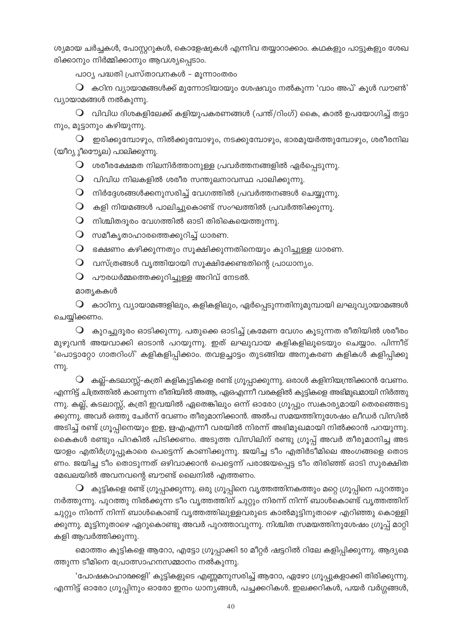ശ്യമായ ചർച്ചകൾ, പോസ്റ്ററുകൾ, കൊളേഷുകൾ എന്നിവ തയ്യാറാക്കാം. കഥകളും പാട്ടുകളും ശേഖ രിക്കാനും നിർമ്മിക്കാനും ആവശ്യപ്പെടാം.

പാഠ്യ പദ്ധതി പ്രസ്താവനകൾ – മുന്നാംതരം

 $\mathsf O$  കഠിന വ്യായാമങ്ങൾക്ക് മുന്നോടിയായും ശേഷവും നൽകുന്ന 'വാം അപ്' കൂൾ ഡൗൺ' വ്യായാമങ്ങൾ നൽകുന്നു.

 $\Omega$  വിവിധ ദിശകളിലേക്ക് കളിയുപകരണങ്ങൾ (പന്ത്/റിംഗ്) കൈ, കാൽ ഉപയോഗിച്ച് തട്ടാ നും, മുട്ടാനും കഴിയുന്നു.

 $\bigcirc$  ഇരിക്കുമ്പോഴും, നിൽക്കുമ്പോഴും, നടക്കുമ്പോഴും, ഭാരമുയർത്തുമ്പോഴും, ശരീരനില (യീറ്യൂീയെയ്യല) പാലിക്കുന്നു.

 $\mathsf O$  ശരീരക്ഷേമത നിലനിർത്താനുള്ള പ്രവർത്തനങ്ങളിൽ ഏർപ്പെടുന്നു.

 $\mathsf O$  വിവിധ നിലകളിൽ ശരീര സന്തുലനാവസ്ഥ പാലിക്കുന്നു.

 $\mathsf O$  നിർദ്ദേശങ്ങൾക്കനുസരിച്ച് വേഗത്തിൽ പ്രവർത്തനങ്ങൾ ചെയ്യുന്നു.

 $\mathsf O$  കളി നിയമങ്ങൾ പാലിച്ചുകൊണ്ട് സംഘത്തിൽ പ്രവർത്തിക്കുന്നു.

 $\mathsf O$  നിശ്ചിതദൂരം വേഗത്തിൽ ഓടി തിരികെയെത്തുന്നു.

 $\mathsf O$  സമീകൃതാഹാരത്തെക്കുറിച്ച് ധാരണ.

 $\mathsf O$  ഭക്ഷണം കഴിക്കുന്നതും സൂക്ഷിക്കുന്നതിനെയും കുറിച്ചുള്ള ധാരണ.

 $\mathsf O$  വസ്ത്രങ്ങൾ വൃത്തിയായി സൂക്ഷിക്കേണ്ടതിന്റെ പ്രാധാന്യം.

 $\mathsf O$  പൗരധർമ്മത്തെക്കുറിച്ചുള്ള അറിവ് നേടൽ.

മാത്യകകൾ

 $\mathsf O$  കാഠിന്യ വ്യായാമങ്ങളിലും, കളികളിലും, ഏർപ്പെടുന്നതിനുമുമ്പായി ലഘുവ്യായാമങ്ങൾ ചെയ്യിക്കണം.

 $\bigcirc$  കുറച്ചുദൂരം ഓടിക്കുന്നു. പതുക്കെ ഓടിച്ച് ക്രമേണ വേഗം കൂടുന്നത രീതിയിൽ ശരീരം മുഴുവൻ അയവാക്കി ഓടാൻ പറയുന്നു. ഇത് ലഘുവായ കളികളിലൂടെയും ചെയ്യാം. പിന്നീട് 'പൊട്ടാറ്റോ ഗാതറിംഗ്' കളികളിപ്പിക്കാം. തവളച്ചാട്ടം തുടങ്ങിയ അനുകരണ കളികൾ കളിപ്പിക്കു ന്നു.

 $\mathbf O$  കല്ല്–കടലാസ്സ്–കത്രി കളികുട്ടികളെ രണ്ട് ഗ്രൂപ്പാക്കുന്നു. ഒരാൾ കളിനിയന്ത്രിക്കാൻ വേണം. എന്നിട്ട് ചിത്രത്തിൽ കാണുന്ന രീതിയിൽ അആ, ഏഒഎന്നീ വരകളിൽ കുട്ടികളെ അഭിമുഖമായി നിർത്തു ന്നു. കല്ല്, കടലാസ്സ്, കത്രി ഇവയിൽ ഏതെങ്കിലും ഒന്ന് ഓരോ ഗ്രൂപ്പും സ്വകാര്യമായി തെരഞ്ഞെടു ക്കുന്നു. അവർ ഒത്തു ചേർന്ന് വേണം തീരുമാനിക്കാൻ. അൽപ സമയത്തിനുശേഷം ലീഡർ വിസിൽ അടിച്ച് രണ്ട് ഗ്രൂപ്പിനെയും ഇഉ, ഋഎഎന്നീ വരയിൽ നിരന്ന് അഭിമുഖമായി നിൽക്കാൻ പറയുന്നു. കൈകൾ രണ്ടും പിറകിൽ പിടിക്കണം. അടുത്ത വിസിലിന് രണ്ടു ഗ്രൂപ്പ് അവർ തീരുമാനിച്ച അട യാളം എതിർഗ്രൂപ്പുകാരെ പെട്ടെന്ന് കാണിക്കുന്നു. ജയിച്ച ടീം എതിർടീമിലെ അംഗങ്ങളെ തൊട ണം. ജയിച്ച ടീം തൊടുന്നത് ഒഴിവാക്കാൻ പെട്ടെന്ന് പരാജയപ്പെട്ട ടീം തിരിഞ്ഞ് ഓടി സുരക്ഷിത മേഖലയിൽ അവനവന്റെ ബൗണ്ട് ലൈനിൽ എത്തണം.

 $\mathsf O$  കുട്ടികളെ രണ്ട് ഗ്രൂപ്പാക്കുന്നു. ഒരു ഗ്രൂപ്പിനെ വൃത്തത്തിനകത്തും മറ്റെ ഗ്രൂപ്പിനെ പുറത്തും നർത്തുന്നു. പുറത്തു നിൽക്കുന്ന ടീം വൃത്തത്തിന് ചുറ്റും നിരന്ന് നിന്ന് ബാൾകൊണ്ട് വൃത്തത്തിന് ചുറ്റും നിരന്ന് നിന്ന് ബാൾകൊണ്ട് വൃത്തത്തിലുള്ളവരുടെ കാൽമുട്ടിനുതാഴെ എറിഞ്ഞു കൊള്ളി ക്കുന്നു. മുട്ടിനുതാഴെ ഏറുകൊണ്ടു അവർ പുറത്താവുന്നു. നിശ്ചിത സമയത്തിനുശേഷം ഗ്രൂപ്പ് മാറ്റി കളി ആവർത്തിക്കുന്നു.

മൊത്തം കുട്ടികളെ ആറോ, എട്ടോ ഗ്രൂപ്പാക്കി 50 മീറ്റർ ഷട്ടറിൽ റിലേ കളിപ്പിക്കുന്നു. ആദ്യമെ ത്തുന്ന ടീമിനെ പ്രോത്സാഹനസമ്മാനം നൽകുന്നു.

'പോഷകാഹാര്ക്കളി' കുട്ടികളുടെ എണ്ണമനുസരിച്ച് ആറോ, ഏഴോ ഗ്രൂപ്പുകളാക്കി തിരിക്കുന്നു. എന്നിട്ട് ഓരോ ഗ്രൂപ്പിനും ഓരോ ഇനം ധാന്യങ്ങൾ, പച്ചക്കറികൾ. ഇലക്കറികൾ, പയർ വർഗ്ഗങ്ങൾ,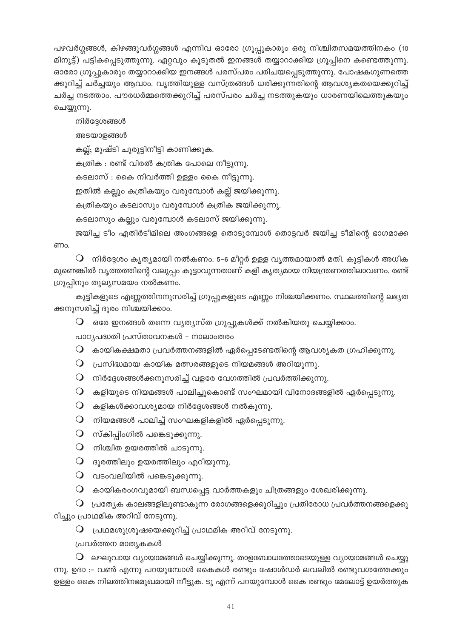പഴവർഗ്ഗങ്ങൾ, കിഴങ്ങുവർഗ്ഗങ്ങൾ എന്നിവ ഓരോ ഗ്രൂപ്പുകാരും ഒരു നിശ്ചിതസമയത്തിനകം (10 മിനുട്ട്) പട്ടികപ്പെടുത്തുന്നു. ഏറ്റവും കൂടുതൽ ഇനങ്ങൾ തയ്യാറാക്കിയ ഗ്രൂപ്പിനെ കണ്ടെത്തുന്നു. ഓരോ ഗ്രൂപ്പുകാരും തയ്യാറാക്കിയ ഇനങ്ങൾ പരസ്പരം പരിചയപ്പെടുത്തുന്നു. പോഷകഗുണത്തെ ക്കുറിച്ച് ചർച്ചയും ആവാം. വൃത്തിയുള്ള വസ്ത്രങ്ങൾ ധരിക്കുന്നതിന്റെ ആവശ്യകതയെക്കുറിച്ച് ചർച്ച നടത്താം. പൗരധർമ്മത്തെക്കുറിച്ച് പരസ്പരം ചർച്ച നടത്തുകയും ധാരണയിലെത്തുകയും ചെയ്യുന്നു.

നിർദ്ദേശങ്ങൾ

അടയാളങ്ങൾ

കല്ല്; മുഷ്ടി ചുരുട്ടിനീട്ടി കാണിക്കുക.

കത്രിക : രണ്ട് വിരൽ കത്രിക പോലെ നീട്ടുന്നു.

കടലാസ് : കൈ നിവർത്തി ഉള്ളം കൈ നീട്ടുന്നു.

ഇതിൽ കല്ലും കത്രികയും വരുമ്പോൾ കല്ല് ജയിക്കുന്നു.

കത്രികയും കടലാസും വരുമ്പോൾ കത്രിക ജയിക്കുന്നു.

കടലാസും കല്ലും വരുമ്പോൾ കടലാസ് ജയിക്കുന്നു.

ജയിച്ച ടീം എതിർടീമിലെ അംഗങ്ങളെ തൊടുമ്പോൾ തൊട്ടവർ ജയിച്ച ടീമിന്റെ ഭാഗമാക്ക ണം.

 $\mathbf O$  നിർദ്ദേശം കൃത്യമായി നൽകണം. 5-6 മീറ്റർ ഉള്ള വൃത്തമായാൽ മതി. കുട്ടികൾ അധിക മുണ്ടെങ്കിൽ വൃത്തത്തിന്റെ വലുപ്പം കൂട്ടാവുന്നതാണ് കളി കൃത്യമായ നിയന്ത്രണത്തിലാവണം. രണ്ട് ഗ്രൂപ്പിനും തുല്യസമയം നൽകണം.

കുട്ടികളുടെ എണ്ണത്തിനനുസരിച്ച് ഗ്രൂപ്പുകളുടെ എണ്ണം നിശ്ചയിക്കണം. സ്ഥലത്തിന്റെ ലഭ്യത ക്കനുസരിച്ച് ദൂരം നിശ്ചയിക്കാം.

 $\mathsf O$  ഒരേ ഇനങ്ങൾ തന്നെ വ്യത്യസ്ത ഗ്രൂപ്പുകൾക്ക് നൽകിയതു ചെയ്യിക്കാം.

പാഠൃപദ്ധതി പ്രസ്താവനകൾ – നാലാംതരം

 $\mathsf O$  കായികക്ഷമതാ പ്രവർത്തനങ്ങളിൽ ഏർപ്പെടേണ്ടതിന്റെ ആവശ്യകത ഗ്രഹിക്കുന്നു.

- $\mathsf O$  പ്രസിദ്ധമായ കായിക മത്സരങ്ങളുടെ നിയമങ്ങൾ അറിയുന്നു.
- $\mathsf O$  നിർദ്ദേശങ്ങൾക്കനുസരിച്ച് വളരേ വേഗത്തിൽ പ്രവർത്തിക്കുന്നു.
- $\mathsf O$  കളിയുടെ നിയമങ്ങൾ പാലിച്ചുകൊണ്ട് സംഘമായി വിനോദങ്ങളിൽ ഏർപ്പെടുന്നു.
- $\mathsf O$  കളികൾക്കാവശ്യമായ നിർദ്ദേശങ്ങൾ നൽകുന്നു.
- $\mathsf O$  നിയമങ്ങൾ പാലിച്ച് സംഘകളികളിൽ ഏർപ്പെടുന്നു.
- $\mathbf O$  സ്കിപ്പിംഗിൽ പങ്കെടുക്കുന്നു.
- $\mathbf O$  നിശ്ചിത ഉയരത്തിൽ ചാടുന്നു.
- $O$  ദൂരത്തിലും ഉയരത്തിലും എറിയുന്നു.
- $\mathsf O$  വടംവലിയിൽ പങ്കെടുക്കുന്നു.
- $\mathsf O$  കായികരംഗവുമായി ബന്ധപ്പെട്ട വാർത്തകളും ചിത്രങ്ങളും ശേഖരിക്കുന്നു.

 $\mathbf O$  പ്രത്യേക കാലങ്ങളിലുണ്ടാകുന്ന രോഗങ്ങളെക്കുറിച്ചും പ്രതിരോധ പ്രവർത്തനങ്ങളെക്കു റിച്ചും പ്രാഥമിക അറിവ് നേടുന്നു.

 $\mathsf O$  പ്രഥമശുശ്രൂഷയെക്കുറിച്ച് പ്രാഥമിക അറിവ് നേടുന്നു.

പ്രവർത്തന മാതൃകകൾ

 $\bigcirc$  ലഘുവായ വ്യായാമങ്ങൾ ചെയ്യിക്കുന്നു. താളബോധത്തോടെയുള്ള വ്യായാമങ്ങൾ ചെയ്യു ന്നു. ഉദാ :– വൺ എന്നു പറയുമ്പോൾ കൈകൾ രണ്ടും ഷോൾഡർ ലവലിൽ രണ്ടുവശത്തേക്കും ഉള്ളം കൈ നിലത്തിനഭമുഖമായി നീട്ടുക. ടൂ എന്ന് പറയുമ്പോൾ കൈ രണ്ടും മേലോട്ട് ഉയർത്തുക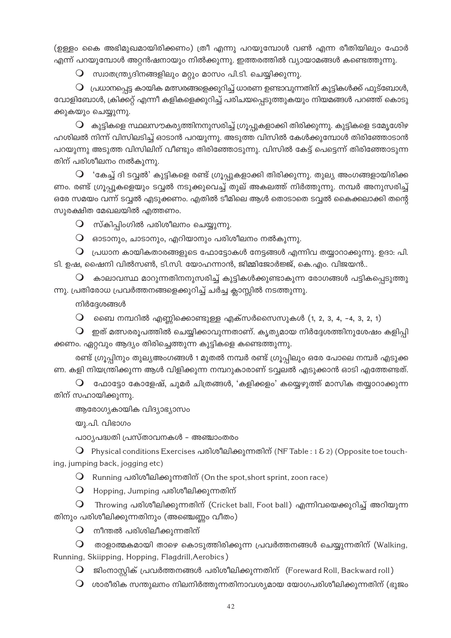(ഉള്ളം കൈ അഭിമുഖമായിരിക്കണം) ത്രീ എന്നു പറയുമ്പോൾ വൺ എന്ന രീതിയിലും ഫോർ എന്ന് പറയുമ്പോൾ അറ്റൻഷനായും നിൽക്കുന്നു. ഇത്തരത്തിൽ വ്യായാമങ്ങൾ കണ്ടെത്തുന്നു.

 $\bigcirc$  സ്വാതന്ത്ര്യദിനങ്ങളിലും മറ്റും മാസം പി.ടി. ചെയ്യിക്കുന്നു.

 $\, \mathbf{O} \,$  പ്രധാനപ്പെട്ട കായിക മത്സരങ്ങളെക്കുറിച്ച് ധാരണ ഉണ്ടാവുന്നതിന് കുട്ടികൾക്ക് ഫുട്ബോൾ, വോളിബോൾ, ക്രിക്കറ്റ് എന്നീ കളികളെക്കുറിച്ച് പരിചയപ്പെടുത്തുകയും നിയമങ്ങൾ പറഞ്ഞ് കൊടു ക്കുകയും ചെയ്യുന്നു.

 $\mathsf O$  കുട്ടികളെ സ്ഥലസൗകര്യത്തിനനുസരിച്ച് ഗ്രൂപ്പുകളാക്കി തിരിക്കുന്നു. കുട്ടികളെ ടമ്യേശ്യേഴ ഹശിലൽ നിന്ന് വിസിലടിച്ച് ഓടാൻ പറയുന്നു. അടുത്ത വിസിൽ കേൾക്കുമ്പോൾ തിരിഞ്ഞോടാൻ പറയുന്നു അടുത്ത വിസിലിന് വീണ്ടും തിരിഞ്ഞോടുന്നു. വിസിൽ കേട്ട് പെട്ടെന്ന് തിരിഞ്ഞോടുന്ന തിന് പരിശീലനം നൽകുന്നു.

 $\mathsf{Q}$  'കേച്ച് ദി ടവ്വൽ' കുട്ടികളെ രണ്ട് ഗ്രൂപ്പുകളാക്കി തിരിക്കുന്നു. തുല്യ അംഗങ്ങളായിരിക്ക ണം. രണ്ട് ഗ്രൂപ്പൂകളെയും ടവ്വൽ നടുക്കുവെച്ച് തുല് അകലത്ത് നിർത്തുന്നു. നമ്പർ അനുസരിച്ച് ഒരേ സമയം വന്ന് ടവ്വൽ എടുക്കണം. എതിൽ ടീമിലെ ആൾ തൊടാതെ ടവ്വൽ കൈക്കലാക്കി തന്റെ സുരക്ഷിത മേഖലയിൽ എത്തണം.

 $\mathsf Q$  സ്കിപ്പിംഗിൽ പരിശീലനം ചെയ്യുന്നു.

 $\bigcirc$  ഓടാനും, ചാടാനും, എറിയാനും പരിശീലനം നൽകുന്നു.

 $\, \mathsf{O} \,$  പ്രധാന കായികതാരങ്ങളുടെ ഫോട്ടോകൾ നേട്ടങ്ങൾ എന്നിവ തയ്യാറാക്കുന്നു. ഉദാ: പി. ടി. ഉഷ, ഷൈനി വിൽസൺ, ടി.സി. യോഹന്നാൻ, ജിമ്മിജോർജ്ജ്, കെ.എം. വിജയൻ..

കാലാവസ്ഥ മാറുന്നതിനനുസരിച്ച് കൂട്ടികൾക്കുണ്ടാകുന്ന രോഗങ്ങൾ പട്ടികപ്പെടുത്തു  $\overline{O}$ ന്നു. പ്രതിരോധ പ്രവർത്തനങ്ങളെക്കുറിച്ച് ചർച്ച ക്ലാസ്സിൽ നടത്തുന്നു.

നിർദേശങ്ങൾ

 $\mathsf O$  ചൈ നമ്പറിൽ എണ്ണിക്കൊണ്ടുള്ള എക്സർസൈസുകൾ (1, 2, 3, 4, -4, 3, 2, 1)

 $\bigcirc$ ്രഇത് മത്സരരുപത്തിൽ ചെയ്യിക്കാവുന്നതാണ്. കൃത്യമായ നിർദ്ദേശത്തിനുശേഷം കളിപ്പി ക്കണം. ഏറ്റവും ആദ്യം തിരിച്ചെത്തുന്ന കുട്ടികളെ കണ്ടെത്തുന്നു.

രണ്ട് ഗ്രൂപ്പിനും തുല്യഅംഗങ്ങൾ 1 മുതൽ നമ്പർ രണ്ട് ഗ്രൂപ്പിലും ഒരേ പോലെ നമ്പർ എടുക്ക ണ. കളി നിയന്ത്രിക്കുന്ന ആൾ വിളിക്കുന്ന നമ്പറുകാരാണ് ടവ്വലൽ എടുക്കാൻ ഓടി എത്തേണ്ടത്.

 $\mathsf O$  ഫോട്ടോ കോളേഷ്, ചുമർ ചിത്രങ്ങൾ, 'കളിക്കളം' കയ്യെഴുത്ത് മാസിക തയ്യാറാക്കുന്ന തിന് സഹായിക്കുന്നു.

ആരോഗ്യകായിക വിദ്യാഭ്യാസം

യു.പി. വിഭാഗം

പാഠ്യപദ്ധതി പ്രസ്താവനകൾ – അഞ്ചാംതരം

 $\Omega$  Physical conditions Exercises പരിശീലിക്കുന്നതിന് (NF Table : 1 & 2) (Opposite toe touching, jumping back, jogging etc)

O Running പരിശീലിക്കുന്നതിന് (On the spot, short sprint, zoon race)

O Hopping, Jumping പരിശീലിക്കുന്നതിന്

 $\Omega$  Throwing പരിശീലിക്കുന്നതിന് (Cricket ball, Foot ball) എന്നിവയെക്കുറിച്ച് അറിയുന്ന തിനും പരിശീലിക്കുന്നതിനും (അഞ്ചെണ്ണം വീതം)

 $\bigcirc$  നീന്തൽ പരിശിലീക്കുന്നതിന്

 $\mathsf O$  താളാത്മകമായി താഴെ കൊടുത്തിരിക്കുന്ന പ്രവർത്തനങ്ങൾ ചെയ്യുന്നതിന് (Walking, Running, Skiipping, Hopping, Flagdrill, Aerobics)

 $\mathsf O$  ജിംനാസ്കിക് പ്രവർത്തനങ്ങൾ പരിശീലിക്കുന്നതിന് (Foreward Roll, Backward roll)

 $\, \mathsf{O} \,$  ശാരീരിക സന്തുലനം നിലനിർത്തുന്നതിനാവശ്യമായ യോഗപരിശീലിക്കുന്നതിന് (ഭുജം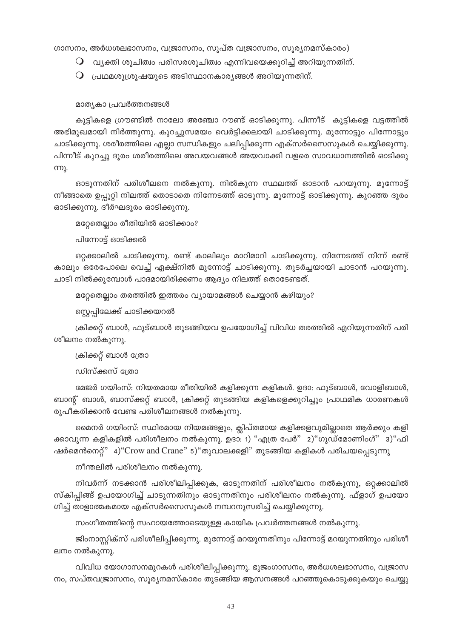ഗാസനം, അർധശലഭാസനം, വജ്രാസനം, സുപ്ത വജ്രാസനം, സൂര്യനമസ്കാരം)

- $\Omega$  വ്യക്തി ശുചിത്വം പരിസരശുചിത്വം എന്നിവയെക്കുറിച്ച് അറിയുന്നതിന്.
- $\mathsf O$  പ്രഥമശുശ്രൂഷയുടെ അടിസ്ഥാനകാര്യങ്ങൾ അറിയുന്നതിന്.

#### മാതൃകാ പ്രവർത്തനങ്ങൾ

കുട്ടികളെ ഗ്രൗണ്ടിൽ നാലോ അഞ്ചോ റൗണ്ട് ഓടിക്കുന്നു. പിന്നീട് കുട്ടികളെ വട്ടത്തിൽ അഭിമുഖമായി നിർത്തുന്നു. കുറച്ചുസമയം വെർട്ടിക്കലായി ചാടിക്കുന്നു. മുന്നോട്ടും പിന്നോട്ടും ചാടിക്കുന്നു. ശരീരത്തിലെ എല്ലാ സന്ധികളും ചലിപ്പിക്കുന്ന എക്സർസൈസുകൾ ചെയ്യിക്കുന്നു. പിന്നീട് കുറച്ചു ദൂരം ശരീരത്തിലെ അവയവങ്ങൾ അയവാക്കി വളരെ സാവധാനത്തിൽ ഓടിക്കു <u>ന്നു.</u>

ഓടുന്നതിന് പരിശീലനെ നൽകുന്നു. നിൽകുന്ന സ്ഥലത്ത് ഓടാൻ പറയുന്നു. മുന്നോട്ട് നീങ്ങാതെ ഉപ്പുറ്റി നിലത്ത് തൊടാതെ നിന്നേടത്ത് ഓടുന്നു. മുന്നോട്ട് ഓടിക്കുന്നു. കുറഞ്ഞ ദൂരം ഓടിക്കുന്നു. ദീർഘദൂരം ഓടിക്കുന്നു.

മറ്റേതെല്ലാം രീതിയിൽ ഓടിക്കാം?

പിന്നോട്ട് ഓടിക്കൽ

ഒറ്റക്കാലിൽ ചാടിക്കുന്നു. രണ്ട് കാലിലും മാറിമാറി ചാടിക്കുന്നു. നിന്നേടത്ത് നിന്ന് രണ്ട് കാലും ഒരേപോലെ വെച്ച് ഏക്ഷ്നിൽ മുന്നോട്ട് ചാടിക്കുന്നു. തുടർച്ചയായി ചാടാൻ പറയുന്നു. ചാടി നിൽക്കുമ്പോൾ പാദമായിരിക്കണം ആദ്യം നിലത്ത് തൊടേണ്ടത്.

മറ്റേതെല്ലാം തരത്തിൽ ഇത്തരം വ്യായാമങ്ങൾ ചെയ്യാൻ കഴിയും?

സ്റ്റെപ്പിലേക്ക് ചാടിക്കയറൽ

ക്രിക്കറ്റ് ബാൾ, ഫുട്ബാൾ തുടങ്ങിയവ ഉപയോഗിച്ച് വിവിധ തരത്തിൽ എറിയുന്നതിന് പരി ശീലനം നൽകുന്നു.

ക്രിക്കറ്റ് ബാൾ ത്രോ

ഡിസ്ക്കസ് ത്രോ

മേജർ ഗയിംസ്: നിയതമായ രീതിയിൽ കളിക്കുന്ന കളികൾ. ഉദാ: ഫുട്ബാൾ, വോളിബാൾ, ബാന്റ് ബാൾ, ബാസ്ക്കറ്റ് ബാൾ, ക്രിക്കറ്റ് തുടങ്ങിയ കളികളെക്കുറിച്ചും പ്രാഥമിക ധാരണകൾ രൂപീകരിക്കാൻ വേണ്ട പരിശീലനങ്ങൾ നൽകുന്നു.

മൈനർ ഗയിംസ്: സ്ഥിരമായ നിയമങ്ങളും, ക്ലിപ്തമായ കളിക്കളവുമില്ലാതെ ആർക്കും കളി ക്കാവുന്ന കളികളിൽ പരിശീലനം നൽകുന്നു. ഉദാ: 1) "എത്ര പേർ" 2)"ഗുഡ്മോണിംഗ്" 3)"ഫി ഷർമെൻനെറ്റ്" 4) "Crow and Crane" 5) "തുവാലക്കളി" തുടങ്ങിയ കളികൾ പരിചയപ്പെടുന്നു

നീന്തലിൽ പരിശീലനം നൽകുന്നു.

നിവർന്ന് നടക്കാൻ പരിശീലിപ്പിക്കുക, ഓടുന്നതിന് പരിശീലനം നൽകുന്നു, ഒറ്റക്കാലിൽ സ്കിപ്പിങ്ങ് ഉപയോഗിച്ച് ചാടുന്നതിനും ഓടുന്നതിനും പരിശീലനം നൽകുന്നു. ഫ്ളാഗ് ഉപയോ ഗിച്ച് താളാത്മകമായ എക്സർസൈസുകൾ നമ്പറനുസരിച്ച് ചെയ്യിക്കുന്നു.

സംഗീതത്തിന്റെ സഹായത്തോടെയുള്ള കായിക പ്രവർത്തനങ്ങൾ നൽകുന്നു.

ജിംനാസ്റ്റിക്സ് പരിശീലിപ്പിക്കുന്നു. മുന്നോട്ട് മറയുന്നതിനും പിന്നോട്ട് മറയുന്നതിനും പരിശീ ലനം നൽകുന്നു.

വിവിധ യോഗാസനമുറകൾ പരിശീലിപ്പിക്കുന്നു. ഭുജംഗാസനം, അർധശലഭാസനം, വജ്രാസ നം, സപ്തവജ്രാസനം, സൂര്യനമസ്കാരം തുടങ്ങിയ ആസനങ്ങൾ പറഞ്ഞുകൊടുക്കുകയും ചെയ്യു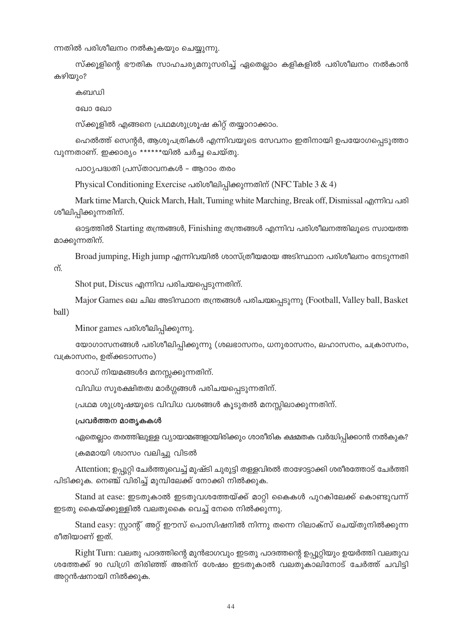ന്നതിൽ പരിശീലനം നൽകുകയും ചെയ്യുന്നു.

സ്ക്കൂളിന്റെ ഭൗതിക സാഹചര്യമനുസരിച്ച് ഏതെല്ലാം കളികളിൽ പരിശീലനം നൽകാൻ കഴിയും?

കബഡി

ഖോ ഖോ

സ്ക്കൂളിൽ എങ്ങനെ പ്രഥമശുശ്രൂഷ കിറ്റ് തയ്യാറാക്കാം.

ഹെൽത്ത് സെന്റർ, ആശുപത്രികൾ എന്നിവയുടെ സേവനം ഇതിനായി ഉപയോഗപ്പെടുത്താ വുന്നതാണ്. ഇക്കാര്യം \*\*\*\*\*\*യിൽ ചർച്ച ചെയ്തു.

പാഠ്യപദ്ധതി പ്രസ്താവനകൾ – ആറാം തരം

Physical Conditioning Exercise പരിശീലിപ്പിക്കുന്നതിന് (NFC Table 3 & 4)

Mark time March, Quick March, Halt, Tuming white Marching, Break off, Dismissal എന്നിവ പരി ശീലിപ്പിക്കുന്നതിന്.

 $\sigma$ ോട്ടത്തിൽ Starting തന്ത്രങ്ങൾ, Finishing തന്ത്രങ്ങൾ എന്നിവ പരിശീലനത്തിലുടെ സ്വായത്ത മാക്കുന്നതിന്.

Broad jumping, High jump എന്നിവയിൽ ശാസ്ത്രീയമായ അടിസ്ഥാന പരിശീലനം നേടുന്നതി  $\overline{\Omega}$ .

 $S$ hot put,  $D$ iscus എന്നിവ പരിചയപ്പെടുന്നതിന്.

Major Games ലെ ചില അടിസ്ഥാന തന്ത്രങ്ങൾ പരിചയപ്പെടുന്നു (Football, Valley ball, Basket ball)

Minor games പരിശീലിപ്പിക്കുന്നു.

യോഗാസനങ്ങൾ പരിശീലിപ്പിക്കുന്നു (ശലഭാസനം, ധനുരാസനം, ലഹാസനം, ചക്രാസനം, വക്രാസനം, ഉത്ക്കടാസനം $)$ 

രോഡ് നിയമങ്ങൾദ മനസ്സക്കുന്നതിന്.

വിവിധ സുരക്ഷിതത്വ മാർഗ്ഗങ്ങൾ പരിചയപ്പെടുന്നതിന്.

(പഥമ ശുശ്രൂഷയുടെ വിവിധ വശങ്ങൾ കൂടുതൽ മനസ്സിലാക്കുന്നതിന്.

#### **പ്രവർത്തന മാതൃകകൾ**

ഏതെല്ലാം തരത്തിലുള്ള വ്യായാമങ്ങളായിരിക്കും ശാരീരിക ക്ഷമതക വർദ്ധിപ്പിക്കാൻ നൽകുക?

ക്രമമായി ശ്വാസം വലിച്ചു വിടൽ

Attention; ഉപ്പുറ്റി ചേർത്തുവെച്ച് മുഷ്ടി ചുരുട്ടി തളളവിരൽ താഴോട്ടാക്കി ശരീരത്തോട് ചേർത്തി പിടിക്കുക. നെഞ്ച് വിരിച്ച് മുമ്പിലേക്ക് നോക്കി നിൽക്കുക.

Stand at ease: ഇടതുകാൽ ഇടതുവശത്തേയ്ക്ക് മാറ്റി കൈകൾ പുറകിലേക്ക് കൊണ്ടുവന്ന് ഇടതു കൈയ്ക്കുള്ളിൽ വലതുകൈ വെച്ച് നേരെ നിൽക്കുന്നു.

Stand easy: സ്റ്റാന്റ് അറ്റ് ഈസ് പൊസിഷനിൽ നിന്നു തന്നെ റിലാക്സ് ചെയ്തുനിൽക്കുന്ന രീതിയാണ് ഇത്.

Right Turn: വലതു പാദത്തിന്റെ മുൻഭാഗവും ഇടതു പാദത്തന്റെ ഉപ്പൂറ്റിയും ഉയർത്തി വലതുവ ശത്തേക്ക് 90 ഡിഗ്രി തിരിഞ്ഞ് അതിന് ശേഷം ഇടതുകാൽ വലതുകാലിനോട് ചേർത്ത് ചവിട്ടി അറ്റൻഷനായി നിൽക്കുക.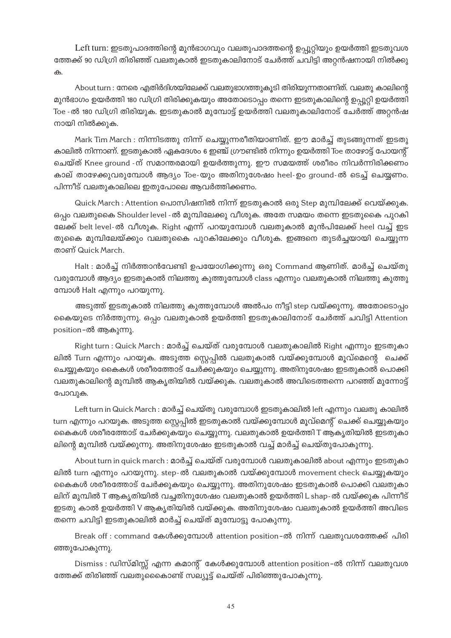Left turn: ഇടതുപാദത്തിന്റെ മുൻഭാഗവും വലതുപാദത്തന്റെ ഉപ്പൂറ്റിയും ഉയർത്തി ഇടതുവശ ത്തേക്ക് 90 ഡിഗ്രി തിരിഞ്ഞ് വലതുകാൽ ഇടതുകാലിനോട് ചേർത്ത് ചവിട്ടി അറ്റൻഷനായി നിൽക്കു ക.

About turn : നേരെ എതിർദിശയിലേക്ക് വലതുഭാഗത്തുകൂടി തിരിയുന്നതാണിത്. വലതു കാലിന്റെ മുൻഭാഗം ഉയർത്തി 180 ഡിഗ്രി തിരിക്കുകയും അതോടൊപ്പം തന്നെ ഇടതുകാലിന്റെ ഉപ്പൂറ്റി ഉയർത്തി Toe - ൽ 180 ഡിഗ്രി തിരിയുക. ഇടതുകാൽ മുമ്പോട്ട് ഉയർത്തി വലതുകാലിനോട് ചേർത്ത് അറ്റൻഷ നായി നിൽക്കുക.

Mark Tim March : നിന്നിടത്തു നിന്ന് ചെയ്യുന്നരീതിയാണിത്. ഈ മാർച്ച് തുടങ്ങുന്നത് ഇടതു കാലിൽ നിന്നാണ്. ഇടതുകാൽ ഏകദേശം 6 ഇഞ്ച് ഗ്രൗണ്ടിൽ നിന്നും ഉയർത്തി Toe താഴോട്ട് പോയന്റ് ചെയ്ത് Knee ground -ന് സമാന്തരമായി ഉയർത്തുന്നു. ഈ സമയത്ത് ശരീരം നിവർന്നിരിക്കണം കാല് താഴേക്കുവരുമ്പോൾ ആദ്യം Toe-യും അതിനുശേഷം heel-ഉം ground-ൽ ടെച്ച് ചെയ്യണം. പിന്നീട് വലതുകാലിലെ ഇതുപോലെ ആവർത്തിക്കണം.

Quick March : Attention പൊസിഷനിൽ നിന്ന് ഇടതുകാൽ ഒരു Step മുമ്പിലേക്ക് വെയ്ക്കുക. ഒപ്പം വലതുകൈ Shoulder level - ൽ മുമ്പിലേക്കു വീശുക. അതേ സമയം തന്നെ ഇടതുകൈ പുറകി ലേക്ക് belt level-ൽ വീശുക. Right എന്ന് പറയുമ്പോൾ വലതുകാൽ മുൻപിലേക്ക് heel വച്ച് ഇട തുകൈ മുമ്പിലേയ്ക്കും വലതുകൈ പുറകിലേക്കും വീശുക. ഇങ്ങനെ തുടർച്ചയായി ചെയ്യുന്ന താണ് Quick March.

Halt : മാർച്ച് നിർത്താൻവേണ്ടി ഉപയോഗിക്കുന്നു ഒരു Command ആണിത്. മാർച്ച് ചെയ്തു വരുമ്പോൾ ആദ്യം ഇടതുകാൽ നിലത്തു കുത്തുമ്പോൾ class എന്നും വലതുകാൽ നിലത്തു കുത്തു മ്പോൾ Halt എന്നും പറയുന്നു.

അടുത്ത് ഇടതുകാൽ നിലത്തു കുത്തുമ്പോൾ അൽപം നീട്ടി step വയ്ക്കുന്നു. അതോടൊപ്പം കൈയുടെ നിർത്തുന്നു. ഒപ്പം വലതുകാൽ ഉയർത്തി ഇടതുകാലിനോട് ചേർത്ത് ചവിട്ടി Attention position-ൽ ആകുന്നു.

Right turn : Quick March : മാർച്ച് ചെയ്ത് വരുമ്പോൾ വലതുകാലിൽ Right എന്നും ഇടതുകാ ലിൽ Turn എന്നും പറയുക. അടുത്ത സ്റ്റെപ്പിൽ വലതുകാൽ വയ്ക്കുമ്പോൾ മൂവ്മെന്റെ ചെക്ക് ചെയ്യുകയും കൈകൾ ശരീരത്തോട് ചേർക്കുകയും ചെയ്യുന്നു. അതിനുശേഷം ഇടതുകാൽ പൊക്കി വലതുകാലിന്റെ മുമ്പിൽ ആകൃതിയിൽ വയ്ക്കുക. വലതുകാൽ അവിടെത്തന്നെ പറഞ്ഞ് മുന്നോട്ട് പോവുക.

Left turn in Quick March : മാർച്ച് ചെയ്തു വരുമ്പോൾ ഇടതുകാലിൽ left എന്നും വലതു കാലിൽ turn എന്നും പറയുക. അടുത്ത സ്റ്റെപ്പിൽ ഇടതുകാൽ വയ്ക്കുമ്പോൾ മുവ്മെന്റ് ചെക്ക് ചെയ്യുകയും കൈകൾ ശരീരത്തോട് ചേർക്കുകയും ചെയ്യുന്നു. വലതുകാൽ ഉയർത്തി T ആകൃതിയിൽ ഇടതുകാ ലിന്റെ മുമ്പിൽ വയ്ക്കുന്നു. അതിനുശേഷം ഇടതുകാൽ വച്ച് മാർച്ച് ചെയ്തുപോകുന്നു.

About turn in quick march : മാർച്ച് ചെയ്ത് വരുമ്പോൾ വലതുകാലിൽ about എന്നും ഇടതുകാ ലിൽ turn എന്നും പറയുന്നു. step-ൽ വലതുകാൽ വയ്ക്കുമ്പോൾ movement check ചെയ്യുകയും കൈകൾ ശരീരത്തോട് ചേർക്കുകയും ചെയ്യുന്നു. അതിനുശേഷം ഇടതുകാൽ പൊക്കി വലതുകാ ലിന് മുമ്പിൽ T ആകൃതിയിൽ വച്ചതിനുശേഷം വലതുകാൽ ഉയർത്തി L shap-ൽ വയ്ക്കുക പിന്നീട് ഇടതു കാൽ ഉയർത്തി V ആകൃതിയിൽ വയ്ക്കുക. അതിനുശേഷം വലതുകാൽ ഉയർത്തി അവിടെ തന്നെ ചവിട്ടി ഇടതുകാലിൽ മാർച്ച് ചെയ്ത് മുമ്പോട്ടു പോകുന്നു.

Break off : command കേൾക്കുമ്പോൾ attention position-ൽ നിന്ന് വലതുവശത്തേക്ക് പിരി ഞ്ഞുപോകുന്നു.

Dismiss : ഡിസ്മിസ്സ് എന്ന കമാന്റ് കേൾക്കുമ്പോൾ attention position–ൽ നിന്ന് വലതുവശ ത്തേക്ക് തിരിഞ്ഞ് വലതുകൈൊണ്ട് സല്യൂട്ട് ചെയ്ത് പിരിഞ്ഞുപോകുന്നു.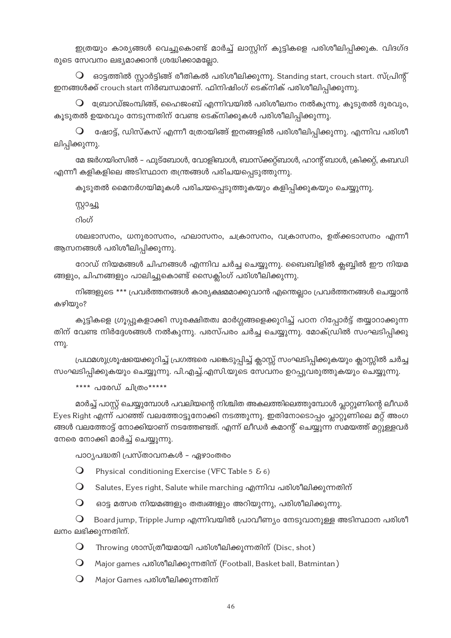ഇത്രയും കാര്യങ്ങൾ വെച്ചുകൊണ്ട് മാർച്ച് ലാസ്റ്റിന് കുട്ടികളെ പരിശീലിപ്പിക്കുക. വിദഗ്ദ രുടെ സേവനം ലഭ്യമാക്കാൻ ശ്രദ്ധിക്കാമല്ലോ.

 $\mathsf O$  ഒാട്ടത്തിൽ സ്റ്റാർട്ടിങ്ങ് രീതികൽ പരിശീലിക്കുന്നു. Standing start, crouch start. സ്പ്രിന്റ് ഇനങ്ങൾക്ക് crouch start നിർബന്ധമാണ്. ഫിനിഷിംഗ് ടെക്നിക് പരിശീലിപ്പിക്കുന്നു.

 $\mathsf O$  ബ്രോഡ്ജംമ്പിങ്ങ്, ഹൈജംബ് എന്നിവയിൽ പരിശീലനം നൽകുന്നു. കൂടുതൽ ദൂരവും, കൂടുതൽ ഉയരവും നേടുന്നതിന് വേണ്ട ടെക്നിക്കുകൾ പരിശീലിപ്പിക്കുന്നു.

 $\mathsf O$  ഷോട്ട്, ഡിസ്കസ് എന്നീ ത്രോയിങ്ങ് ഇനങ്ങളിൽ പരിശീലിപ്പിക്കുന്നു. എന്നിവ പരിശീ ലിപ്പിക്കുന്നു.

മേ ജർഗയിംസിൽ – ഫുട്ബോൾ, വോളിബാൾ, ബാസ്ക്കറ്റ്ബാൾ, ഹാന്റ് ബാൾ, ക്രിക്കറ്റ്, കബഡി എന്നീ കളികളിലെ അടിസ്ഥാന തന്ത്രങ്ങൾ പരിചയപ്പെടുത്തുന്നു.

കൂടുതൽ മൈനർഗയിമുകൾ പരിചയപ്പെടുത്തുകയും കളിപ്പിക്കുകയും ചെയ്യുന്നു.

സ്റ്റാച്ചൂ

റിംഗ്

ശലഭാസനം, ധനുരാസനം, ഹലാസനം, ചക്രാസനം, വക്രാസനം, ഉത്ക്കടാസനം എന്നീ ആസനങ്ങൾ പരിശീലിപ്പിക്കുന്നു.

റോഡ് നിയമങ്ങൾ ചിഹ്നങ്ങൾ എന്നിവ ചർച്ച ചെയ്യുന്നു. ബൈബിളിൽ ക്ലബ്ബിൽ ഈ നിയമ ങ്ങളും, ചിഹ്നങ്ങളും പാലിച്ചുകൊണ്ട് സൈക്ലിംഗ് പരിശീലിക്കുന്നു.

നിങ്ങളുടെ \*\*\* പ്രവർത്തനങ്ങൾ കാര്യക്ഷമമാക്കുവാൻ എന്തെല്ലാം പ്രവർത്തനങ്ങൾ ചെയ്യാൻ കഴിയും?

കുട്ടികളെ ഗ്രൂപ്പുകളാക്കി സുരക്ഷിതത്വ മാർഗ്ഗങ്ങളെക്കുറിച്ച് പഠന റിപ്പോർട്ട് തയ്യാറാക്കുന്ന തിന് വേണ്ട നിർദ്ദേശങ്ങൾ നൽകുന്നു. പരസ്പരം ചർച്ച ചെയ്യുന്നു. മോക്ഡ്രിൽ സംഘടിപ്പിക്കു **m**).

പ്രഥമശുശ്രൂഷയെക്കുറിച്ച് പ്രഗത്ഭരെ പങ്കെടുപ്പിച്ച് ക്ലാസ്സ് സംഘടിപ്പിക്കുകയും ക്ലാസ്സിൽ ചർച്ച സംഘടിപ്പിക്കുകയും ചെയ്യുന്നു. പി.എച്ച്.എസി.യുടെ സേവനം ഉറപ്പുവരുത്തുകയും ചെയ്യുന്നു.

\*\*\*\* പരേഡ് ചിത്രം\*\*\*\*\*

മാർച്ച് പാസ്റ്റ് ചെയ്യുമ്പോൾ പവലിയന്റെ നിശ്ചിത അകലത്തിലെത്തുമ്പോൾ പ്ലാറ്റൂണിന്റെ ലീഡർ Eyes Right എന്ന് പറഞ്ഞ് വലത്തോട്ടുനോക്കി നടത്തുന്നു. ഇതിനോടൊപ്പം പ്ലാറ്റൂണിലെ മറ്റ് അംഗ ങ്ങൾ വലത്തോട്ട് നോക്കിയാണ് നടത്തേണ്ടത്. എന്ന് ലീഡർ കമാന്റ് ചെയ്യുന്ന സമയത്ത് മറ്റുള്ളവർ നേരെ നോക്കി മാർച്ച് ചെയ്യുന്നു.

പാഠ്യപദ്ധതി പ്രസ്താവനകൾ – ഏഴാംതരം

 $\Omega$ Physical conditioning Exercise (VFC Table 5 & 6)

 $\bigcirc$ Salutes, Eyes right, Salute while marching എന്നിവ പരിശീലിക്കുന്നതിന്

 $\Omega$ ഓട്ട മത്സര നിയമങ്ങളും തത്വങ്ങളും അറിയുന്നു, പരിശീലിക്കുന്നു.

 $\Omega$ Board jump, Tripple Jump എന്നിവയിൽ പ്രാവീണ്യം നേടുവാനുള്ള അടിസ്ഥാന പരിശീ ലനം ലഭിക്കുന്നതിന്.

 $\Omega$ Throwing ശാസ്ത്രീയമായി പരിശീലിക്കുന്നതിന് (Disc, shot)

 $\bigcirc$ Major games പരിശീലിക്കുന്നതിന് (Football, Basket ball, Batmintan)

 $\Omega$ Major Games പരിശീലിക്കുന്നതിന്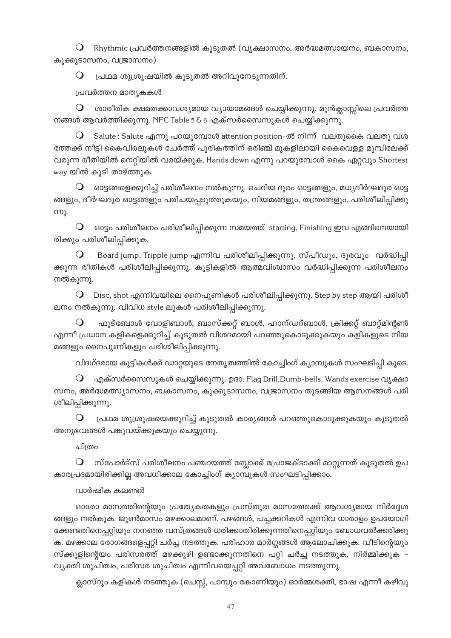$\Theta$  Rhythmic പ്രവർത്തനങ്ങളിൽ കൂടുതൽ (വൃക്ഷാസനം, അർദ്ധമത്സായനം, ബകാസനം, കൂക്കുടാസനം, വജ്രാസനം)

 $\bigcirc$  പ്രഥമ ശുശ്രൂഷയിൽ കൂടുതൽ അറിവുനേടുന്നതിന്.

പ്രവർത്തന മാതൃകകൾ

 $\bigcirc$  ശാരീരിക ക്ഷമതക്കാവശ്യമായ വ്യായാമങ്ങൾ ചെയ്യിക്കുന്നു. മുൻക്ലാസ്സിലെ പ്രവർത്ത നങ്ങൾ ആവർത്തിക്കുന്നു. NFC Table 5 & 6 എക്സർസൈസുകൾ ചെയ്യിക്കുന്നു.

Salute : Salute എന്നു പറയുമ്പോൾ attention position- ൽ നിന്ന് വലതുകൈ വലതു വശ ന്തേക്ക് നീട്ടി കൈവിരലുകൾ ചേർത്ത് പുരികത്തിന് ഒരിഞ്ച് മുകളിലായി കൈവെള്ള മുമ്പിലേക്ക് വരുന്ന രീതിയിൽ നെറ്റിയിൽ വരയ്ക്കുക. Hands down എന്നു പറയുമ്പോൾ കൈ ഏറ്റവും Shortest way യിൽ കൂടി താഴ്ത്തുക.

 $\, \mathsf O\,$  ഒാട്ടങ്ങളെക്കുറിച്ച് പരിശീലനം നൽകുന്നു. ചെറിയ ദുരം ഓട്ടങ്ങളും, മധ്യദീർഘദുര ഓട്ട ങ്ങളും, ദീർഘദൂര ഓട്ടങ്ങളും പരിചയപ്പടുത്തുകയും, നിയമങ്ങളും, തന്ത്രങ്ങളും, പരിശീലിപ്പിക്കു m).

 $\Theta$  ഒാട്ടം പരിശീലനം പരിശീലിപ്പിക്കുന്ന സമയത്ത് starting, Finishing ഇവ എങ്ങിനെയായി രിക്കും പരിശീലിപ്പിക്കുക.

Board jump, Tripple jump എന്നിവ പരിശീലിപ്പിക്കുന്നു, സ്പീഡും, ദൂരവും വർദ്ധിപ്പി ക്കുന്ന രീതികൾ പരിശീലിപ്പിക്കുന്നു. കുട്ടികളിൽ ആത്മവിശ്വാസം വർദ്ധിപ്പിക്കുന്ന പരിശീലന<mark>ം</mark> നൽകുന്നു.

 $\bigcirc$  Disc, shot എന്നിവയിലെ നൈപുണികൾ പരിശീലിപ്പിക്കുന്നു. Step by step ആയി പരിശീ ലനം നൽകുന്നു. വിവിധ style ലുകൾ പരിശീലിപ്പിക്കുന്നു.

 $\bullet$  പ്പുട്ബോൾ വോളിബാൾ, ബാസ്ക്കറ്റ് ബാൾ, ഹാന്ഡറ്ബാൾ, ക്രിക്കറ്റ് ബാറ്റ്മിന്റൺ എന്നീ പ്രധാന കളികളെക്കുറിച്ച് കൂടുതൽ വിശദമായി പറഞ്ഞുകൊടുക്കുകയും കളികളുടെ നിയ മങ്ങളും നൈപുണികളും പരിശീലിപ്പിക്കുന്നു.

വിദഗ്ദരായ കുട്ടികൾക്ക് ഡാറ്റയുടെ നേതൃത്വത്തിൽ കോച്ചിംഗ് കൃാമ്പുകൾ സംഘടിപ്പി കൂടെ.

എക്സർസൈസുകൾ ചെയ്യിക്കുന്നു. ഉദാ: Flag Drill,Dumb-bells, Wands exercise വൃക്ഷാ സനം, അർദ്ധമത്സ്യാസനം, ബകാസനം, കുക്കുടാസനം, വജ്രാസനം തുടങ്ങിയ ആസനങ്ങൾ പരി ശീലിപ്പിക്കുന്നു.

 $\bigcirc$  പ്രഥമ ശുശ്രൂഷയെക്കുറിച്ച് കൂടുതൽ കാര്യങ്ങൾ പറഞ്ഞുകൊടുക്കുകയും കൂടുതൽ അനുഭവങ്ങൾ പങ്കുവയ്ക്കുകയും ചെയ്യുന്നു.

ചിത്രം

സ്പോർട്സ് പരിശീലനം പഞ്ചായത്ത് ബ്ലോക്ക് പ്രോജക്ടാക്കി മാറ്റുന്നത് കൂടുതൽ ഉപ കാരപ്രദമായിരിക്കില്ല അവധിക്കാല കോച്ചിംഗ് ക്യാമ്പുകൾ സംഘടിപ്പിക്കാം.

# വാർഷിക കലണ്ടർ

ഓരോ മാസത്തിന്റെയും പ്രത്യേകതകളും പ്രസ്തുത മാസത്തേക്ക് ആവശ്യമായ നിർദ്ദേശ ങ്ങളും നൽകുക. ജൂൺമാസം മഴക്കാലമാണ്. പഴങ്ങൾ, പച്ചക്കറികൾ എന്നിവ ധാരാളം ഉപയോഗി ഭക്കണ്ടതിനെപ്പറ്റിയും നനഞ്ഞ വസ്ത്രങ്ങൾ ധരിക്കാതിരിക്കുന്നതിനെപ്പറ്റിയും ബോധവൽക്കരിക്കു ക. മഴക്കാല രോഗങ്ങളെപ്പറ്റി ചർച്ച നടത്തുക. പരിഹാര മാർഗ്ഗങ്ങൾ ആലോചിക്കുക. വീടിന്റെയു<mark>ം</mark> സ്ക്കൂളിന്റെയം പരിസരത്ത് മഴക്കുഴി ഉണ്ടാക്കുന്നതിനെ പറ്റി ചർച്ച നടത്തുക, നിർമ്മിക്കുക *–* വ്യക്തി ശുചിത്വം, പരിസര ശുചിത്വം എന്നിവയെപ്പറ്റി അവബോധം നടത്തുന്നു.

ക്ലാസ്റൂം കളികൾ നടത്തുക (ചെസ്സ്, പാമ്പും കോണിയും) ഓർമ്മശക്തി, ഭാഷ എന്നീ കഴിവു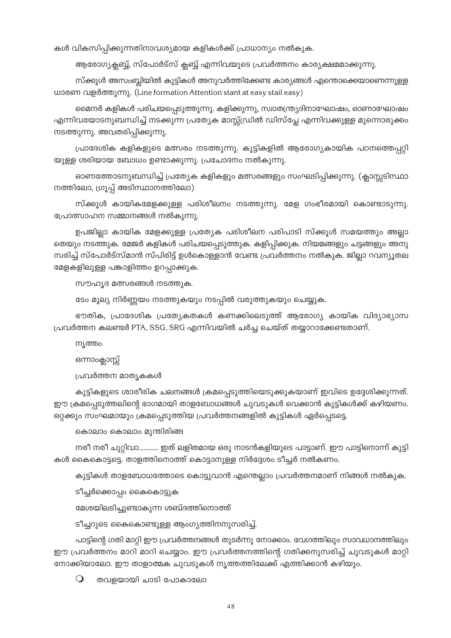കൾ വികസിപ്പിക്കുന്നതിനാവശ്യമായ കളികൾക്ക് പ്രാധാന്യം നൽകുക.

ആരോഗ്യക്ലബ്ബ്, സ്പോർട്സ് ക്ലബ്ബ് എന്നിവയുടെ പ്രവർത്തനം കാര്യക്ഷമമാക്കുന്നു.

സ്ക്കൂൾ അസംബ്ലിയിൽ കുട്ടികൾ അനുവർത്തിക്കേണ്ട കാര്യങ്ങൾ എന്തൊക്കെയാണെന്നുള്ള ധാരണ വളർത്തുന്നു. (Line formation Attention stant at easy stail easy)

മൈനർ കളികൾ പരിചയപ്പെടുത്തുന്നു. കളിക്കുന്നു, സ്വാതന്ത്ര്യദിനാഘോഷം, ഓണാഘോഷം എന്നിവയോടനുബന്ധിച്ച് നടക്കുന്ന പ്രത്യേക മാസ്സ്ഡ്രിൽ ഡിസ്പ്ലേ എന്നിവക്കുള്ള മുന്നൊരുക്കം നടത്തുന്നു. അവതരിപ്പിക്കുന്നു.

പ്രാദേശിക കളികളുടെ മത്സരം നടത്തുന്നു. കുട്ടികളിൽ ആരോഗ്യകായിക പഠനത്തെപ്പറ്റി യുള്ള ശരിയായ ബോധം ഉണ്ടാക്കുന്നു. പ്രചോദനം നൽകുന്നു.

ഓണത്തോടനുബന്ധിച്ച് പ്രത്യേക കളികളും മത്സരങ്ങളും സംഘടിപ്പിക്കുന്നു. (ക്ലാസ്സടിസ്ഥാ നത്തിലോ, ഗ്രൂപ്പ് അടിസ്ഥാനത്തിലോ)

സ്ക്കൂൾ കായികമേളക്കുള്ള പരിശീലനം നടത്തുന്നു. മേള ഗംഭീരമായി കൊണ്ടാടുന്നു. പ്രോത്സാഹന സമ്മാനങ്ങൾ നൽകുന്നു.

ഉപജില്ലാ കായിക മേളക്കുള്ള പ്രത്യേക പരിശീലന പരിപാടി സ്ക്കൂൾ സമയത്തും അല്ലാ തെയും നടത്തുക. മേജർ കളികൾ പരിചയപ്പെടുത്തുക. കളിപ്പിക്കുക. നിയമങ്ങളും ചട്ടങ്ങളും അനു സരിച്ച് സ്പോർട്സ്മാൻ സ്പിരിട്ട് ഉൾകൊള്ളാൻ വേണ്ട പ്രവർത്തനം നൽകുക. ജില്ലാ റവന്യൂതല മേളകളിലുള്ള പങ്കാളിത്തം ഉറപ്പാക്കുക.

സൗഹൃദ മത്സരങ്ങൾ നടത്തുക.

ടേം മൂല്യ നിർണ്ണയം നടത്തുകയും നടപ്പിൽ വരുത്തുകയും ചെയ്യുക.

ഭൗതിക, പ്രാദേശിക പ്രത്യേകതകൾ കണക്കിലെടുത്ത് ആരോഗ്യ കായിക വിദ്യാഭ്യാസ പ്രവർത്തന കലണ്ടർ PTA, SSG, SRG എന്നിവയിൽ ചർച്ച ചെയ്ത് തയ്യാറാക്കേണ്ടതാണ്.

ന്യത്തം

ഒന്നാംക്ലാസ്സ്

പ്രവർത്തന മാതൃകകൾ

കുട്ടികളുടെ ശാരീരിക ചലനങ്ങൾ ക്രമപ്പെടുത്തിയെടുക്കുകയാണ് ഇവിടെ ഉദ്ദേശിക്കുന്നത്. ഈ ക്രമപ്പെടുത്തലിന്റെ ഭാഗമായി താളബോധങ്ങൾ ചുവടുകൾ വെക്കാൻ കുട്ടികൾക്ക് കഴിയണം. ഒറ്റക്കും സംഘമായും ക്രമപ്പെടുത്തിയ പ്രവർത്തനങ്ങളിൽ കുട്ടികൾ ഏർപ്പെടട്ടെ.

കൊലാം കൊലാം മുന്തിരിങ്ങ

നരീ നരീ ചുറ്റിവാ........... ഇത് ലളിതമായ ഒരു നാടൻകളിയുടെ പാട്ടാണ്. ഈ പാട്ടിനൊന്ന് കുട്ടി കൾ കൈകൊട്ടട്ടെ. താളത്തിനൊത്ത് കൊട്ടാനുള്ള നിർദ്ദേശം ടീച്ചർ നൽകണം.

കുട്ടികൾ താളബോധത്തോടെ കൊട്ടുവാൻ എന്തെല്ലാം പ്രവർത്തനമാണ് നിങ്ങൾ നൽകുക.

ടീച്ചർക്കൊപ്പം കൈകൊട്ടുക

മേശയിലടിച്ചുണ്ടാകുന്ന ശബ്ദത്തിനൊത്ത്

ടീച്ചറുടെ കൈകൊണ്ടുള്ള ആംഗൃത്തിനനുസരിച്ച്.

പാട്ടിന്റെ ഗതി മാറ്റി ഈ പ്രവർത്തനങ്ങൾ തുടർന്നു നോക്കാം. വേഗത്തിലും സാവധാനത്തിലും ഈ പ്രവർത്തനം മാറി മാറി ചെയ്യാം. ഈ പ്രവർത്തനത്തിന്റെ ഗതിക്കനുസരിച്ച് ചുവടുകൾ മാറ്റി നോക്കിയാലോ. ഈ താളാത്മക ചുവടുകൾ നൃത്തത്തിലേക്ക് എത്തിക്കാൻ കഴിയും.

 $\bigcirc$ തവളയായി ചാടി പോകാലോ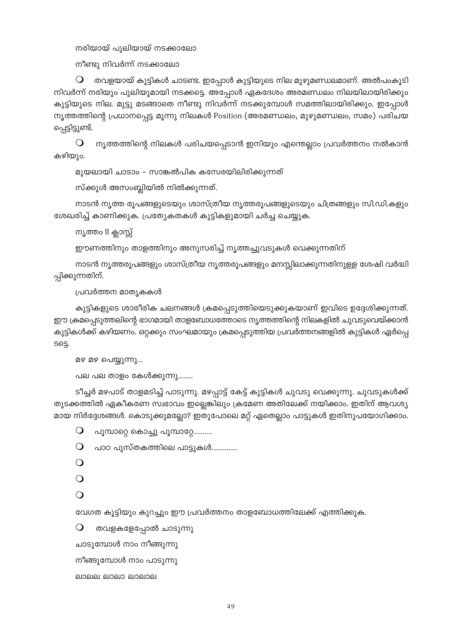നരിയായ് പുലിയായ് നടക്കാലോ

 $\mathfrak m$ ീണ്ടു നിവർന്ന് നടക്കാലോ

 $\mathsf O-$  തവളയായ് കുട്ടികൾ ചാടണ്ട. ഇപ്പോൾ കുട്ടിയുടെ നില മുഴുമണ്ഡലമാണ്. അൽപംകൂടി നിവർന്ന് നരിയും പുലിയുമായി നടക്കട്ടെ. അപ്പോൾ ഏകദേശം അരമണ്ഡലം നിലയിലായിരിക്കും കുട്ടിയുടെ നില. മുട്ടു മടങ്ങാതെ നീണ്ടു നിവർന്ന് നടക്കുമ്പോൾ സമത്തിലായിരിക്കും. ഇപ്പോൾ നൃത്തത്തിന്റെ പ്രധാനപ്പെട്ട മൂന്നു നിലകൾ Position (അരമണ്ഡലം, മുഴുമണ്ഡലം, സമം) പരിചയ പ്പെട്ടിട്ടുണ്ട്.

 $\Theta$  നൃത്തത്തിന്റെ നിലകൾ പരിചയപ്പെടാൻ ഇനിയും എന്തെല്ലാം പ്രവർത്തനം നൽകാൻ കഴിയും.

മുയലായി ചാടാം - സാങ്കൽപിക കസേരയിലിരിക്കുന്നത്

സ്ക്കൂൾ അസംബ്ലിയിൽ നിൽക്കുന്നത്.

നാടൻ നൃത്ത രൂപങ്ങളുടെയും ശാസ്ത്രീയ നൃത്തരൂപങ്ങളുടെയും ചിത്രങ്ങളും സി.ഡി.കളും ശേഖരിച്ച് കാണിക്കുക. പ്രത്യേകതകൾ കുട്ടികളുമായി ചർച്ച ചെയ്യുക.

നൃത്തം II ക്ലാസ്സ്

ഈണത്തിനും താളത്തിനും അനുസരിച്ച് നൃത്തച്ചുവടുകൾ വെക്കുന്നതിന്

നാടൻ നൃത്തരൂപങ്ങളും ശാസ്ത്രീയ നൃത്തരൂപങ്ങളും മനസ്സിലാക്കുന്നതിനുള്ള ശേഷി വർദ്ധി പ്പിക്കുന്നതിന്.

പ്രവർത്തന മാതൃകകൾ

കുട്ടികളുടെ ശാരീരിക ചലനങ്ങൾ ക്രമപ്പെടുത്തിയെടുക്കുകയാണ് ഇവിടെ ഉദ്ദേശിക്കുന്നത്. ഈ ക്രമപ്പെടുത്തലിന്റെ ഭാഗമായി താളബോധത്തോടെ നൃത്തത്തിന്റെ നിലകളിൽ ചുവടുവെയ്ക്കാൻ കുട്ടികൾക്ക് കഴിയണം. ഒറ്റക്കും സംഘമായും ക്രമപ്പെടുത്തിയ പ്രവർത്തനങ്ങളിൽ കുട്ടികൾ ഏർപ്പെ  $S6S.$ 

മഴ മഴ പെയ്യുന്നു...

 $\Delta$ ല പല താളം കേൾക്കുന്നു........

ടീച്ചർ മഴപാട് താളമടിച്ച് പാടുന്നു. മഴപ്പാട്ട് കേട്ട് കുട്ടികൾ ചുവടു വെക്കുന്നു. ചുവടുകൾക്ക് തുടക്കത്തിൽ ഏകീകരണ സ്വഭാവം ഇല്ലെങ്കിലും ക്രമേണ അതിലേക്ക് നയിക്കാം. ഇതിന് ആവശ്യ മായ നിർദ്ദേശങ്ങൾ. കൊടുക്കുമല്ലോ? ഇതുപോലെ മറ്റ് ഏതെല്ലാം പാട്ടുകൾ ഇതിനുപയോഗിക്കാം.

 $\bigcirc$  പൂമ്പാറ്റെ കൊച്ചു പൂമ്പാറ്റേ..........

 $\Theta$  പാഠ പുസ്തകത്തിലെ പാട്ടുകൾ..............

 $\Omega$ 

 $\Omega$ 

 $\Omega$ 

വേഗത കൂട്ടിയും കുറച്ചും ഈ പ്രവർത്തനം താളബോധത്തിലേക്ക് എത്തിക്കുക.

 $\mathbf O$  തവളകളേപ്പോൽ ചാടുന്നു

ചാടുമ്പോൾ നാം നീങ്ങുന്നു

നീങ്ങുമ്പോൾ നാം പാടുന്നു $\delta$ 

```
P
```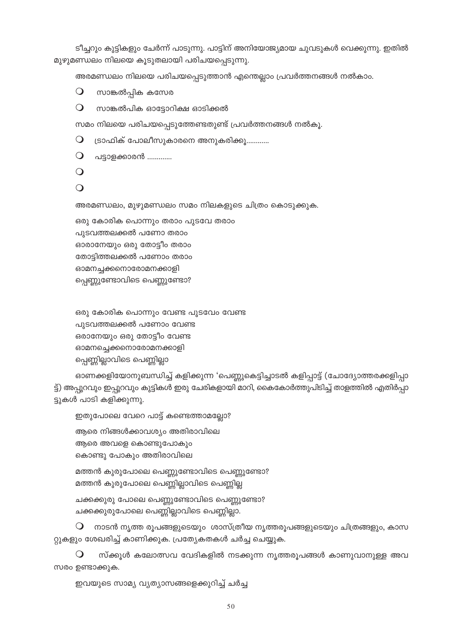ഇവയുടെ സാമ്യ വ്യത്യാസങ്ങളെക്കുറിച്ച് ചർച്ച

സരം ഉണ്ടാക്കുക.

 $\bigcirc$ സ്ക്കൂൾ കലോത്സവ വേദികളിൽ നടക്കുന്ന നൃത്തരൂപങ്ങൾ കാണുവാനുള്ള അവ

 $\,\mathsf{O}\,$  നാടൻ നൃത്ത രൂപങ്ങളുടെയും ശാസ്ത്രീയ നൃത്തരൂപങ്ങളുടെയും ചിത്രങ്ങളും, കാസ റ്റുകളും ശേഖരിച്ച് കാണിക്കുക. പ്രത്യേകതകൾ ചർച്ച ചെയ്യുക.

ചക്കക്കുരു പോലെ പെണ്ണുണ്ടോവിടെ പെണ്ണുണ്ടോ? ചക്കക്കുരുപോലെ പെണ്ണില്ലാവിടെ പെണ്ണില്ലാ.

മത്തൻ കുരുപോലെ പെണ്ണുണ്ടോവിടെ പെണ്ണുണ്ടോ? മത്തൻ കുരുപോലെ പെണ്ണില്ലാവിടെ പെണ്ണില്ല

ആരെ നിങ്ങൾക്കാവശ്യം അതിരാവിലെ ആരെ അവളെ കൊണ്ടുപോകും കൊണ്ടു പോകും അതിരാവിലെ

ഇതുപോലെ വേറെ പാട്ട് കണ്ടെത്താമല്ലോ?

ട്ടുകൾ പാടി കളിക്കുന്നു.

ഓണക്കളിയോനുബന്ധിച്ച് കളിക്കുന്ന 'പെണ്ണുകെട്ടിച്ചാടൽ കളിപ്പാട്ട് (ചോദ്യോത്തരക്കളിപ്പാ ട്ട്) അപ്പുറവും ഇപ്പുറവും കുട്ടികൾ ഇരു ചേരികളായി മാറി, കൈകോർത്തുപിടിച്ച് താളത്തിൽ എതിർപ്പാ

ഒരു കോരിക പൊന്നും വേണ്ട പുടവേം വേണ്ട പുടവത്തലക്കൽ പണോം വേണ്ട ഒരാനേയും ഒരു തോട്ടീം വേണ്ട ഓമനച്ചെക്കനൊരോമനക്കാളി പ്പെണ്ണില്ലാവിടെ പെണ്ണില്ലാ

ഒരു കോരിക പൊന്നും തരാം പുടവേ തരാം പുടവത്തലക്കൽ പണോ തരാം ഓരാനേയും ഒരു തോട്ടീം തരാം തോട്ടിത്തലക്കൽ പണോം തരാം ഓമനച്ചക്കനൊരോമനക്കാളി പ്പെണ്ണുണ്ടോവിടെ പെണ്ണുണ്ടോ?

അരമണ്ഡലം, മുഴുമണ്ഡലം സമം നിലകളുടെ ചിത്രം കൊടുക്കുക.

 $\Omega$ 

 $\bigcirc$ 

 $\Omega$ പട്ടാളക്കാരൻ ............

ട്രാഫിക് പോലീസുകാരനെ അനുകരിക്കൂ............  $\bigcirc$ 

സമം നിലയെ പരിചയപ്പെടുത്തേണ്ടതുണ്ട് പ്രവർത്തനങ്ങൾ നൽകൂ.

 $\bigcirc$ സാങ്കൽപിക ഓട്ടോറിക്ഷ ഓടിക്കൽ

 $\bigcirc$ സാങ്കൽപ്പിക കസേര

അരമണ്ഡലം നിലയെ പരിചയപ്പെടുത്താൻ എന്തെല്ലാം പ്രവർത്തനങ്ങൾ നൽകാം.

ടീച്ചറും കുട്ടികളും ചേർന്ന് പാടുന്നു. പാട്ടിന് അനിയോജ്യമായ ചുവടുകൾ വെക്കുന്നു. ഇതിൽ മുഴുമണ്ഡലം നിലയെ കൂടുതലായി പരിചയപ്പെടുന്നു.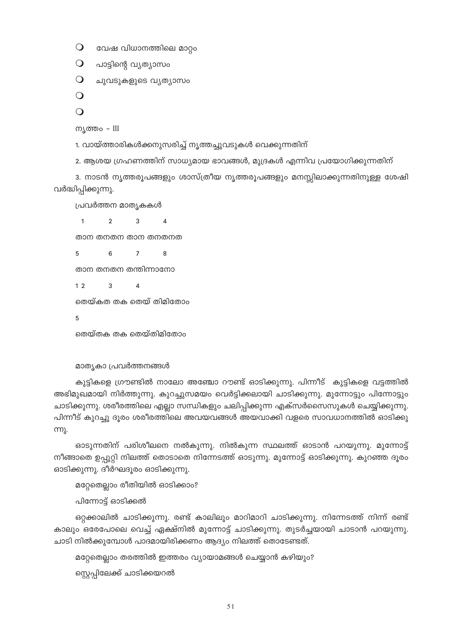$\bigcirc$ വേഷ വിധാനത്തിലെ മാറ്റം

ചുവടുകളുടെ വൃത്യാസം

 $\Omega$ പാട്ടിന്റെ വ്യത്യാസം

 $\bigcirc$ 

 $\bigcirc$ 

 $\Omega$ 

വർദ്ധിപ്പിക്കുന്നു.

 $\overline{1}$ 

ന്യത്തം – III

 $51$ 

ഒറ്റക്കാലിൽ ചാടിക്കുന്നു. രണ്ട് കാലിലും മാറിമാറി ചാടിക്കുന്നു. നിന്നേടത്ത് നിന്ന് രണ്ട് കാലും ഒരേപോലെ വെച്ച് ഏക്ഷ്നിൽ മുന്നോട്ട് ചാടിക്കുന്നു. തുടർച്ചയായി ചാടാൻ പറയുന്നു. ചാടി നിൽക്കുമ്പോൾ പാദമായിരിക്കണം ആദ്യം നിലത്ത് തൊടേണ്ടത്.

മറ്റേതെല്ലാം തരത്തിൽ ഇത്തരം വ്യായാമങ്ങൾ ചെയ്യാൻ കഴിയും?

സ്റ്റെപ്പിലേക്ക് ചാടിക്കയറൽ

ഓടിക്കുന്നു. ദീർഘദൂരം ഓടിക്കുന്നു.

പിന്നോട്ട് ഓടിക്കൽ

മറ്റേതെല്ലാം രീതിയിൽ ഓടിക്കാം?

അഭിമുഖമായി നിർത്തുന്നു. കുറച്ചുസമയം വെർട്ടിക്കലായി ചാടിക്കുന്നു. മുന്നോട്ടും പിന്നോട്ടും ചാടിക്കുന്നു. ശരീരത്തിലെ എല്ലാ സന്ധികളും ചലിപ്പിക്കുന്ന എക്സർസൈസുകൾ ചെയ്യിക്കുന്നു. പിന്നീട് കുറച്ചു ദൂരം ശരീരത്തിലെ അവയവങ്ങൾ അയവാക്കി വളരെ സാവധാനത്തിൽ ഓടിക്കു m). ഓടുന്നതിന് പരിശീലനെ നൽകുന്നു. നിൽകുന്ന സ്ഥലത്ത് ഓടാൻ പറയുന്നു. മുന്നോട്ട്

നീങ്ങാതെ ഉപ്പുറ്റി നിലത്ത് തൊടാതെ നിന്നേടത്ത് ഓടുന്നു. മുന്നോട്ട് ഓടിക്കുന്നു. കുറഞ്ഞ ദൂരം

കുട്ടികളെ ഗ്രൗണ്ടിൽ നാലോ അഞ്ചോ റൗണ്ട് ഓടിക്കുന്നു. പിന്നീട് കുട്ടികളെ വട്ടത്തിൽ

താന തനതന താന തനതനത  $6\overline{6}$  $\overline{7}$  $\overline{8}$  $\overline{5}$ 

2. ആശയ ഗ്രഹണത്തിന് സാധ്യമായ ഭാവങ്ങൾ, മുദ്രകൾ എന്നിവ പ്രയോഗിക്കുന്നതിന്

3. നാടൻ നൃത്തരൂപങ്ങളും ശാസ്ത്രീയ നൃത്തരൂപങ്ങളും മനസ്സിലാക്കുന്നതിനുള്ള ശേഷി

1. വായ്ത്താരികൾക്കനുസരിച്ച് നൃത്തച്ചുവടുകൾ വെക്കുന്നതിന്

താന തനതന തന്തിന്നാനോ

പ്രവർത്തന മാതൃകകൾ

 $\mathfrak{p}$ 

 $\overline{3}$  $\overline{A}$  $1<sub>2</sub>$ 

തെയ്കത തക തെയ് തിമിതോം

 $\overline{3}$ 

 $\Delta$ 

5

തെയ്തക തക തെയ്തിമിതോം

മാതൃകാ പ്രവർത്തനങ്ങൾ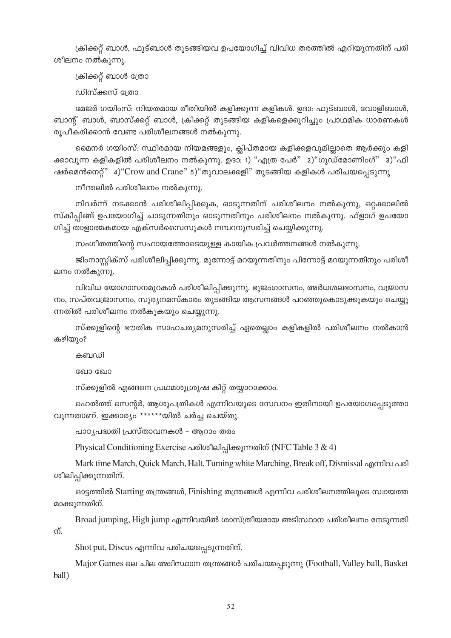ക്രിക്കറ്റ് ബാൾ, ഫുട്ബാൾ തുടങ്ങിയവ ഉപയോഗിച്ച് വിവിധ തരത്തിൽ എറിയുന്നതിന് പരി ശീലനം നൽകുന്നു.

ക്രിക്കറ്റ് ബാൾ ത്രോ

ഡിസ്ക്കസ് ത്രോ

മേജർ ഗയിംസ്: നിയതമായ രീതിയിൽ കളിക്കുന്ന കളികൾ. ഉദാ: ഫുട്ബാൾ, വോളിബാൾ, ബാന്റ് ബാൾ, ബാസ്ക്കറ്റ് ബാൾ, ക്രിക്കറ്റ് തുടങ്ങിയ കളികളെക്കുറിച്ചും പ്രാഥമിക ധാരണകൾ രൂപീകരിക്കാൻ വേണ്ട പരിശീലനങ്ങൾ നൽകുന്നു.

മൈനർ ഗയിംസ്: സ്ഥിരമായ നിയമങ്ങളും, ക്ലിപ്തമായ കളിക്കളവുമില്ലാതെ ആർക്കും കളി ക്കാവുന്ന കളികളിൽ പരിശീലനം നൽകുന്നു. ഉദാ: 1) "എത്ര പേർ" 2)"ഗുഡ്മോണിംഗ്" 3)"ഫി ഷർമെൻനെറ്റ്" 4)"Crow and Crane" 5)"തുവാലക്കളി" തുടങ്ങിയ കളികൾ പരിചയപ്പെടുന്നു

നീന്തലിൽ പരിശീലനം നൽകുന്നു.

നിവർന്ന് നടക്കാൻ പരിശീലിപ്പിക്കുക, ഓടുന്നതിന് പരിശീലനം നൽകുന്നു, ഒറ്റക്കാലിൽ സ്കിപ്പിങ്ങ് ഉപയോഗിച്ച് ചാടുന്നതിനും ഓടുന്നതിനും പരിശീലനം നൽകുന്നു. ഫ്ളാഗ് ഉപയോ ഗിച്ച് താളാത്മകമായ എക്സർസൈസുകൾ നമ്പറനുസരിച്ച് ചെയ്യിക്കുന്നു.

സംഗീതത്തിന്റെ സഹായത്തോടെയുള്ള കായിക പ്രവർത്തനങ്ങൾ നൽകുന്നു.

ജിംനാസ്റ്റിക്സ് പരിശീലിപ്പിക്കുന്നു. മുന്നോട്ട് മറയുന്നതിനും പിന്നോട്ട് മറയുന്നതിനും പരിശീ ലനം നൽകുന്നു.

വിവിധ യോഗാസനമുറകൾ പരിശീലിപ്പിക്കുന്നു. ഭുജംഗാസനം, അർധശലഭാസനം, വജ്രാസ നം, സപ്തവജ്രാസനം, സൂര്യനമസ്കാരം തുടങ്ങിയ ആസനങ്ങൾ പറഞ്ഞുകൊടുക്കുകയും ചെയ്യു ന്നതിൽ പരിശീലനം നൽകുകയും ചെയ്യുന്നു.

സ്ക്കുളിന്റെ ഭൗതിക സാഹചര്യമനുസരിച്ച് ഏതെല്ലാം കളികളിൽ പരിശീലനം നൽകാൻ കഴിയും?

കബഡി

രേ 10 രേ 10

സ്ക്കൂളിൽ എങ്ങനെ പ്രഥമശുശ്രൂഷ കിറ്റ് തയ്യാറാക്കാം.

ഹെൽത്ത് സെന്റർ, ആശുപത്രികൾ എന്നിവയുടെ സേവനം ഇതിനായി ഉപയോഗപ്പെടുത്താ വുന്നതാണ്. ഇക്കാര്യം \*\*\*\*\*\*യിൽ ചർച്ച ചെയ്തു.

പാഠ്യപദ്ധതി പ്രസ്താവനകൾ – ആറാം തരം

Physical Conditioning Exercise പരിശീലിപ്പിക്കുന്നതിന് (NFC Table 3 & 4)

Mark time March, Quick March, Halt, Tuming white Marching, Break off, Dismissal എന്നിവ പരി ശീലിപ്പിക്കുന്നതിന്.

ഓട്ടത്തിൽ Starting തന്ത്രങ്ങൾ, Finishing തന്ത്രങ്ങൾ എന്നിവ പരിശീലനത്തിലൂടെ സ്വായത്ത മാക്കുന്നതിന്.

Broad jumping, High jump എന്നിവയിൽ ശാസ്ത്രീയമായ അടിസ്ഥാന പരിശീലനം നേടുന്നതി ന്.

Shot put, Discus എന്നിവ പരിചയപ്പെടുന്നതിന്.

Major Games ലെ ചില അടിസ്ഥാന തന്ത്രങ്ങൾ പരിചയപ്പെടുന്നു (Football, Valley ball, Basket ball)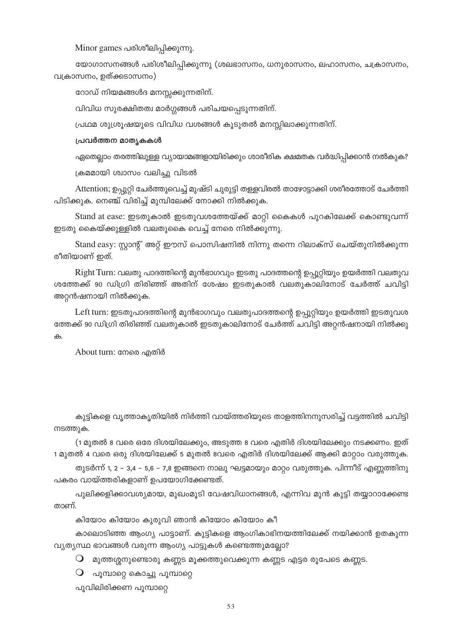Minor games പരിശീലിപ്പിക്കുന്നു.

യോഗാസനങ്ങൾ പരിശീലിപ്പിക്കുന്നു (ശലഭാസനം, ധനുരാസനം, ലഹാസനം, ചക്രാസനം, വക്രാസനം, ഉത്ക്കടാസനം)

റോഡ് നിയമങ്ങൾദ മനസ്സക്കുന്നതിന്.

വിവിധ സുരക്ഷിതത്വ മാർഗ്ഗങ്ങൾ പരിചയപ്പെടുന്നതിന്.

പ്രഥമ ശുശ്രൂഷയുടെ വിവിധ വശങ്ങൾ കൂടുതൽ മനസ്സിലാക്കുന്നതിന്.

#### പ്രവർത്തന മാതൃകകൾ

ഏതെല്ലാം തരത്തിലുള്ള വ്യായാമങ്ങളായിരിക്കും ശാരീരിക ക്ഷമതക വർദ്ധിപ്പിക്കാൻ നൽകുക?

ക്രമമായി ശ്വാസം വലിച്ചു വിടൽ

Attention; ഉപ്പുറ്റി ചേർത്തുവെച്ച് മുഷ്ടി ചുരുട്ടി തള്ളവിരൽ താഴോട്ടാക്കി ശരീരത്തോട് ചേർത്തി പിടിക്കുക. നെഞ്ച് വിരിച്ച് മുമ്പിലേക്ക് നോക്കി നിൽക്കുക.

Stand at ease: ഇടതുകാൽ ഇടതുവശത്തേയ്ക്ക് മാറ്റി കൈകൾ പുറകിലേക്ക് കൊണ്ടുവന്ന് ഇടതു കൈയ്ക്കുള്ളിൽ വലതുകൈ വെച്ച് നേരെ നിൽക്കുന്നു.

Stand easy: സാന്റ് അറ്റ് ഈസ് പൊസിഷനിൽ നിന്നു തന്നെ റിലാക്സ് ചെയ്തുനിൽക്കുന്ന രീതിയാണ് ഇത്.

Right Turn: വലതു പാദത്തിന്റെ മുൻഭാഗവും ഇടതു പാദത്തന്റെ ഉപ്പൂറ്റിയും ഉയർത്തി വലതുവ ശത്തേക്ക് 90 ഡിഗ്രി തിരിഞ്ഞ് അതിന് ശേഷം ഇടതുകാൽ വലതുകാലിനോട് ചേർത്ത് ചവിട്ടി അറ്റൻഷനായി നിൽക്കുക.

Left turn: ഇടതുപാദത്തിന്റെ മുൻഭാഗവും വലതുപാദത്തന്റെ ഉപ്പൂറ്റിയും ഉയർത്തി ഇടതുവശ ത്തേക്ക് 90 ഡിഗ്രി തിരിഞ്ഞ് വലതുകാൽ ഇടതുകാലിനോട് ചേർത്ത് ചവിട്ടി അറ്റൻഷനായി നിൽക്കു ക

About turn: നേരെ എതിർ

കുട്ടികളെ വൃത്താകൃതിയിൽ നിർത്തി വായ്ത്തരിയുടെ താളത്തിനനുസരിച്ച് വട്ടത്തിൽ ചവിട്ടി നടത്തുക.

(1 മുതൽ 8 വരെ ഒരേ ദിശയിലേക്കും, അടുത്ത 8 വരെ എതിർ ദിശയിലേക്കും നടക്കണം. ഇത് 1 മുതൽ 4 വരെ ഒരു ദിശയിലേക്ക് 5 മുതൽ 8വരെ എതിർ ദിശയിലേക്ക് ആക്കി മാറ്റാം വരുത്തുക.

തുടർന്ന് 1, 2 – 3,4 – 5,6 – 7,8 ഇങ്ങനെ നാലു ഘട്ടമായും മാറ്റം വരുത്തുക. പിന്നീട് എണ്ണത്തിനു പകരം വായ്ത്തരികളാണ് ഉപയോഗിക്കേണ്ടത്.

പുലിക്കളിക്കാവശ്യമായ, മുഖംമൂടി വേഷവിധാനങ്ങൾ, എന്നിവ മുൻ കുട്ടി തയ്യാറാക്കേണ്ട താണ്.

കിയോം കിയോം കുരുവി ഞാൻ കിയോം കിയോം കീ

കാലൊടിഞ്ഞ ആംഗ്യ പാട്ടാണ്. കുട്ടികളെ ആംഗികാഭിനയത്തിലേക്ക് നയിക്കാൻ ഉതകുന്ന വ്യത്യസ്ഥ ഭാവങ്ങൾ വരുന്ന ആംഗ്യ പാട്ടുകൾ കണ്ടെത്തുമല്ലോ?

- $\bigcirc$  മുത്തശ്ശനുണ്ടൊരു കണ്ണട മൂക്കത്തുവെക്കുന്ന കണ്ണട എട്ടര രൂപേടെ കണ്ണട.
- $\circ$ പൂമ്പാറ്റെ കൊച്ചു പൂമ്പാറ്റെ

പൂവിലിരിക്കണ പൂമ്പാറ്റെ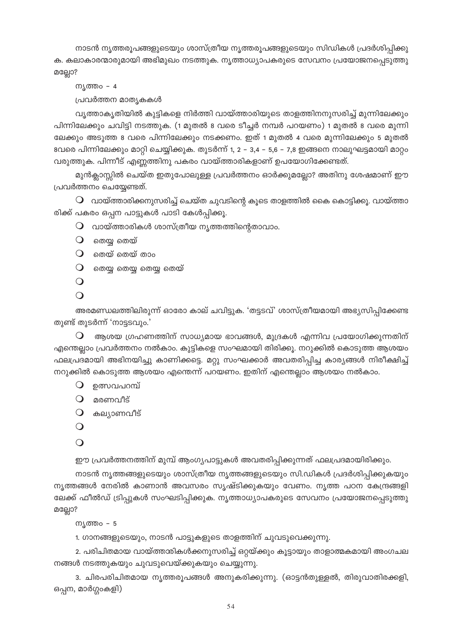നാടൻ നൃത്തരൂപങ്ങളുടെയും ശാസ്ത്രീയ നൃത്തരൂപങ്ങളുടെയും സിഡികൾ പ്രദർശിപ്പിക്കു ക. കലാകാരന്മാരുമായി അഭിമുഖം നടത്തുക. നൃത്താധ്യാപകരുടെ സേവനം പ്രയോജനപ്പെടുത്തു

മല്ലോ?

```
ന്യത്തം - 4
പ്രവർത്തന മാതൃകകൾ
```
വൃത്താകൃതിയിൽ കുട്ടികളെ നിർത്തി വായ്ത്താരിയുടെ താളത്തിനനുസരിച്ച് മുന്നിലേക്കും പിന്നിലേക്കും ചവിട്ടി നടത്തുക. (1 മുതൽ 8 വരെ ടീച്ചർ നമ്പർ പറയണം) 1 മുതൽ 8 വരെ മുന്നി ലേക്കും അടുത്ത 8 വരെ പിന്നിലേക്കും നടക്കണം. ഇത് 1 മുതൽ 4 വരെ മുന്നിലേക്കും 5 മുതൽ 8വരെ പിന്നിലേക്കും മാറ്റി ചെയ്യിക്കുക. തുടർന്ന് 1, 2 – 3,4 – 5,6 – 7,8 ഇങ്ങനെ നാലുഘട്ടമായി മാറ്റം വരുത്തുക. പിന്നീട് എണ്ണത്തിനു പകരം വായ്ത്താരികളാണ് ഉപയോഗിക്കേണ്ടത്.

മുൻക്ലാസ്സിൽ ചെയ്ത ഇതുപോലുള്ള പ്രവർത്തനം ഓർക്കുമല്ലോ? അതിനു ശേഷമാണ് ഈ പ്രവർത്തനം ചെയ്യേണ്ടത്.

 $\mathsf O$  വായ്ത്താരിക്കനുസരിച്ച് ചെയ്ത ചുവടിന്റെ കൂടെ താളത്തിൽ കൈ കൊട്ടിക്കൂ. വായ്ത്താ രിക്ക് പകരം ഒപ്പന പാട്ടുകൾ പാടി കേൾപ്പിക്കൂ.

- $\mathsf O$  വായ്ത്താരികൾ ശാസ്ത്രീയ നൃത്തത്തിന്റെതാവാം.
- $O$  തെയ്യ തെയ്
- $\mathbf 0$  ഞെയ് തെയ് താം
- $O$  ഞയ്യ തെയ്യ തെയ്യ തെയ്

```
\bigcirc
```

```
\Omega
```
അരമണ്ഡലത്തിലിരുന്ന് ഓരോ കാല് ചവിട്ടുക. 'തട്ടടവ്' ശാസ്ത്രീയമായി അഭ്യസിപ്പിക്കേണ്ട തുണ്ട് തുടർന്ന് 'നാട്ടടവും.'

ആശയ ഗ്രഹണത്തിന് സാധ്യമായ ഭാവങ്ങൾ, മുദ്രകൾ എന്നിവ പ്രയോഗിക്കുന്നതിന് എന്തെല്ലാം പ്രവർത്തനം നൽകാം. കുട്ടികളെ സംഘമായി തിരിക്കൂ. നറുക്കിൽ കൊടുത്ത ആശയം ഫലപ്രദമായി അഭിനയിച്ചു കാണിക്കട്ടെ. മറ്റു സംഘക്കാർ അവതരിപ്പിച്ച കാര്യങ്ങൾ നിരീക്ഷിച്ച് നറുക്കിൽ കൊടുത്ത ആശയം എന്തെന്ന് പറയണം. ഇതിന് എന്തെല്ലാം ആശയം നൽകാം.

- $\Omega$  ഉത്സവപറമ്പ്
- $O$  മരണവീട്
- $O$  കല്യാണവീട്
- $\bigcirc$

```
\Omega
```
ഈ പ്രവർത്തനത്തിന് മുമ്പ് ആംഗൃപാട്ടുകൾ അവതരിപ്പിക്കുന്നത് ഫലപ്രദമായിരിക്കും.

നാടൻ നൃത്തങ്ങളുടെയും ശാസ്ത്രീയ നൃത്തങ്ങളുടെയും സി.ഡികൾ പ്രദർശിപ്പിക്കുകയും നൃത്തങ്ങൾ നേരിൽ കാണാൻ അവസരം സൃഷ്ടിക്കുകയും വേണം. നൃത്ത പഠന കേന്ദ്രങ്ങളി ലേക്ക് ഫീൽഡ് ട്രിപ്പുകൾ സംഘടിപ്പിക്കുക. നൃത്താധ്യാപകരുടെ സേവനം പ്രയോജനപ്പെടുത്തു മല്ലോ?

```
ന്യത്തം – 5
```
1. ഗാനങ്ങളുടെയും, നാടൻ പാട്ടുകളുടെ താളത്തിന് ചുവടുവെക്കുന്നു.

2. പരിചിതമായ വായ്ത്താരികൾക്കനുസരിച്ച് ഒറ്റയ്ക്കും കൂട്ടായും താളാത്മകമായി അംഗചല നങ്ങൾ നടത്തുകയും ചുവടുവെയ്ക്കുകയും ചെയ്യുന്നു.

3. ചിരപരിചിതമായ നൃത്തരൂപങ്ങൾ അനുകരിക്കുന്നു. (ഓട്ടൻതുള്ളൽ, തിരുവാതിരക്കളി, ഒപ്പന, മാർഗ്ഗംകളി)

54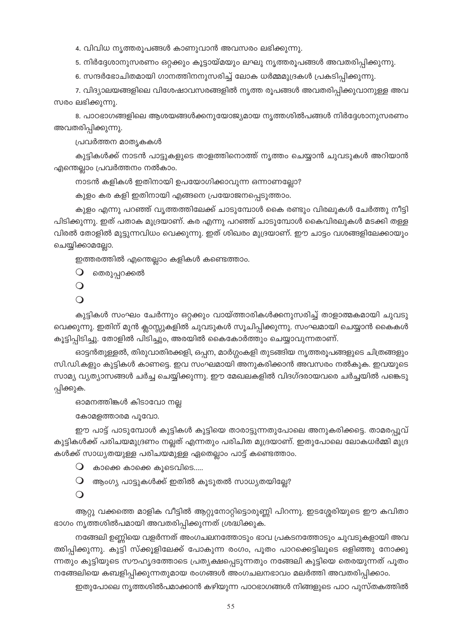4. വിവിധ നൃത്തരൂപങ്ങൾ കാണുവാൻ അവസരം ലഭിക്കുന്നു.

5. നിർദ്ദേശാനുസരണം ഒറ്റക്കും കൂട്ടായ്മയും ലഘു നൃത്തരൂപങ്ങൾ അവതരിപ്പിക്കുന്നു.

6. സന്ദർഭോചിതമായി ഗാനത്തിനനുസരിച്ച് ലോക ധർമ്മമുദ്രകൾ പ്രകടിപ്പിക്കുന്നു.

7. വിദ്യാലയങ്ങളിലെ വിശേഷാവസരങ്ങളിൽ നൃത്ത രൂപങ്ങൾ അവതരിപ്പിക്കുവാനുള്ള അവ സരം ലഭിക്കുന്നു.

8. പാഠഭാഗങ്ങളിലെ ആശയങ്ങൾക്കനുയോജ്യമായ നൃത്തശിൽപങ്ങൾ നിർദ്ദേശാനുസരണം അവതരിപ്പിക്കുന്നു.

പ്രവർത്തന മാതൃകകൾ

കുട്ടികൾക്ക് നാടൻ പാട്ടുകളുടെ താളത്തിനൊത്ത് നൃത്തം ചെയ്യാൻ ചുവടുകൾ അറിയാൻ എന്തെല്ലാം പ്രവർത്തനം നൽകാം.

നാടൻ കളികൾ ഇതിനായി ഉപയോഗിക്കാവുന്ന ഒന്നാണല്ലോ?

കുളം കര കളി ഇതിനായി എങ്ങനെ പ്രയോജനപ്പെടുത്താം.

കുളം എന്നു പറഞ്ഞ് വൃത്തത്തിലേക്ക് ചാടുമ്പോൾ കൈ രണ്ടും വിരലുകൾ ചേർത്തു നീട്ടി പിടിക്കുന്നു. ഇത് പതാക മുദ്രയാണ്. കര എന്നു പറഞ്ഞ് ചാടുമ്പോൾ കൈവിരലുകൾ മടക്കി തള്ള വിരൽ തോളിൽ മുട്ടുന്നവിധം വെക്കുന്നു. ഇത് ശിഖരം മുദ്രയാണ്. ഈ ചാട്ടം വശങ്ങളിലേക്കായും ചെയ്യിക്കാമല്ലോ.

ഇത്തരത്തിൽ എന്തെല്ലാം കളികൾ കണ്ടെത്താം.

 $\bigcirc$  തെരുപ്പറക്കൽ

```
\bigcirc
```
 $\Omega$ 

കുട്ടികൾ സംഘം ചേർന്നും ഒറ്റക്കും വായ്ത്താരികൾക്കനുസരിച്ച് താളാത്മകമായി ചുവടു വെക്കുന്നു. ഇതിന് മുൻ ക്ലാസ്സുകളിൽ ചുവടുകൾ സൂചിപ്പിക്കുന്നു. സംഘമായി ചെയ്യാൻ കൈകൾ കൂട്ടിപ്പിടിച്ചു. തോളിൽ പിടിച്ചും, അരയിൽ കൈകോർത്തും ചെയ്യാവുന്നതാണ്.

ഓട്ടൻതുള്ളൽ, തിരുവാതിരക്കളി, ഒപ്പന, മാർഗ്ഗംകളി തുടങ്ങിയ നൃത്തരൂപങ്ങളുടെ ചിത്രങ്ങളും സി.ഡി.കളും കുട്ടികൾ കാണട്ടെ. ഇവ സംഘമായി അനുകരിക്കാൻ അവസരം നൽകുക. ഇവയുടെ സാമ്യ വ്യത്യാസങ്ങൾ ചർച്ച ചെയ്യിക്കുന്നു. ഈ മേഖലകളിൽ വിദഗ്ദരായവരെ ചർച്ചയിൽ പങ്കെടു പ്പിക്കുക.

ഓമനത്തിങ്കൾ കിടാവോ നല്ല

കോമളത്താരമ പൂവോ.

ഈ പാട്ട് പാടുമ്പോൾ കുട്ടികൾ കുട്ടിയെ താരാട്ടുന്നതുപോലെ അനുകരിക്കട്ടെ. താമരപ്പൂവ് കുട്ടികൾക്ക് പരിചയമുദ്രണം നല്ലത് എന്നതും പരിചിത മുദ്രയാണ്. ഇതുപോലെ ലോകധർമ്മി മുദ്ര കൾക്ക് സാധ്യതയുള്ള പരിചയമുള്ള ഏതെല്ലാം പാട്ട് കണ്ടെത്താം.

 $\mathbf 0$  കാക്കെ കാക്കെ കൂടെവിടെ.....

 $\mathbf O$  ആംഗ്യ പാട്ടുകൾക്ക് ഇതിൽ കൂടുതൽ സാധ്യതയില്ലേ?

 $\bigcirc$ 

ആറ്റു വക്കത്തെ മാളിക വീട്ടിൽ ആറ്റുനോറ്റിട്ടൊരുണ്ണി പിറന്നു. ഇടശ്ശേരിയുടെ ഈ കവിതാ ഭാഗം നൃത്തശിൽപമായി അവതരിപ്പിക്കുന്നത് ശ്രദ്ധിക്കുക.

നങ്ങേലി ഉണ്ണിയെ വളർന്നത് അംഗചലനത്തോടും ഭാവ പ്രകടനത്തോടും ചുവടുകളായി അവ ത്തിപ്പിക്കുന്നു. കുട്ടി സ്ക്കൂളിലേക്ക് പോകുന്ന രംഗം, പൂതം പാറക്കെട്ടിലൂടെ ഒളിഞ്ഞു നോക്കു ന്നതും കുട്ടിയുടെ സൗഹൃദത്തോടെ പ്രത്യക്ഷപ്പെടുന്നതും നങ്ങേലി കുട്ടിയെ തെരയുന്നത് പൂതം നങ്ങേലിയെ കബളിപ്പിക്കുന്നതുമായ രംഗങ്ങൾ അംഗചലനഭാവം മലർത്തി അവതരിപ്പിക്കാം.

ഇതുപോലെ നൃത്തശിൽപമാക്കാൻ കഴിയുന്ന പാഠഭാഗങ്ങൾ നിങ്ങളുടെ പാഠ പുസ്തകത്തിൽ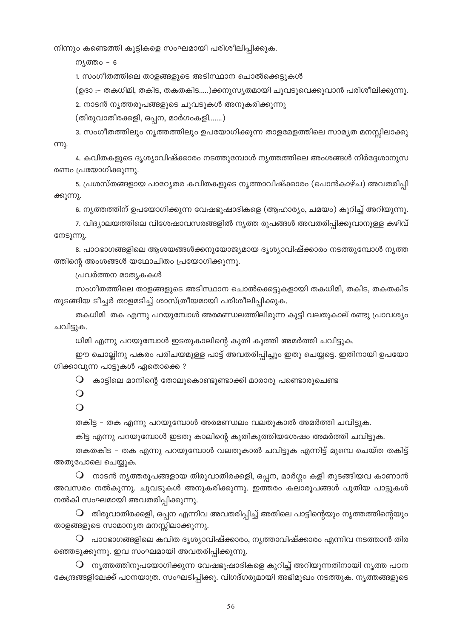നിന്നും കണ്ടെത്തി കുട്ടികളെ സംഘമായി പരിശീലിപ്പിക്കുക.

ന്യത്തം **-** 6

1. സംഗീതത്തിലെ താളങ്ങളുടെ അടിസ്ഥാന ചൊൽക്കെട്ടുകൾ

(ഉദാ :– തകധിമി, തകിട, തകതകിട.....)ക്കനുസൃതമായി ചുവടുവെക്കുവാൻ പരിശീലിക്കുന്നു.

2. നാടൻ നൃത്തരൂപങ്ങളുടെ ചുവടുകൾ അനുകരിക്കുന്നു

(തിരുവാതിരക്കളി, ഒപ്പന, മാർഗംകളി.......)

3. സംഗീതത്തിലും നൃത്തത്തിലും ഉപയോഗിക്കുന്ന താളമേളത്തിലെ സാമൃത മനസ്സിലാക്കു m).

4. കവിതകളുടെ ദൃശ്യാവിഷ്ക്കാരം നടത്തുമ്പോൾ നൃത്തത്തിലെ അംശങ്ങൾ നിർദ്ദേശാനുസ രണം പ്രയോഗിക്കുന്നു.

5. പ്രശസ്തങ്ങളായ പാഠ്യേതര കവിതകളുടെ നൃത്താവിഷ്ക്കാരം (പൊൻകാഴ്ച) അവതരിപ്പി ക്കുന്നു.

6. നൃത്തത്തിന് ഉപയോഗിക്കുന്ന വേഷഭൂഷാദികളെ (ആഹാര്യം, ചമയം) കുറിച്ച് അറിയുന്നു.

7. വിദ്യാലയത്തിലെ വിശേഷാവസരങ്ങളിൽ നൃത്ത രൂപങ്ങൾ അവതരിപ്പിക്കുവാനുള്ള കഴിവ് നേടുന്നു.

8. പാഠഭാഗങ്ങളിലെ ആശയങ്ങൾക്കനുയോജ്യമായ ദൃശ്യാവിഷ്ക്കാരം നടത്തുമ്പോൾ നൃത്ത ത്തിന്റെ അംശങ്ങൾ യഥോചിതം പ്രയോഗിക്കുന്നു.

പ്രവർത്തന മാതൃകകൾ

സംഗീതത്തിലെ താളങ്ങളുടെ അടിസ്ഥാന ചൊൽക്കെട്ടുകളായി തകധിമി, തകിട, തകതകിട തുടങ്ങിയ ടീച്ചർ താളമടിച്ച് ശാസ്ത്രീയമായി പരിശീലിപ്പിക്കുക.

തകധിമി തക എന്നു പറയുമ്പോൾ അരമണ്ഡലത്തിലിരുന്ന കുട്ടി വലതുകാല് രണ്ടു പ്രാവശ്യം ചവിട്ടുക.

ധിമി എന്നു പറയുമ്പോൾ ഇടതുകാലിന്റെ കുതി കുത്തി അമർത്തി ചവിട്ടുക.

ഈ ചൊല്ലിനു പകരം പരിചയമുള്ള പാട്ട് അവതരിപ്പിച്ചും ഇതു ചെയ്യട്ടെ. ഇതിനായി ഉപയോ ഗിക്കാവുന്ന പാട്ടുകൾ ഏതൊക്കെ?

 $\bigcirc$  കാട്ടിലെ മാനിന്റെ തോലുകൊണ്ടുണ്ടാക്കി മാരാരു പണ്ടൊരുചെണ്ട

 $\bigcirc$ 

 $\overline{O}$ 

തകിട്ട - തക എന്നു പറയുമ്പോൾ അരമണ്ഡലം വലതുകാൽ അമർത്തി ചവിട്ടുക.

കിട്ട എന്നു പറയുമ്പോൾ ഇടതു കാലിന്റെ കുതികുത്തിയശേഷം അമർത്തി ചവിട്ടുക.

തകതകിട – തക എന്നു പറയുമ്പോൾ വലതുകാൽ ചവിട്ടുക എന്നിട്ട് മുമ്പെ ചെയ്ത തകിട്ട് അതുപോലെ ചെയ്യുക.

 $\,\mathsf{O}\,$  നാടൻ നൃത്തരൂപങ്ങളായ തിരുവാതിരക്കളി, ഒപ്പന, മാർഗ്ഗം കളി തുടങ്ങിയവ കാണാൻ അവസരം നൽകുന്നു. ചുവടുകൾ അനുകരിക്കുന്നു. ഇത്തരം കലാരൂപങ്ങൾ പുതിയ പാട്ടുകൾ നൽകി സംഘമായി അവതരിപ്പിക്കുന്നു.

 $\mathsf O$  തിരുവാതിരക്കളി, ഒപ്പന എന്നിവ അവതരിപ്പിച്ച് അതിലെ പാട്ടിന്റെയും നൃത്തത്തിന്റെയും താളങ്ങളുടെ സാമാന്യത മനസ്സിലാക്കുന്നു.

 $\, \mathsf{O} \,$  പാഠഭാഗങ്ങളിലെ കവിത ദൃശ്യാവിഷ്ക്കാരം, നൃത്താവിഷ്ക്കാരം എന്നിവ നടത്താൻ തിര ഞ്ഞെടുക്കുന്നു. ഇവ സംഘമായി അവതരിപ്പിക്കുന്നു.

 $\bigcirc$  നൃത്തത്തിനുപയോഗിക്കുന്ന വേഷഭൂഷാദികളെ കുറിച്ച് അറിയുന്നതിനായി നൃത്ത പഠന കേന്ദ്രങ്ങളിലേക്ക് പഠനയാത്ര. സംഘടിപ്പിക്കു. വിഗദ്ഗരുമായി അഭിമുഖം നടത്തുക. നൃത്തങ്ങളുടെ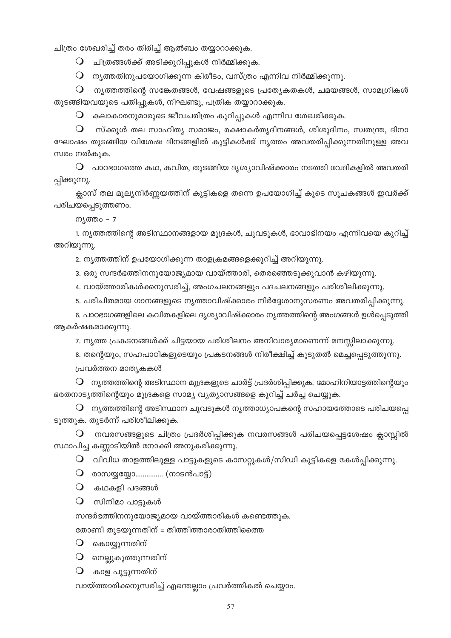ചിത്രം ശേഖരിച്ച് തരം തിരിച്ച് ആൽബം തയ്യാറാക്കുക.

 $\mathsf O$  ചിത്രങ്ങൾക്ക് അടിക്കുറിപ്പുകൾ നിർമ്മിക്കുക.

 $\mathsf O$  നൃത്തതിനുപയോഗിക്കുന്ന കിരീടം, വസ്ത്രം എന്നിവ നിർമ്മിക്കുന്നു.

 $\mathsf O$  ന്യത്തത്തിന്റെ സങ്കേതങ്ങൾ, വേഷങ്ങളുടെ പ്രത്യേകതകൾ, ചമയങ്ങൾ, സാമഗ്രികൾ തുടങ്ങിയവയുടെ പതിപ്പുകൾ, നിഘണ്ടു, പത്രിക തയ്യാറാക്കുക.

 $\bigcirc$ കലാകാരനുമാരുടെ ജീവചരിത്രം കുറിപ്പുകൾ എന്നിവ ശേഖരിക്കുക.

 $\bigcirc$ സ്ക്കൂൾ തല സാഹിത്യ സമാജം, രക്ഷാകർത്യദിനങ്ങൾ, ശിശുദിനം, സ്വതന്ത്ര, ദിനാ ഘോഷം തുടങ്ങിയ വിശേഷ ദിനങ്ങളിൽ കുട്ടികൾക്ക് നൃത്തം അവതരിപ്പിക്കുന്നതിനുള്ള അവ സരം നൽകുക.

 $\mathbf O$  പാഠഭാഗത്തെ കഥ, കവിത, തുടങ്ങിയ ദൃശ്യാവിഷ്ക്കാരം നടത്തി വേദികളിൽ അവതരി പ്പിക്കുന്നു.

ക്ലാസ് തല മൂല്യനിർണ്ണയത്തിന് കുട്ടികളെ തന്നെ ഉപയോഗിച്ച് കൂടെ സൂചകങ്ങൾ ഇവർക്ക് പരിചയപ്പെടുത്തണം.

നൃത്തം **-** 7

1. നൃത്തത്തിന്റെ അടിസ്ഥാനങ്ങളായ മുദ്രകൾ, ചുവടുകൾ, ഭാവാഭിനയം എന്നിവയെ കുറിച്ച് അറിയുന്നു.

2. നൃത്തത്തിന് ഉപയോഗിക്കുന്ന താളക്രമങ്ങളെക്കുറിച്ച് അറിയുന്നു.

3. ഒരു സന്ദർഭത്തിനനുയോജ്യമായ വായ്ത്താരി, തെരഞ്ഞെടുക്കുവാൻ കഴിയുന്നു.

4. വായ്ത്താരികൾക്കനുസരിച്ച്, അംഗചലനങ്ങളും പദചലനങ്ങളും പരിശീലിക്കുന്നു.

5. പരിചിതമായ ഗാനങ്ങളുടെ നൃത്താവിഷ്ക്കാരം നിർദ്ദേശാനുസരണം അവതരിപ്പിക്കുന്നു.

6. പാഠഭാഗങ്ങളിലെ കവിതകളിലെ ദൃശ്യാവിഷ്ക്കാരം നൃത്തത്തിന്റെ അംഗങ്ങൾ ഉൾപ്പെടുത്തി ആകർഷകമാക്കുന്നു.

7. നൃത്ത പ്രകടനങ്ങൾക്ക് ചിട്ടയായ പരിശീലനം അനിവാര്യമാണെന്ന് മനസ്സിലാക്കുന്നു.

8. തന്റെയും, സഹപാഠികളുടെയും പ്രകടനങ്ങൾ നിരീക്ഷിച്ച് കൂടുതൽ മെച്ചപ്പെടുത്തുന്നു.

പ്രവർത്തന മാതൃകകൾ

 $\mathsf O$  നൃത്തത്തിന്റെ അടിസ്ഥാന മുദ്രകളുടെ ചാർട്ട് പ്രദർശിപ്പിക്കുക. മോഹിനിയാട്ടത്തിന്റെയും ഭരതനാട്യത്തിന്റെയും മുദ്രകളെ സാമ്യ വ്യത്യാസങ്ങളെ കുറിച്ച് ചർച്ച ചെയ്യുക.

 $\mathsf O$  നൃത്തത്തിന്റെ അടിസ്ഥാന ചുവടുകൾ നൃത്താധ്യാപകന്റെ സഹായത്തോടെ പരിചയപ്പെ ടുത്തുക. തുടർന്ന് പരിശീലിക്കുക.

 $\mathbf O$  നവരസങ്ങളുടെ ചിത്രം പ്രദർശിപ്പിക്കുക നവരസങ്ങൾ പരിചയപ്പെട്ടശേഷം ക്ലാസ്സിൽ സ്ഥാപിച്ച കണ്ണാടിയിൽ നോക്കി അനുകരിക്കുന്നു.

 $\mathsf O$  വിവിധ താളത്തിലുള്ള പാട്ടുകളുടെ കാസറ്റുകൾ/സിഡി കുട്ടികളെ കേൾപ്പിക്കുന്നു.

 $\mathbf{Q}$  രാസയ്യയ്യോ............... (നാടൻപാട്ട്)

 $\bigcirc$  കഥകളി പദങ്ങൾ

 $\bigcirc$  സിനിമാ പാട്ടുകൾ

സന്ദർഭത്തിനനുയോജ്യമായ വായ്ത്താരികൾ കണ്ടെത്തുക.

തോണി തുടയുന്നതിന് = തിത്തിത്താരാതിത്തിത്തെ

 $\bigcirc$  കൊയ്യുന്നതിന്

 $\mathsf O$  നെല്ലുകുത്തുന്നതിന്

 $\bigcirc$  കാള പൂട്ടുന്നതിന്

വായ്ത്താരിക്കനുസരിച്ച് എന്തെല്ലാം പ്രവർത്തികൽ ചെയ്യാം.